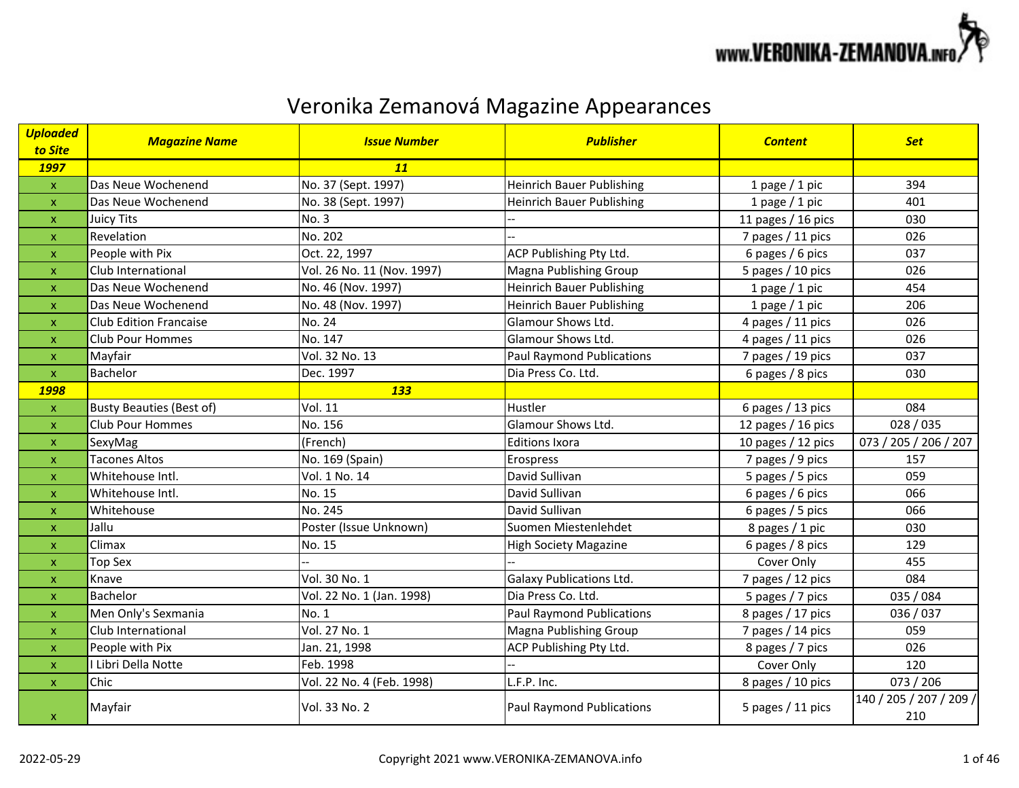

| <b>Uploaded</b>           | <b>Magazine Name</b>            | <b>Issue Number</b>        | <b>Publisher</b>                 | <b>Content</b>       | <b>Set</b>                     |
|---------------------------|---------------------------------|----------------------------|----------------------------------|----------------------|--------------------------------|
| to Site<br>1997           |                                 | 11                         |                                  |                      |                                |
| $\mathsf X$               | Das Neue Wochenend              | No. 37 (Sept. 1997)        | <b>Heinrich Bauer Publishing</b> | 1 page $/$ 1 pic     | 394                            |
| $\pmb{\mathsf{x}}$        | Das Neue Wochenend              | No. 38 (Sept. 1997)        | <b>Heinrich Bauer Publishing</b> | 1 page $/$ 1 pic     | 401                            |
| X                         | Juicy Tits                      | No. 3                      |                                  | 11 pages / 16 pics   | 030                            |
| $\pmb{\mathsf{x}}$        | Revelation                      | No. 202                    |                                  | 7 pages / 11 pics    | 026                            |
| $\pmb{\mathsf{x}}$        | People with Pix                 | Oct. 22, 1997              | ACP Publishing Pty Ltd.          | 6 pages / 6 pics     | 037                            |
| $\boldsymbol{\mathsf{x}}$ | Club International              | Vol. 26 No. 11 (Nov. 1997) | Magna Publishing Group           | 5 pages / 10 pics    | 026                            |
| $\pmb{\mathsf{x}}$        | Das Neue Wochenend              | No. 46 (Nov. 1997)         | <b>Heinrich Bauer Publishing</b> | 1 page $/$ 1 pic     | 454                            |
| $\pmb{\mathsf{x}}$        | Das Neue Wochenend              | No. 48 (Nov. 1997)         | <b>Heinrich Bauer Publishing</b> | 1 page $/$ 1 pic     | 206                            |
| X                         | <b>Club Edition Francaise</b>   | No. 24                     | Glamour Shows Ltd.               | 4 pages / 11 pics    | 026                            |
| $\pmb{\mathsf{x}}$        | <b>Club Pour Hommes</b>         | No. 147                    | Glamour Shows Ltd.               | 4 pages / 11 pics    | 026                            |
| $\mathsf{x}$              | Mayfair                         | Vol. 32 No. 13             | <b>Paul Raymond Publications</b> | 7 pages / 19 pics    | 037                            |
| $\mathbf{x}$              | Bachelor                        | Dec. 1997                  | Dia Press Co. Ltd.               | 6 pages / 8 pics     | 030                            |
| <b>1998</b>               |                                 | <b>133</b>                 |                                  |                      |                                |
| $\pmb{\mathsf{X}}$        | <b>Busty Beauties (Best of)</b> | <b>Vol. 11</b>             | Hustler                          | 6 pages / 13 pics    | 084                            |
| X                         | <b>Club Pour Hommes</b>         | No. 156                    | Glamour Shows Ltd.               | 12 pages / 16 pics   | 028/035                        |
| X                         | SexyMag                         | (French)                   | <b>Editions Ixora</b>            | 10 pages $/$ 12 pics | 073 / 205 / 206 / 207          |
| $\pmb{\mathsf{x}}$        | <b>Tacones Altos</b>            | No. 169 (Spain)            | Erospress                        | 7 pages / 9 pics     | 157                            |
| $\boldsymbol{\mathsf{x}}$ | Whitehouse Intl.                | Vol. 1 No. 14              | David Sullivan                   | 5 pages / 5 pics     | 059                            |
| $\pmb{\mathsf{x}}$        | Whitehouse Intl.                | No. 15                     | David Sullivan                   | 6 pages / 6 pics     | 066                            |
| $\boldsymbol{\mathsf{x}}$ | Whitehouse                      | No. 245                    | David Sullivan                   | 6 pages / 5 pics     | 066                            |
| $\boldsymbol{\mathsf{x}}$ | Jallu                           | Poster (Issue Unknown)     | Suomen Miestenlehdet             | 8 pages / 1 pic      | 030                            |
| $\pmb{\times}$            | Climax                          | No. 15                     | <b>High Society Magazine</b>     | 6 pages / 8 pics     | 129                            |
| $\pmb{\mathsf{x}}$        | <b>Top Sex</b>                  |                            |                                  | Cover Only           | 455                            |
| $\boldsymbol{\mathsf{x}}$ | Knave                           | Vol. 30 No. 1              | <b>Galaxy Publications Ltd.</b>  | 7 pages / 12 pics    | 084                            |
| $\pmb{\mathsf{x}}$        | Bachelor                        | Vol. 22 No. 1 (Jan. 1998)  | Dia Press Co. Ltd.               | 5 pages / 7 pics     | 035 / 084                      |
| $\boldsymbol{\mathsf{x}}$ | Men Only's Sexmania             | No. 1                      | <b>Paul Raymond Publications</b> | 8 pages / 17 pics    | 036 / 037                      |
| $\boldsymbol{\mathsf{x}}$ | Club International              | Vol. 27 No. 1              | <b>Magna Publishing Group</b>    | 7 pages / 14 pics    | 059                            |
| $\boldsymbol{\mathsf{x}}$ | People with Pix                 | Jan. 21, 1998              | ACP Publishing Pty Ltd.          | 8 pages / 7 pics     | 026                            |
| $\pmb{\times}$            | I Libri Della Notte             | Feb. 1998                  |                                  | Cover Only           | 120                            |
| $\mathsf{x}$              | Chic                            | Vol. 22 No. 4 (Feb. 1998)  | L.F.P. Inc.                      | 8 pages / 10 pics    | 073 / 206                      |
| $\pmb{\mathsf{X}}$        | Mayfair                         | Vol. 33 No. 2              | <b>Paul Raymond Publications</b> | 5 pages / 11 pics    | 140 / 205 / 207 / 209 /<br>210 |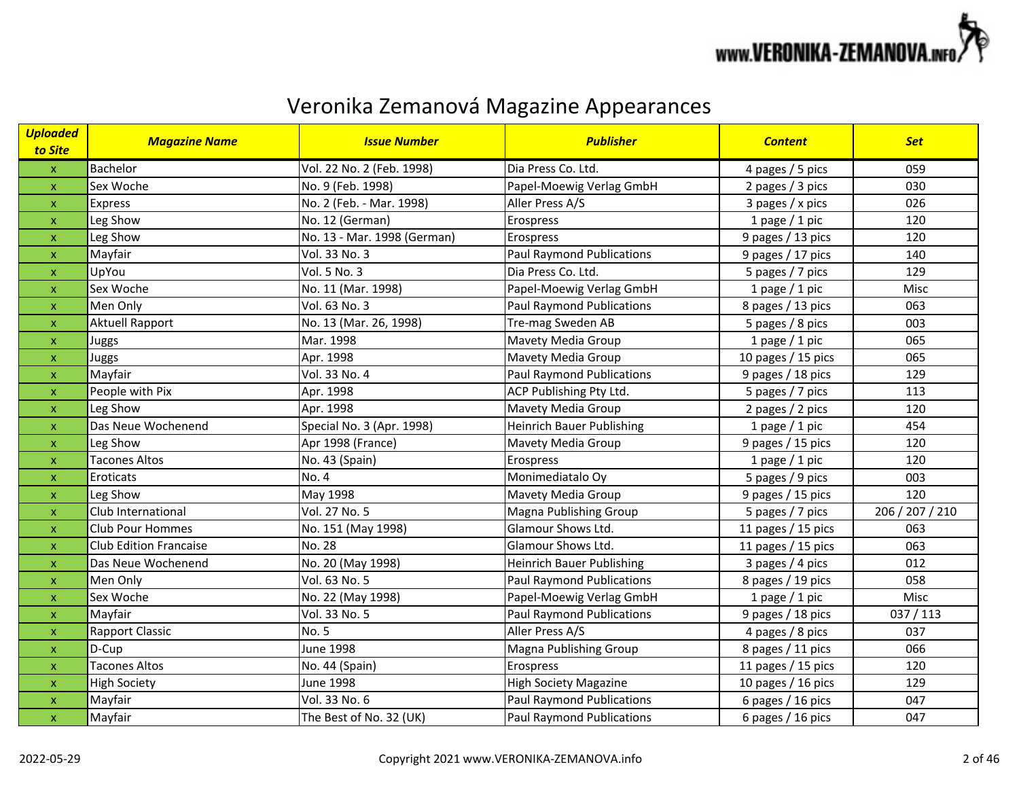

| <mark>Uploaded</mark><br>to Site | <b>Magazine Name</b>          | <b>Issue Number</b>         | <b>Publisher</b>                 | <b>Content</b>       | <b>Set</b>      |
|----------------------------------|-------------------------------|-----------------------------|----------------------------------|----------------------|-----------------|
| $\boldsymbol{\mathsf{X}}$        | Bachelor                      | Vol. 22 No. 2 (Feb. 1998)   | Dia Press Co. Ltd.               | 4 pages / 5 pics     | 059             |
| $\pmb{\mathsf{X}}$               | Sex Woche                     | No. 9 (Feb. 1998)           | Papel-Moewig Verlag GmbH         | 2 pages / 3 pics     | 030             |
| $\boldsymbol{\mathsf{x}}$        | Express                       | No. 2 (Feb. - Mar. 1998)    | Aller Press A/S                  | 3 pages / x pics     | 026             |
| $\mathsf X$                      | Leg Show                      | No. 12 (German)             | Erospress                        | 1 page $/$ 1 pic     | 120             |
| $\pmb{\mathsf{X}}$               | Leg Show                      | No. 13 - Mar. 1998 (German) | Erospress                        | 9 pages / 13 pics    | 120             |
| $\pmb{\mathsf{X}}$               | Mayfair                       | Vol. 33 No. 3               | Paul Raymond Publications        | 9 pages / 17 pics    | 140             |
| $\boldsymbol{\mathsf{X}}$        | UpYou                         | Vol. 5 No. 3                | Dia Press Co. Ltd.               | 5 pages / 7 pics     | 129             |
| $\mathsf{x}$                     | Sex Woche                     | No. 11 (Mar. 1998)          | Papel-Moewig Verlag GmbH         | 1 page $/$ 1 pic     | Misc            |
| $\pmb{\mathsf{x}}$               | Men Only                      | Vol. 63 No. 3               | <b>Paul Raymond Publications</b> | 8 pages / 13 pics    | 063             |
| $\pmb{\mathsf{X}}$               | <b>Aktuell Rapport</b>        | No. 13 (Mar. 26, 1998)      | Tre-mag Sweden AB                | 5 pages / 8 pics     | 003             |
| $\pmb{\mathsf{x}}$               | Juggs                         | Mar. 1998                   | Mavety Media Group               | 1 page $/$ 1 pic     | 065             |
| $\mathsf{x}$                     | Juggs                         | Apr. 1998                   | Mavety Media Group               | 10 pages / 15 pics   | 065             |
| $\pmb{\mathsf{X}}$               | Mayfair                       | Vol. 33 No. 4               | <b>Paul Raymond Publications</b> | 9 pages / 18 pics    | 129             |
| $\mathsf{x}$                     | People with Pix               | Apr. 1998                   | ACP Publishing Pty Ltd.          | 5 pages / 7 pics     | 113             |
| $\pmb{\mathsf{x}}$               | Leg Show                      | Apr. 1998                   | Mavety Media Group               | 2 pages / 2 pics     | 120             |
| $\pmb{\mathsf{X}}$               | Das Neue Wochenend            | Special No. 3 (Apr. 1998)   | <b>Heinrich Bauer Publishing</b> | 1 page $/$ 1 pic     | 454             |
| $\boldsymbol{\mathsf{x}}$        | Leg Show                      | Apr 1998 (France)           | Mavety Media Group               | 9 pages / 15 pics    | 120             |
| $\boldsymbol{\mathsf{x}}$        | <b>Tacones Altos</b>          | No. 43 (Spain)              | Erospress                        | 1 page $/$ 1 pic     | 120             |
| $\pmb{\mathsf{X}}$               | Eroticats                     | No. 4                       | Monimediatalo Oy                 | 5 pages / 9 pics     | 003             |
| $\mathsf{x}$                     | Leg Show                      | May 1998                    | Mavety Media Group               | 9 pages / 15 pics    | 120             |
| $\pmb{\mathsf{x}}$               | Club International            | Vol. 27 No. 5               | Magna Publishing Group           | 5 pages / 7 pics     | 206 / 207 / 210 |
| $\mathsf{x}$                     | <b>Club Pour Hommes</b>       | No. 151 (May 1998)          | Glamour Shows Ltd.               | 11 pages $/$ 15 pics | 063             |
| $\pmb{\mathsf{x}}$               | <b>Club Edition Francaise</b> | No. 28                      | Glamour Shows Ltd.               | 11 pages / 15 pics   | 063             |
| $\pmb{\mathsf{x}}$               | Das Neue Wochenend            | No. 20 (May 1998)           | <b>Heinrich Bauer Publishing</b> | 3 pages / 4 pics     | 012             |
| $\pmb{\mathsf{x}}$               | Men Only                      | Vol. 63 No. 5               | <b>Paul Raymond Publications</b> | 8 pages / 19 pics    | 058             |
| $\pmb{\mathsf{X}}$               | Sex Woche                     | No. 22 (May 1998)           | Papel-Moewig Verlag GmbH         | 1 page $/$ 1 pic     | Misc            |
| $\mathsf{x}$                     | Mayfair                       | Vol. 33 No. 5               | <b>Paul Raymond Publications</b> | 9 pages / 18 pics    | 037/113         |
| $\pmb{\mathsf{X}}$               | <b>Rapport Classic</b>        | No. 5                       | Aller Press A/S                  | 4 pages / 8 pics     | 037             |
| $\mathsf{x}$                     | D-Cup                         | <b>June 1998</b>            | <b>Magna Publishing Group</b>    | 8 pages / 11 pics    | 066             |
| $\pmb{\mathsf{X}}$               | <b>Tacones Altos</b>          | No. 44 (Spain)              | Erospress                        | 11 pages / 15 pics   | 120             |
| $\boldsymbol{\mathsf{X}}$        | <b>High Society</b>           | June 1998                   | <b>High Society Magazine</b>     | 10 pages / 16 pics   | 129             |
| $\pmb{\mathsf{x}}$               | Mayfair                       | Vol. 33 No. 6               | <b>Paul Raymond Publications</b> | 6 pages / 16 pics    | 047             |
| $\boldsymbol{\mathsf{X}}$        | Mayfair                       | The Best of No. 32 (UK)     | <b>Paul Raymond Publications</b> | 6 pages / 16 pics    | 047             |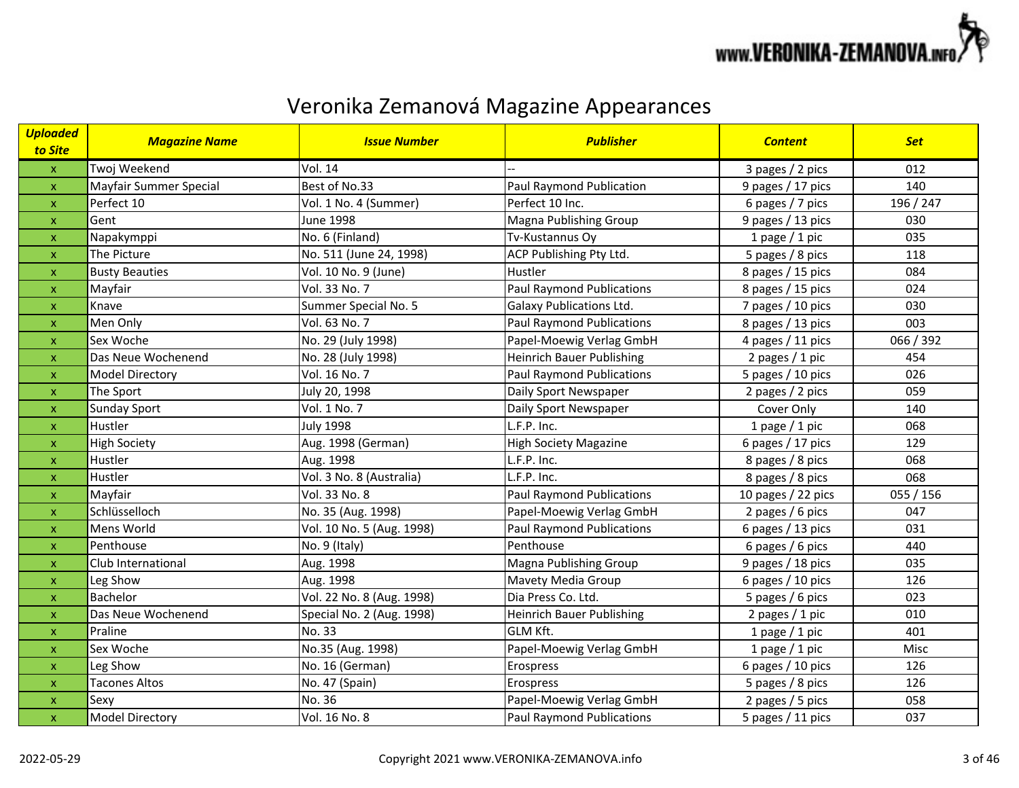

| <b>Uploaded</b><br>to Site | <b>Magazine Name</b>   | <b>Issue Number</b>       | <b>Publisher</b>                 | <b>Content</b>     | <b>Set</b> |
|----------------------------|------------------------|---------------------------|----------------------------------|--------------------|------------|
| $\pmb{\mathsf{X}}$         | Twoj Weekend           | <b>Vol. 14</b>            |                                  | 3 pages / 2 pics   | 012        |
| $\mathsf X$                | Mayfair Summer Special | Best of No.33             | Paul Raymond Publication         | 9 pages / 17 pics  | 140        |
| $\pmb{\mathsf{X}}$         | Perfect 10             | Vol. 1 No. 4 (Summer)     | Perfect 10 Inc.                  | 6 pages / 7 pics   | 196 / 247  |
| $\pmb{\mathsf{x}}$         | Gent                   | <b>June 1998</b>          | Magna Publishing Group           | 9 pages / 13 pics  | 030        |
| $\pmb{\mathsf{x}}$         | Napakymppi             | No. 6 (Finland)           | Tv-Kustannus Oy                  | 1 page $/$ 1 pic   | 035        |
| $\pmb{\times}$             | The Picture            | No. 511 (June 24, 1998)   | ACP Publishing Pty Ltd.          | 5 pages / 8 pics   | 118        |
| $\pmb{\mathsf{x}}$         | <b>Busty Beauties</b>  | Vol. 10 No. 9 (June)      | Hustler                          | 8 pages / 15 pics  | 084        |
| $\pmb{\mathsf{x}}$         | Mayfair                | Vol. 33 No. 7             | <b>Paul Raymond Publications</b> | 8 pages / 15 pics  | 024        |
| X                          | Knave                  | Summer Special No. 5      | <b>Galaxy Publications Ltd.</b>  | 7 pages / 10 pics  | 030        |
| $\pmb{\mathsf{x}}$         | Men Only               | Vol. 63 No. 7             | <b>Paul Raymond Publications</b> | 8 pages / 13 pics  | 003        |
| X                          | Sex Woche              | No. 29 (July 1998)        | Papel-Moewig Verlag GmbH         | 4 pages / 11 pics  | 066 / 392  |
| $\boldsymbol{\mathsf{x}}$  | Das Neue Wochenend     | No. 28 (July 1998)        | <b>Heinrich Bauer Publishing</b> | 2 pages $/ 1$ pic  | 454        |
| $\boldsymbol{\mathsf{x}}$  | <b>Model Directory</b> | Vol. 16 No. 7             | <b>Paul Raymond Publications</b> | 5 pages / 10 pics  | 026        |
| $\boldsymbol{\mathsf{x}}$  | The Sport              | July 20, 1998             | Daily Sport Newspaper            | 2 pages / 2 pics   | 059        |
| $\boldsymbol{\mathsf{x}}$  | <b>Sunday Sport</b>    | Vol. 1 No. 7              | Daily Sport Newspaper            | Cover Only         | 140        |
| $\pmb{\times}$             | Hustler                | <b>July 1998</b>          | L.F.P. Inc.                      | 1 page $/$ 1 pic   | 068        |
| X                          | <b>High Society</b>    | Aug. 1998 (German)        | <b>High Society Magazine</b>     | 6 pages / 17 pics  | 129        |
| $\pmb{\mathsf{x}}$         | Hustler                | Aug. 1998                 | L.F.P. Inc.                      | 8 pages / 8 pics   | 068        |
| X                          | Hustler                | Vol. 3 No. 8 (Australia)  | L.F.P. Inc.                      | 8 pages / 8 pics   | 068        |
| $\pmb{\mathsf{x}}$         | Mayfair                | Vol. 33 No. 8             | <b>Paul Raymond Publications</b> | 10 pages / 22 pics | 055 / 156  |
| $\boldsymbol{\mathsf{x}}$  | Schlüsselloch          | No. 35 (Aug. 1998)        | Papel-Moewig Verlag GmbH         | 2 pages / 6 pics   | 047        |
| $\pmb{\mathsf{x}}$         | Mens World             | Vol. 10 No. 5 (Aug. 1998) | <b>Paul Raymond Publications</b> | 6 pages / 13 pics  | 031        |
| $\pmb{\mathsf{x}}$         | Penthouse              | No. 9 (Italy)             | Penthouse                        | 6 pages / 6 pics   | 440        |
| $\pmb{\mathsf{x}}$         | Club International     | Aug. 1998                 | Magna Publishing Group           | 9 pages / 18 pics  | 035        |
| $\pmb{\mathsf{x}}$         | Leg Show               | Aug. 1998                 | Mavety Media Group               | 6 pages / 10 pics  | 126        |
| $\pmb{\mathsf{X}}$         | Bachelor               | Vol. 22 No. 8 (Aug. 1998) | Dia Press Co. Ltd.               | 5 pages / 6 pics   | 023        |
| $\pmb{\mathsf{x}}$         | Das Neue Wochenend     | Special No. 2 (Aug. 1998) | <b>Heinrich Bauer Publishing</b> | 2 pages $/ 1$ pic  | 010        |
| $\pmb{\mathsf{x}}$         | Praline                | No. 33                    | GLM Kft.                         | 1 page $/$ 1 pic   | 401        |
| $\boldsymbol{\mathsf{x}}$  | Sex Woche              | No.35 (Aug. 1998)         | Papel-Moewig Verlag GmbH         | 1 page $/$ 1 pic   | Misc       |
| $\pmb{\mathsf{x}}$         | Leg Show               | No. 16 (German)           | Erospress                        | 6 pages / 10 pics  | 126        |
| $\pmb{\mathsf{x}}$         | <b>Tacones Altos</b>   | No. 47 (Spain)            | Erospress                        | 5 pages / 8 pics   | 126        |
| X                          | Sexy                   | No. 36                    | Papel-Moewig Verlag GmbH         | 2 pages / 5 pics   | 058        |
| $\mathsf X$                | <b>Model Directory</b> | Vol. 16 No. 8             | <b>Paul Raymond Publications</b> | 5 pages / 11 pics  | 037        |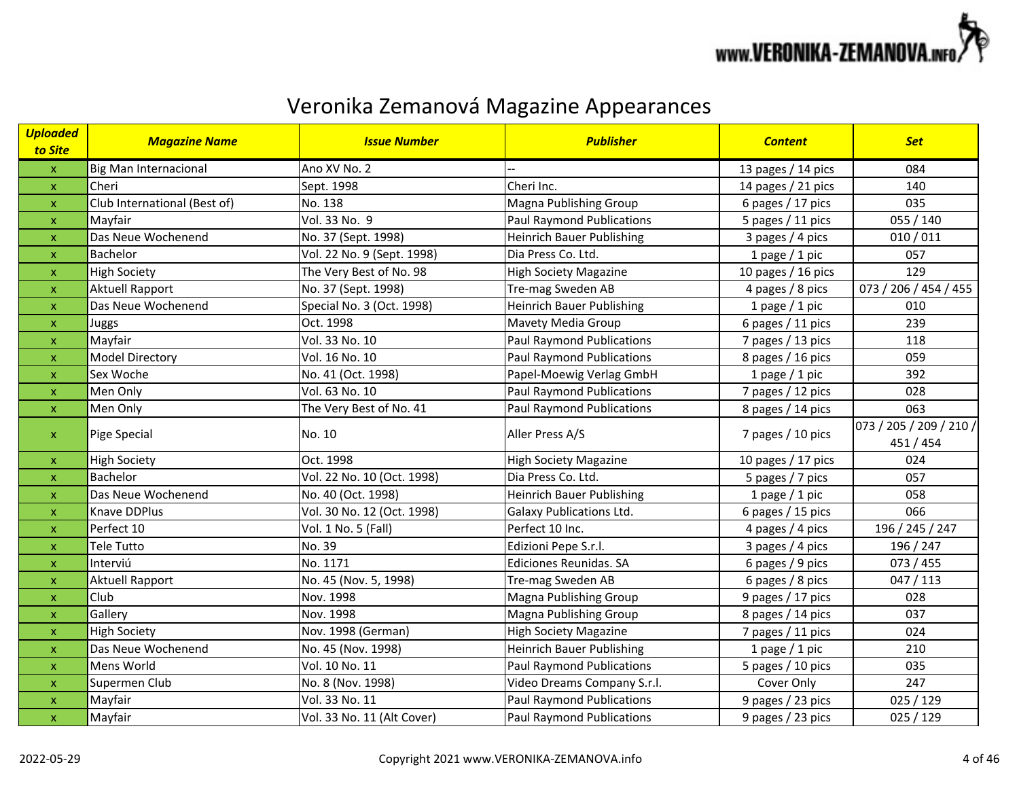

| <b>Uploaded</b><br>to Site | <b>Magazine Name</b>         | <b>Issue Number</b>        | <b>Publisher</b>                 | <b>Content</b>       | <b>Set</b>                           |
|----------------------------|------------------------------|----------------------------|----------------------------------|----------------------|--------------------------------------|
| $\mathsf X$                | <b>Big Man Internacional</b> | Ano XV No. 2               |                                  | 13 pages / 14 pics   | 084                                  |
| $\bar{\mathbf{X}}$         | Cheri                        | Sept. 1998                 | Cheri Inc.                       | 14 pages / 21 pics   | 140                                  |
| $\pmb{\mathsf{X}}$         | Club International (Best of) | No. 138                    | Magna Publishing Group           | 6 pages / 17 pics    | 035                                  |
| $\pmb{\mathsf{X}}$         | Mayfair                      | Vol. 33 No. 9              | <b>Paul Raymond Publications</b> | 5 pages / 11 pics    | 055 / 140                            |
| $\boldsymbol{\mathsf{x}}$  | Das Neue Wochenend           | No. 37 (Sept. 1998)        | <b>Heinrich Bauer Publishing</b> | 3 pages / 4 pics     | 010/011                              |
| $\pmb{\times}$             | Bachelor                     | Vol. 22 No. 9 (Sept. 1998) | Dia Press Co. Ltd.               | 1 page $/$ 1 pic     | 057                                  |
| $\pmb{\mathsf{x}}$         | <b>High Society</b>          | The Very Best of No. 98    | <b>High Society Magazine</b>     | 10 pages / 16 pics   | 129                                  |
| $\pmb{\mathsf{x}}$         | Aktuell Rapport              | No. 37 (Sept. 1998)        | Tre-mag Sweden AB                | 4 pages / 8 pics     | 073 / 206 / 454 / 455                |
| $\pmb{\times}$             | Das Neue Wochenend           | Special No. 3 (Oct. 1998)  | <b>Heinrich Bauer Publishing</b> | 1 page $/$ 1 pic     | 010                                  |
| $\pmb{\mathsf{x}}$         | Juggs                        | Oct. 1998                  | Mavety Media Group               | 6 pages / 11 pics    | 239                                  |
| $\mathsf X$                | Mayfair                      | Vol. 33 No. 10             | <b>Paul Raymond Publications</b> | 7 pages / 13 pics    | 118                                  |
| X                          | <b>Model Directory</b>       | Vol. 16 No. 10             | <b>Paul Raymond Publications</b> | 8 pages / 16 pics    | 059                                  |
| $\boldsymbol{\mathsf{x}}$  | Sex Woche                    | No. 41 (Oct. 1998)         | Papel-Moewig Verlag GmbH         | 1 page $/$ 1 pic     | 392                                  |
| $\boldsymbol{\mathsf{x}}$  | Men Only                     | Vol. 63 No. 10             | <b>Paul Raymond Publications</b> | 7 pages / 12 pics    | 028                                  |
| $\mathsf X$                | Men Only                     | The Very Best of No. 41    | <b>Paul Raymond Publications</b> | 8 pages / 14 pics    | 063                                  |
| $\mathsf X$                | Pige Special                 | No. 10                     | Aller Press A/S                  | 7 pages / 10 pics    | 073 / 205 / 209 / 210 /<br>451 / 454 |
| $\pmb{\mathsf{X}}$         | <b>High Society</b>          | Oct. 1998                  | <b>High Society Magazine</b>     | 10 pages $/$ 17 pics | 024                                  |
| $\pmb{\mathsf{X}}$         | Bachelor                     | Vol. 22 No. 10 (Oct. 1998) | Dia Press Co. Ltd.               | 5 pages / 7 pics     | 057                                  |
| $\pmb{\times}$             | Das Neue Wochenend           | No. 40 (Oct. 1998)         | <b>Heinrich Bauer Publishing</b> | 1 page $/$ 1 pic     | 058                                  |
| $\pmb{\mathsf{x}}$         | Knave DDPlus                 | Vol. 30 No. 12 (Oct. 1998) | <b>Galaxy Publications Ltd.</b>  | 6 pages / 15 pics    | 066                                  |
| $\pmb{\times}$             | Perfect 10                   | Vol. 1 No. 5 (Fall)        | Perfect 10 Inc.                  | 4 pages / 4 pics     | 196 / 245 / 247                      |
| $\pmb{\mathsf{x}}$         | Tele Tutto                   | No. 39                     | Edizioni Pepe S.r.l.             | 3 pages $/$ 4 pics   | 196 / 247                            |
| $\pmb{\mathsf{x}}$         | Interviú                     | No. 1171                   | Ediciones Reunidas. SA           | 6 pages / 9 pics     | 073 / 455                            |
| $\pmb{\mathsf{x}}$         | <b>Aktuell Rapport</b>       | No. 45 (Nov. 5, 1998)      | Tre-mag Sweden AB                | 6 pages / 8 pics     | 047/113                              |
| $\mathsf X$                | Club                         | Nov. 1998                  | Magna Publishing Group           | 9 pages / 17 pics    | 028                                  |
| $\mathsf{x}$               | Gallery                      | Nov. 1998                  | Magna Publishing Group           | 8 pages / 14 pics    | 037                                  |
| $\pmb{\mathsf{x}}$         | <b>High Society</b>          | Nov. 1998 (German)         | <b>High Society Magazine</b>     | 7 pages / 11 pics    | 024                                  |
| $\boldsymbol{\mathsf{x}}$  | Das Neue Wochenend           | No. 45 (Nov. 1998)         | <b>Heinrich Bauer Publishing</b> | 1 page $/$ 1 pic     | 210                                  |
| $\pmb{\times}$             | Mens World                   | Vol. 10 No. 11             | <b>Paul Raymond Publications</b> | 5 pages / 10 pics    | 035                                  |
| $\pmb{\mathsf{x}}$         | Supermen Club                | No. 8 (Nov. 1998)          | Video Dreams Company S.r.l.      | Cover Only           | 247                                  |
| $\pmb{\mathsf{x}}$         | Mayfair                      | Vol. 33 No. 11             | <b>Paul Raymond Publications</b> | 9 pages / 23 pics    | 025 / 129                            |
| $\mathsf X$                | Mayfair                      | Vol. 33 No. 11 (Alt Cover) | <b>Paul Raymond Publications</b> | 9 pages / 23 pics    | 025/129                              |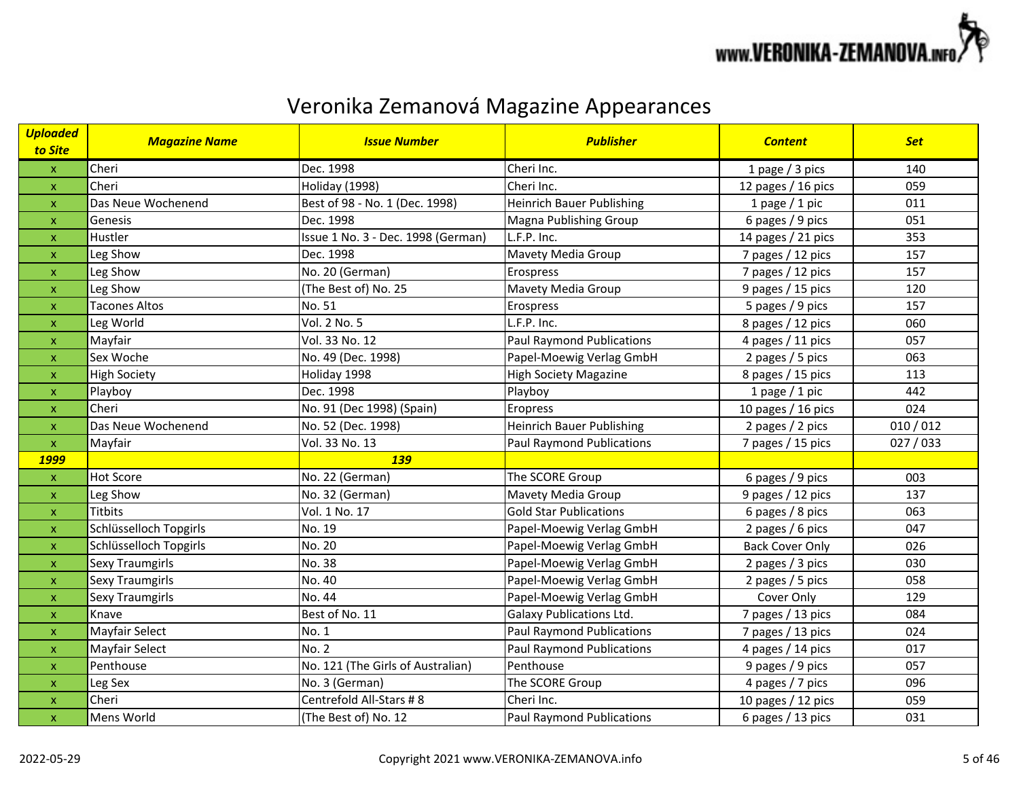

| <b>Uploaded</b><br>to Site | <b>Magazine Name</b>   | <b>Issue Number</b>                | <b>Publisher</b>                 | <b>Content</b>         | <b>Set</b> |
|----------------------------|------------------------|------------------------------------|----------------------------------|------------------------|------------|
| $\mathsf X$                | Cheri                  | Dec. 1998                          | Cheri Inc.                       | 1 page / 3 pics        | 140        |
| $\pmb{\times}$             | Cheri                  | Holiday (1998)                     | Cheri Inc.                       | 12 pages / 16 pics     | 059        |
| $\pmb{\mathsf{X}}$         | Das Neue Wochenend     | Best of 98 - No. 1 (Dec. 1998)     | <b>Heinrich Bauer Publishing</b> | 1 page $/$ 1 pic       | 011        |
| $\pmb{\mathsf{x}}$         | Genesis                | Dec. 1998                          | Magna Publishing Group           | 6 pages / 9 pics       | 051        |
| $\boldsymbol{\mathsf{x}}$  | Hustler                | Issue 1 No. 3 - Dec. 1998 (German) | L.F.P. Inc.                      | 14 pages / 21 pics     | 353        |
| $\boldsymbol{\mathsf{x}}$  | Leg Show               | Dec. 1998                          | Mavety Media Group               | 7 pages / 12 pics      | 157        |
| $\pmb{\mathsf{x}}$         | Leg Show               | No. 20 (German)                    | Erospress                        | 7 pages / 12 pics      | 157        |
| $\pmb{\mathsf{x}}$         | Leg Show               | (The Best of) No. 25               | Mavety Media Group               | 9 pages / 15 pics      | 120        |
| X                          | <b>Tacones Altos</b>   | No. 51                             | Erospress                        | 5 pages / 9 pics       | 157        |
| $\pmb{\mathsf{x}}$         | Leg World              | Vol. 2 No. 5                       | L.F.P. Inc.                      | 8 pages / 12 pics      | 060        |
| $\pmb{\mathsf{x}}$         | Mayfair                | Vol. 33 No. 12                     | <b>Paul Raymond Publications</b> | 4 pages / 11 pics      | 057        |
| X                          | Sex Woche              | No. 49 (Dec. 1998)                 | Papel-Moewig Verlag GmbH         | 2 pages / 5 pics       | 063        |
| $\boldsymbol{\mathsf{x}}$  | <b>High Society</b>    | Holiday 1998                       | <b>High Society Magazine</b>     | 8 pages / 15 pics      | 113        |
| $\boldsymbol{\mathsf{x}}$  | Playboy                | Dec. 1998                          | Playboy                          | 1 page $/$ 1 pic       | 442        |
| $\pmb{\mathsf{x}}$         | Cheri                  | No. 91 (Dec 1998) (Spain)          | Eropress                         | 10 pages / 16 pics     | 024        |
| X                          | Das Neue Wochenend     | No. 52 (Dec. 1998)                 | <b>Heinrich Bauer Publishing</b> | 2 pages / 2 pics       | 010/012    |
| $\pmb{\mathsf{X}}$         | Mayfair                | Vol. 33 No. 13                     | <b>Paul Raymond Publications</b> | 7 pages / 15 pics      | 027/033    |
| <b>1999</b>                |                        | 139                                |                                  |                        |            |
| $\pmb{\mathsf{X}}$         | <b>Hot Score</b>       | No. 22 (German)                    | The SCORE Group                  | 6 pages / 9 pics       | 003        |
| $\pmb{\mathsf{x}}$         | Leg Show               | No. 32 (German)                    | Mavety Media Group               | 9 pages / 12 pics      | 137        |
| $\pmb{\mathsf{x}}$         | <b>Titbits</b>         | Vol. 1 No. 17                      | <b>Gold Star Publications</b>    | 6 pages / 8 pics       | 063        |
| $\pmb{\times}$             | Schlüsselloch Topgirls | No. 19                             | Papel-Moewig Verlag GmbH         | 2 pages / 6 pics       | 047        |
| $\pmb{\mathsf{x}}$         | Schlüsselloch Topgirls | No. 20                             | Papel-Moewig Verlag GmbH         | <b>Back Cover Only</b> | 026        |
| $\pmb{\times}$             | Sexy Traumgirls        | No. 38                             | Papel-Moewig Verlag GmbH         | 2 pages / 3 pics       | 030        |
| X                          | <b>Sexy Traumgirls</b> | No. 40                             | Papel-Moewig Verlag GmbH         | 2 pages / 5 pics       | 058        |
| $\pmb{\mathsf{x}}$         | <b>Sexy Traumgirls</b> | No. 44                             | Papel-Moewig Verlag GmbH         | Cover Only             | 129        |
| $\boldsymbol{\mathsf{x}}$  | Knave                  | Best of No. 11                     | <b>Galaxy Publications Ltd.</b>  | 7 pages / 13 pics      | 084        |
| $\pmb{\mathsf{x}}$         | Mayfair Select         | No. 1                              | <b>Paul Raymond Publications</b> | 7 pages / 13 pics      | 024        |
| $\boldsymbol{\mathsf{x}}$  | <b>Mayfair Select</b>  | No. 2                              | <b>Paul Raymond Publications</b> | 4 pages / 14 pics      | 017        |
| $\pmb{\mathsf{x}}$         | Penthouse              | No. 121 (The Girls of Australian)  | Penthouse                        | 9 pages / 9 pics       | 057        |
| $\pmb{\mathsf{x}}$         | Leg Sex                | No. 3 (German)                     | The SCORE Group                  | 4 pages / 7 pics       | 096        |
| $\pmb{\mathsf{x}}$         | Cheri                  | Centrefold All-Stars # 8           | Cheri Inc.                       | 10 pages / 12 pics     | 059        |
| $\pmb{\times}$             | Mens World             | (The Best of) No. 12               | <b>Paul Raymond Publications</b> | 6 pages / 13 pics      | 031        |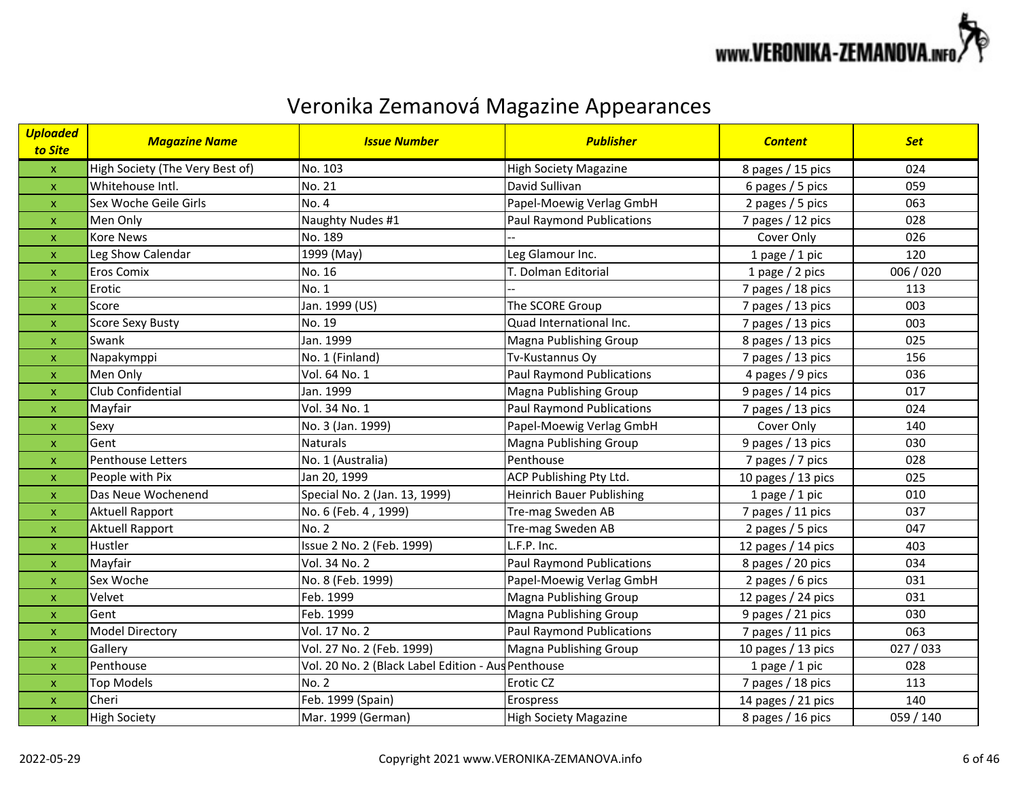

| <b>Uploaded</b><br>to Site | <b>Magazine Name</b>            | <b>Issue Number</b>                                | <b>Publisher</b>                 | <b>Content</b>     | <b>Set</b> |
|----------------------------|---------------------------------|----------------------------------------------------|----------------------------------|--------------------|------------|
| $\mathsf X$                | High Society (The Very Best of) | No. 103                                            | <b>High Society Magazine</b>     | 8 pages / 15 pics  | 024        |
| $\pmb{\times}$             | Whitehouse Intl.                | No. 21                                             | David Sullivan                   | 6 pages / 5 pics   | 059        |
| $\pmb{\mathsf{X}}$         | Sex Woche Geile Girls           | <b>No. 4</b>                                       | Papel-Moewig Verlag GmbH         | 2 pages / 5 pics   | 063        |
| $\pmb{\mathsf{X}}$         | Men Only                        | Naughty Nudes #1                                   | <b>Paul Raymond Publications</b> | 7 pages / 12 pics  | 028        |
| $\pmb{\mathsf{X}}$         | <b>Kore News</b>                | No. 189                                            |                                  | Cover Only         | 026        |
| $\pmb{\mathsf{x}}$         | Leg Show Calendar               | 1999 (May)                                         | Leg Glamour Inc.                 | 1 page $/$ 1 pic   | 120        |
| $\pmb{\mathsf{X}}$         | <b>Eros Comix</b>               | No. 16                                             | T. Dolman Editorial              | 1 page / 2 pics    | 006 / 020  |
| $\boldsymbol{\mathsf{X}}$  | Erotic                          | No. 1                                              |                                  | 7 pages / 18 pics  | 113        |
| $\pmb{\mathsf{x}}$         | Score                           | Jan. 1999 (US)                                     | The SCORE Group                  | 7 pages / 13 pics  | 003        |
| $\pmb{\mathsf{X}}$         | <b>Score Sexy Busty</b>         | No. 19                                             | Quad International Inc.          | 7 pages / 13 pics  | 003        |
| $\pmb{\mathsf{X}}$         | Swank                           | Jan. 1999                                          | Magna Publishing Group           | 8 pages / 13 pics  | 025        |
| $\pmb{\mathsf{X}}$         | Napakymppi                      | No. 1 (Finland)                                    | Tv-Kustannus Oy                  | 7 pages / 13 pics  | 156        |
| $\pmb{\times}$             | Men Only                        | Vol. 64 No. 1                                      | <b>Paul Raymond Publications</b> | 4 pages / 9 pics   | 036        |
| $\mathbf{x}$               | Club Confidential               | Jan. 1999                                          | <b>Magna Publishing Group</b>    | 9 pages / 14 pics  | 017        |
| $\mathbf{x}$               | Mayfair                         | Vol. 34 No. 1                                      | <b>Paul Raymond Publications</b> | 7 pages / 13 pics  | 024        |
| $\pmb{\mathsf{x}}$         | Sexy                            | No. 3 (Jan. 1999)                                  | Papel-Moewig Verlag GmbH         | Cover Only         | 140        |
| $\boldsymbol{\mathsf{x}}$  | Gent                            | <b>Naturals</b>                                    | Magna Publishing Group           | 9 pages / 13 pics  | 030        |
| $\pmb{\mathsf{X}}$         | <b>Penthouse Letters</b>        | No. 1 (Australia)                                  | Penthouse                        | 7 pages / 7 pics   | 028        |
| $\pmb{\mathsf{X}}$         | People with Pix                 | Jan 20, 1999                                       | ACP Publishing Pty Ltd.          | 10 pages / 13 pics | 025        |
| $\pmb{\mathsf{X}}$         | Das Neue Wochenend              | Special No. 2 (Jan. 13, 1999)                      | <b>Heinrich Bauer Publishing</b> | 1 page $/$ 1 pic   | 010        |
| $\pmb{\mathsf{X}}$         | Aktuell Rapport                 | No. 6 (Feb. 4, 1999)                               | Tre-mag Sweden AB                | 7 pages / 11 pics  | 037        |
| $\mathbf{x}$               | <b>Aktuell Rapport</b>          | <b>No. 2</b>                                       | Tre-mag Sweden AB                | 2 pages / 5 pics   | 047        |
| $\pmb{\mathsf{X}}$         | Hustler                         | Issue 2 No. 2 (Feb. 1999)                          | L.F.P. Inc.                      | 12 pages / 14 pics | 403        |
| $\boldsymbol{\mathsf{x}}$  | Mayfair                         | Vol. 34 No. 2                                      | <b>Paul Raymond Publications</b> | 8 pages / 20 pics  | 034        |
| $\pmb{\mathsf{X}}$         | Sex Woche                       | No. 8 (Feb. 1999)                                  | Papel-Moewig Verlag GmbH         | 2 pages / 6 pics   | 031        |
| $\pmb{\mathsf{X}}$         | Velvet                          | Feb. 1999                                          | Magna Publishing Group           | 12 pages / 24 pics | 031        |
| $\mathbf{x}$               | Gent                            | Feb. 1999                                          | Magna Publishing Group           | 9 pages / 21 pics  | 030        |
| $\pmb{\times}$             | <b>Model Directory</b>          | Vol. 17 No. 2                                      | <b>Paul Raymond Publications</b> | 7 pages / 11 pics  | 063        |
| $\mathbf{x}$               | Gallery                         | Vol. 27 No. 2 (Feb. 1999)                          | <b>Magna Publishing Group</b>    | 10 pages / 13 pics | 027/033    |
| $\pmb{\mathsf{X}}$         | Penthouse                       | Vol. 20 No. 2 (Black Label Edition - Aus Penthouse |                                  | 1 page $/$ 1 pic   | 028        |
| $\mathsf X$                | <b>Top Models</b>               | <b>No. 2</b>                                       | Erotic CZ                        | 7 pages / 18 pics  | 113        |
| $\mathsf X$                | Cheri                           | Feb. 1999 (Spain)                                  | Erospress                        | 14 pages / 21 pics | 140        |
| $\pmb{\mathsf{X}}$         | <b>High Society</b>             | Mar. 1999 (German)                                 | <b>High Society Magazine</b>     | 8 pages / 16 pics  | 059 / 140  |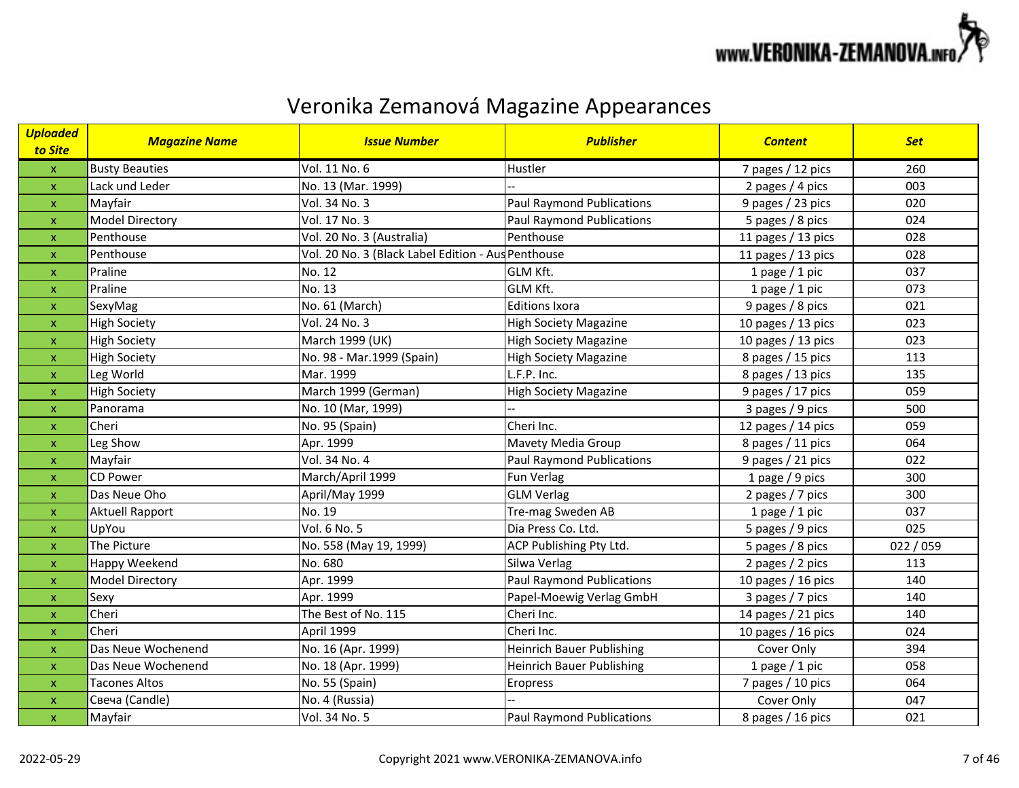

| <b>Uploaded</b><br>to Site | <b>Magazine Name</b>   | <b>Issue Number</b>                                | <b>Publisher</b>                 | <b>Content</b>       | <b>Set</b> |
|----------------------------|------------------------|----------------------------------------------------|----------------------------------|----------------------|------------|
| $\pmb{\mathsf{X}}$         | <b>Busty Beauties</b>  | Vol. 11 No. 6                                      | Hustler                          | 7 pages / 12 pics    | 260        |
| $\mathsf{x}$               | Lack und Leder         | No. 13 (Mar. 1999)                                 |                                  | 2 pages / 4 pics     | 003        |
| $\pmb{\mathsf{X}}$         | Mayfair                | Vol. 34 No. 3                                      | Paul Raymond Publications        | 9 pages / 23 pics    | 020        |
| $\mathsf{x}$               | <b>Model Directory</b> | Vol. 17 No. 3                                      | <b>Paul Raymond Publications</b> | 5 pages / 8 pics     | 024        |
| $\boldsymbol{\mathsf{x}}$  | Penthouse              | Vol. 20 No. 3 (Australia)                          | Penthouse                        | 11 pages / 13 pics   | 028        |
| $\boldsymbol{\mathsf{x}}$  | Penthouse              | Vol. 20 No. 3 (Black Label Edition - Aus Penthouse |                                  | 11 pages / 13 pics   | 028        |
| $\pmb{\mathsf{x}}$         | Praline                | No. 12                                             | GLM Kft.                         | 1 page $/$ 1 pic     | 037        |
| $\boldsymbol{\mathsf{x}}$  | Praline                | No. 13                                             | <b>GLM Kft.</b>                  | 1 page / 1 pic       | 073        |
| $\pmb{\mathsf{X}}$         | SexyMag                | No. 61 (March)                                     | <b>Editions Ixora</b>            | 9 pages / 8 pics     | 021        |
| $\mathsf{x}$               | <b>High Society</b>    | Vol. 24 No. 3                                      | <b>High Society Magazine</b>     | 10 pages / 13 pics   | 023        |
| $\mathsf{x}$               | <b>High Society</b>    | March 1999 (UK)                                    | <b>High Society Magazine</b>     | 10 pages / 13 pics   | 023        |
| $\boldsymbol{\mathsf{x}}$  | <b>High Society</b>    | No. 98 - Mar.1999 (Spain)                          | <b>High Society Magazine</b>     | 8 pages / 15 pics    | 113        |
| $\boldsymbol{\mathsf{x}}$  | Leg World              | Mar. 1999                                          | L.F.P. Inc.                      | 8 pages / 13 pics    | 135        |
| $\mathsf{x}$               | <b>High Society</b>    | March 1999 (German)                                | <b>High Society Magazine</b>     | 9 pages / 17 pics    | 059        |
| $\pmb{\mathsf{x}}$         | Panorama               | No. 10 (Mar, 1999)                                 |                                  | 3 pages / 9 pics     | 500        |
| $\boldsymbol{\mathsf{x}}$  | Cheri                  | No. 95 (Spain)                                     | Cheri Inc.                       | 12 pages / 14 pics   | 059        |
| $\pmb{\mathsf{x}}$         | Leg Show               | Apr. 1999                                          | Mavety Media Group               | 8 pages / 11 pics    | 064        |
| $\mathsf{x}$               | Mayfair                | Vol. 34 No. 4                                      | <b>Paul Raymond Publications</b> | 9 pages / 21 pics    | 022        |
| $\mathsf{x}$               | <b>CD Power</b>        | March/April 1999                                   | Fun Verlag                       | 1 page / 9 pics      | 300        |
| $\mathsf{x}$               | Das Neue Oho           | April/May 1999                                     | <b>GLM Verlag</b>                | 2 pages / 7 pics     | 300        |
| $\mathsf{x}$               | <b>Aktuell Rapport</b> | No. 19                                             | Tre-mag Sweden AB                | 1 page $/$ 1 pic     | 037        |
| $\boldsymbol{\mathsf{x}}$  | UpYou                  | Vol. 6 No. 5                                       | Dia Press Co. Ltd.               | 5 pages / 9 pics     | 025        |
| $\pmb{\mathsf{x}}$         | The Picture            | No. 558 (May 19, 1999)                             | ACP Publishing Pty Ltd.          | 5 pages / 8 pics     | 022 / 059  |
| $\mathsf{x}$               | Happy Weekend          | No. 680                                            | Silwa Verlag                     | 2 pages / 2 pics     | 113        |
| $\pmb{\mathsf{X}}$         | Model Directory        | Apr. 1999                                          | <b>Paul Raymond Publications</b> | 10 pages $/$ 16 pics | 140        |
| $\mathsf{x}$               | Sexy                   | Apr. 1999                                          | Papel-Moewig Verlag GmbH         | 3 pages / 7 pics     | 140        |
| $\pmb{\mathsf{X}}$         | Cheri                  | The Best of No. 115                                | Cheri Inc.                       | 14 pages / 21 pics   | 140        |
| $\mathsf{x}$               | Cheri                  | April 1999                                         | Cheri Inc.                       | 10 pages $/$ 16 pics | 024        |
| $\boldsymbol{\mathsf{X}}$  | Das Neue Wochenend     | No. 16 (Apr. 1999)                                 | <b>Heinrich Bauer Publishing</b> | Cover Only           | 394        |
| $\mathsf{x}$               | Das Neue Wochenend     | No. 18 (Apr. 1999)                                 | <b>Heinrich Bauer Publishing</b> | 1 page / 1 pic       | 058        |
| $\pmb{\mathsf{x}}$         | <b>Tacones Altos</b>   | No. 55 (Spain)                                     | Eropress                         | 7 pages / 10 pics    | 064        |
| $\mathsf{x}$               | Свеча (Candle)         | No. 4 (Russia)                                     |                                  | Cover Only           | 047        |
| $\pmb{\mathsf{x}}$         | Mayfair                | Vol. 34 No. 5                                      | <b>Paul Raymond Publications</b> | 8 pages / 16 pics    | 021        |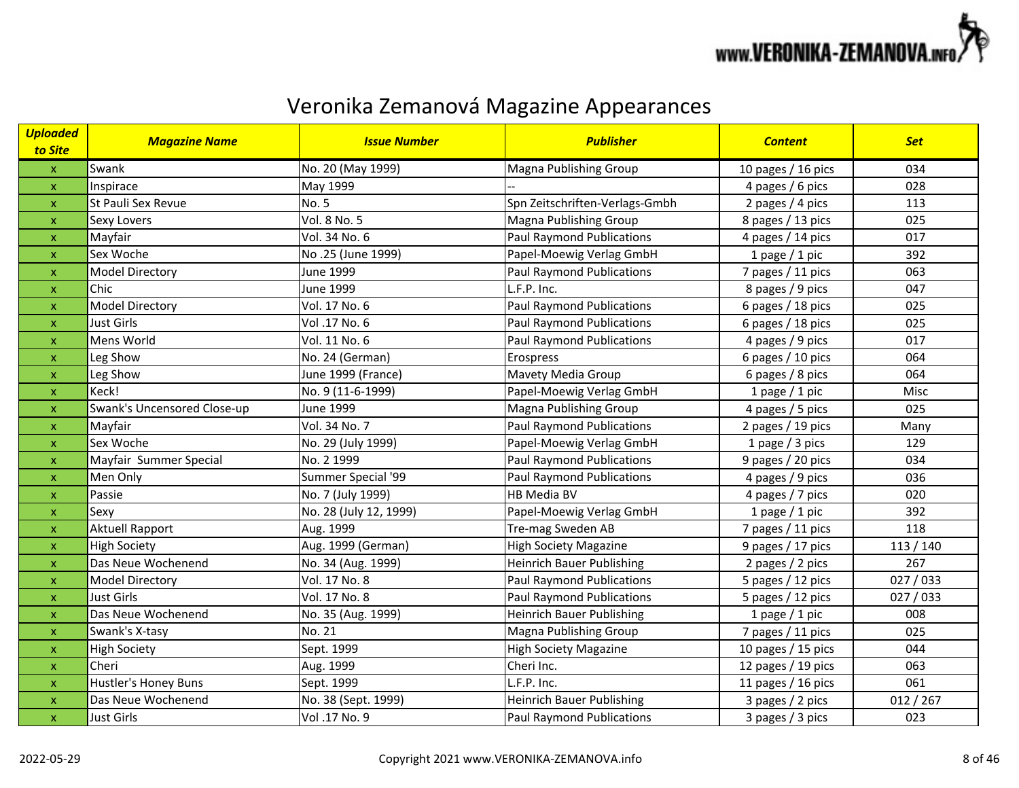

| <b>Uploaded</b><br>to Site | <b>Magazine Name</b>        | <b>Issue Number</b>    | <b>Publisher</b>                 | <b>Content</b>       | <b>Set</b> |
|----------------------------|-----------------------------|------------------------|----------------------------------|----------------------|------------|
| $\mathsf X$                | Swank                       | No. 20 (May 1999)      | Magna Publishing Group           | 10 pages $/$ 16 pics | 034        |
| $\mathsf X$                | Inspirace                   | May 1999               |                                  | 4 pages / 6 pics     | 028        |
| $\pmb{\mathsf{X}}$         | St Pauli Sex Revue          | No. 5                  | Spn Zeitschriften-Verlags-Gmbh   | 2 pages / 4 pics     | 113        |
| $\pmb{\mathsf{x}}$         | <b>Sexy Lovers</b>          | Vol. 8 No. 5           | Magna Publishing Group           | 8 pages / 13 pics    | 025        |
| $\pmb{\mathsf{x}}$         | Mayfair                     | Vol. 34 No. 6          | <b>Paul Raymond Publications</b> | 4 pages / 14 pics    | 017        |
| $\pmb{\times}$             | Sex Woche                   | No.25 (June 1999)      | Papel-Moewig Verlag GmbH         | 1 page $/$ 1 pic     | 392        |
| $\pmb{\mathsf{x}}$         | <b>Model Directory</b>      | <b>June 1999</b>       | <b>Paul Raymond Publications</b> | 7 pages / 11 pics    | 063        |
| $\pmb{\mathsf{x}}$         | Chic                        | <b>June 1999</b>       | L.F.P. Inc.                      | 8 pages / 9 pics     | 047        |
| X                          | <b>Model Directory</b>      | Vol. 17 No. 6          | <b>Paul Raymond Publications</b> | 6 pages / 18 pics    | 025        |
| $\pmb{\mathsf{x}}$         | <b>Just Girls</b>           | Vol.17 No. 6           | <b>Paul Raymond Publications</b> | 6 pages / 18 pics    | 025        |
| $\boldsymbol{\mathsf{x}}$  | Mens World                  | Vol. 11 No. 6          | <b>Paul Raymond Publications</b> | 4 pages / 9 pics     | 017        |
| $\pmb{\mathsf{x}}$         | Leg Show                    | No. 24 (German)        | Erospress                        | 6 pages / 10 pics    | 064        |
| $\boldsymbol{\mathsf{x}}$  | Leg Show                    | June 1999 (France)     | Mavety Media Group               | 6 pages / 8 pics     | 064        |
| $\pmb{\times}$             | Keck!                       | No. 9 (11-6-1999)      | Papel-Moewig Verlag GmbH         | 1 page $/$ 1 pic     | Misc       |
| $\pmb{\mathsf{x}}$         | Swank's Uncensored Close-up | <b>June 1999</b>       | Magna Publishing Group           | 4 pages / 5 pics     | 025        |
| $\pmb{\mathsf{x}}$         | Mayfair                     | Vol. 34 No. 7          | <b>Paul Raymond Publications</b> | 2 pages / 19 pics    | Many       |
| X                          | Sex Woche                   | No. 29 (July 1999)     | Papel-Moewig Verlag GmbH         | 1 page $/$ 3 pics    | 129        |
| $\pmb{\mathsf{x}}$         | Mayfair Summer Special      | No. 2 1999             | <b>Paul Raymond Publications</b> | 9 pages / 20 pics    | 034        |
| X                          | Men Only                    | Summer Special '99     | <b>Paul Raymond Publications</b> | 4 pages / 9 pics     | 036        |
| $\pmb{\mathsf{x}}$         | Passie                      | No. 7 (July 1999)      | HB Media BV                      | 4 pages / 7 pics     | 020        |
| $\boldsymbol{\mathsf{x}}$  | Sexy                        | No. 28 (July 12, 1999) | Papel-Moewig Verlag GmbH         | 1 page $/$ 1 pic     | 392        |
| $\pmb{\mathsf{x}}$         | <b>Aktuell Rapport</b>      | Aug. 1999              | Tre-mag Sweden AB                | 7 pages / 11 pics    | 118        |
| $\pmb{\mathsf{x}}$         | <b>High Society</b>         | Aug. 1999 (German)     | <b>High Society Magazine</b>     | 9 pages / 17 pics    | 113/140    |
| $\pmb{\mathsf{x}}$         | Das Neue Wochenend          | No. 34 (Aug. 1999)     | <b>Heinrich Bauer Publishing</b> | 2 pages / 2 pics     | 267        |
| $\pmb{\mathsf{x}}$         | <b>Model Directory</b>      | Vol. 17 No. 8          | <b>Paul Raymond Publications</b> | 5 pages / 12 pics    | 027/033    |
| $\pmb{\mathsf{x}}$         | <b>Just Girls</b>           | Vol. 17 No. 8          | <b>Paul Raymond Publications</b> | 5 pages / 12 pics    | 027/033    |
| $\pmb{\mathsf{x}}$         | Das Neue Wochenend          | No. 35 (Aug. 1999)     | <b>Heinrich Bauer Publishing</b> | 1 page $/$ 1 pic     | 008        |
| $\pmb{\mathsf{x}}$         | Swank's X-tasy              | No. 21                 | Magna Publishing Group           | 7 pages / 11 pics    | 025        |
| $\boldsymbol{\mathsf{x}}$  | <b>High Society</b>         | Sept. 1999             | <b>High Society Magazine</b>     | 10 pages $/$ 15 pics | 044        |
| $\pmb{\mathsf{x}}$         | Cheri                       | Aug. 1999              | Cheri Inc.                       | 12 pages / 19 pics   | 063        |
| $\pmb{\mathsf{x}}$         | Hustler's Honey Buns        | Sept. 1999             | L.F.P. Inc.                      | 11 pages / 16 pics   | 061        |
| $\pmb{\mathsf{x}}$         | Das Neue Wochenend          | No. 38 (Sept. 1999)    | <b>Heinrich Bauer Publishing</b> | 3 pages / 2 pics     | 012 / 267  |
| $\pmb{\times}$             | Just Girls                  | Vol.17 No. 9           | <b>Paul Raymond Publications</b> | 3 pages / 3 pics     | 023        |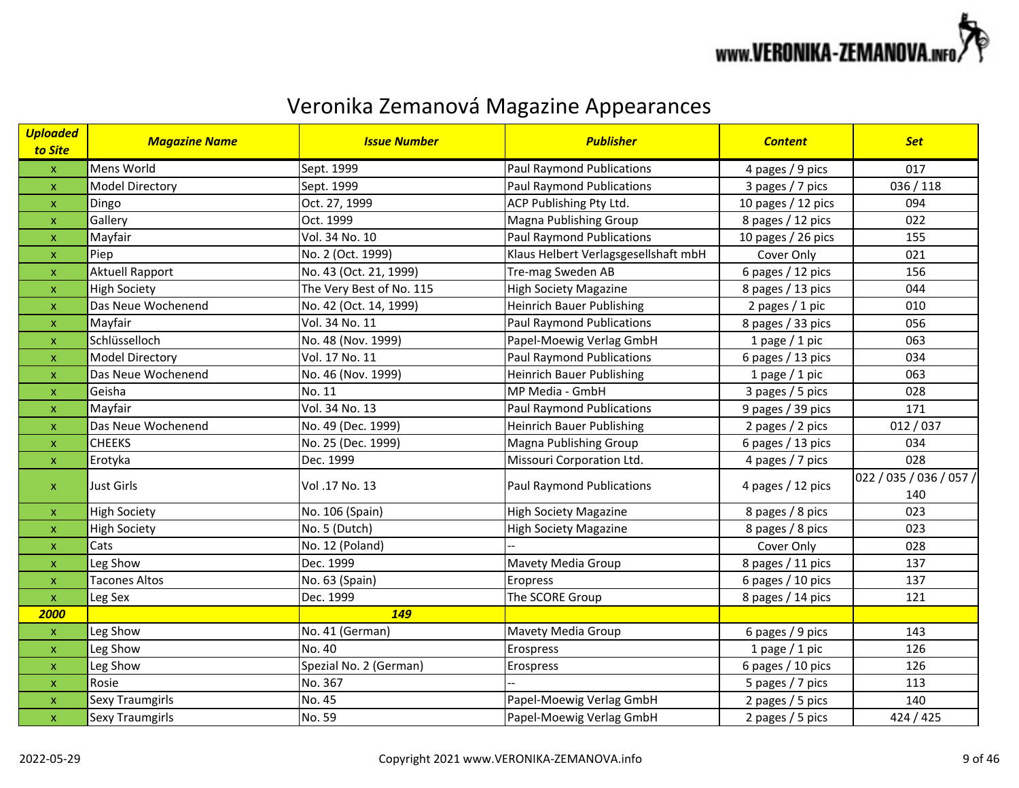

| <b>Uploaded</b><br>to Site | <b>Magazine Name</b>   | <b>Issue Number</b>      | <b>Publisher</b>                     | <b>Content</b>       | <b>Set</b>                     |
|----------------------------|------------------------|--------------------------|--------------------------------------|----------------------|--------------------------------|
| $\pmb{\mathsf{x}}$         | Mens World             | Sept. 1999               | <b>Paul Raymond Publications</b>     | 4 pages / 9 pics     | 017                            |
| $\pmb{\mathsf{X}}$         | Model Directory        | Sept. 1999               | <b>Paul Raymond Publications</b>     | 3 pages / 7 pics     | 036 / 118                      |
| $\mathsf X$                | Dingo                  | Oct. 27, 1999            | ACP Publishing Pty Ltd.              | 10 pages / 12 pics   | 094                            |
| $\boldsymbol{\mathsf{x}}$  | Gallery                | Oct. 1999                | Magna Publishing Group               | 8 pages / 12 pics    | 022                            |
| $\pmb{\mathsf{X}}$         | Mayfair                | Vol. 34 No. 10           | <b>Paul Raymond Publications</b>     | 10 pages $/$ 26 pics | 155                            |
| $\pmb{\mathsf{X}}$         | Piep                   | No. 2 (Oct. 1999)        | Klaus Helbert Verlagsgesellshaft mbH | Cover Only           | 021                            |
| $\pmb{\mathsf{X}}$         | <b>Aktuell Rapport</b> | No. 43 (Oct. 21, 1999)   | Tre-mag Sweden AB                    | 6 pages / 12 pics    | 156                            |
| $\pmb{\mathsf{x}}$         | <b>High Society</b>    | The Very Best of No. 115 | <b>High Society Magazine</b>         | 8 pages / 13 pics    | 044                            |
| $\pmb{\mathsf{X}}$         | Das Neue Wochenend     | No. 42 (Oct. 14, 1999)   | <b>Heinrich Bauer Publishing</b>     | 2 pages / 1 pic      | 010                            |
| $\boldsymbol{\mathsf{x}}$  | Mayfair                | Vol. 34 No. 11           | <b>Paul Raymond Publications</b>     | 8 pages / 33 pics    | 056                            |
| $\mathsf X$                | Schlüsselloch          | No. 48 (Nov. 1999)       | Papel-Moewig Verlag GmbH             | 1 page $/$ 1 pic     | 063                            |
| $\mathsf{x}$               | <b>Model Directory</b> | Vol. 17 No. 11           | <b>Paul Raymond Publications</b>     | 6 pages / 13 pics    | 034                            |
| $\mathsf{x}$               | Das Neue Wochenend     | No. 46 (Nov. 1999)       | <b>Heinrich Bauer Publishing</b>     | 1 page $/$ 1 pic     | 063                            |
| $\mathsf{x}$               | Geisha                 | No. 11                   | MP Media - GmbH                      | 3 pages / 5 pics     | 028                            |
| $\pmb{\mathsf{X}}$         | Mayfair                | Vol. 34 No. 13           | <b>Paul Raymond Publications</b>     | 9 pages / 39 pics    | 171                            |
| $\boldsymbol{\mathsf{x}}$  | Das Neue Wochenend     | No. 49 (Dec. 1999)       | <b>Heinrich Bauer Publishing</b>     | 2 pages / 2 pics     | 012 / 037                      |
| $\pmb{\mathsf{X}}$         | <b>CHEEKS</b>          | No. 25 (Dec. 1999)       | Magna Publishing Group               | 6 pages / 13 pics    | 034                            |
| $\pmb{\mathsf{X}}$         | Erotyka                | Dec. 1999                | Missouri Corporation Ltd.            | 4 pages / 7 pics     | 028                            |
| $\mathsf X$                | Just Girls             | Vol .17 No. 13           | <b>Paul Raymond Publications</b>     | 4 pages / 12 pics    | 022 / 035 / 036 / 057 /<br>140 |
| $\mathsf X$                | <b>High Society</b>    | No. 106 (Spain)          | <b>High Society Magazine</b>         | 8 pages / 8 pics     | 023                            |
| $\pmb{\mathsf{X}}$         | <b>High Society</b>    | No. 5 (Dutch)            | <b>High Society Magazine</b>         | 8 pages / 8 pics     | 023                            |
| $\pmb{\mathsf{X}}$         | Cats                   | No. 12 (Poland)          |                                      | Cover Only           | 028                            |
| $\pmb{\mathsf{X}}$         | Leg Show               | Dec. 1999                | Mavety Media Group                   | 8 pages / 11 pics    | 137                            |
| $\pmb{\mathsf{X}}$         | <b>Tacones Altos</b>   | No. 63 (Spain)           | Eropress                             | 6 pages / 10 pics    | 137                            |
| $\mathsf X$                | Leg Sex                | Dec. 1999                | The SCORE Group                      | 8 pages / 14 pics    | 121                            |
| 2000                       |                        | 149                      |                                      |                      |                                |
| $\pmb{\mathsf{X}}$         | Leg Show               | No. 41 (German)          | Mavety Media Group                   | 6 pages / 9 pics     | 143                            |
| $\mathsf{x}$               | Leg Show               | No. 40                   | Erospress                            | 1 page $/$ 1 pic     | 126                            |
| $\boldsymbol{\mathsf{x}}$  | Leg Show               | Spezial No. 2 (German)   | Erospress                            | 6 pages / 10 pics    | 126                            |
| $\mathsf{x}$               | Rosie                  | No. 367                  |                                      | 5 pages / 7 pics     | 113                            |
| $\pmb{\mathsf{X}}$         | Sexy Traumgirls        | No. 45                   | Papel-Moewig Verlag GmbH             | 2 pages / 5 pics     | 140                            |
| $\boldsymbol{\mathsf{X}}$  | <b>Sexy Traumgirls</b> | No. 59                   | Papel-Moewig Verlag GmbH             | 2 pages / 5 pics     | 424 / 425                      |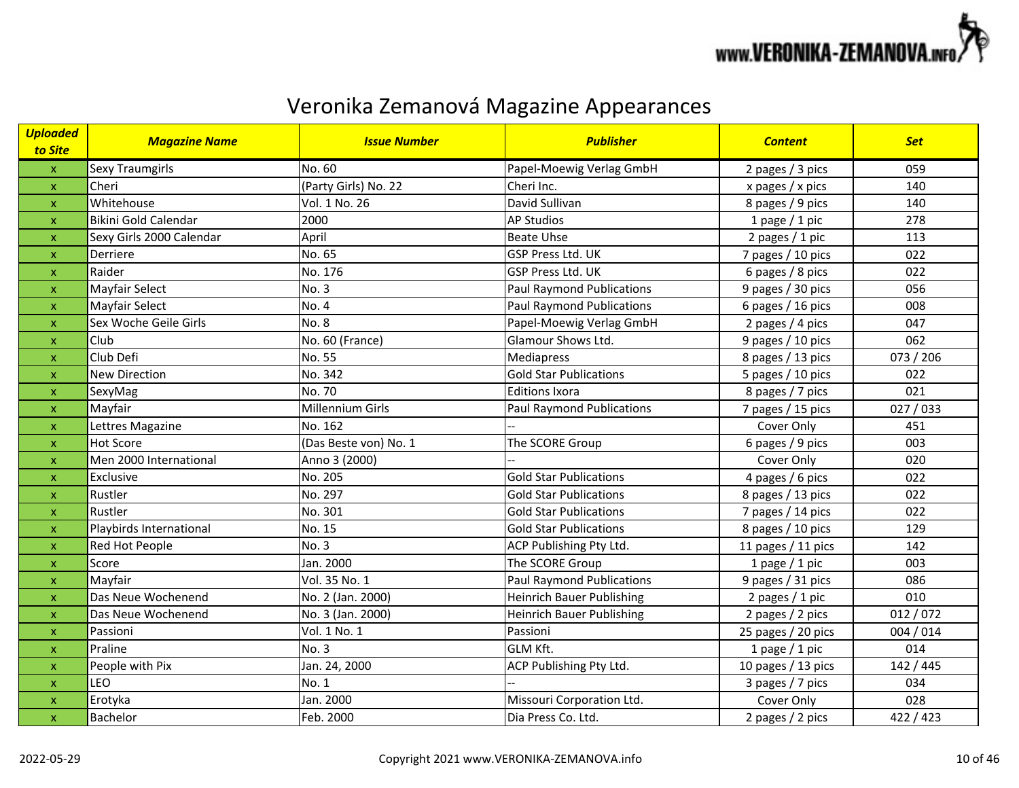

| <mark>Uploaded</mark><br>to Site | <b>Magazine Name</b>        | <b>Issue Number</b>   | <b>Publisher</b>                 | <b>Content</b>     | <b>Set</b> |
|----------------------------------|-----------------------------|-----------------------|----------------------------------|--------------------|------------|
| $\boldsymbol{\mathsf{X}}$        | <b>Sexy Traumgirls</b>      | No. 60                | Papel-Moewig Verlag GmbH         | 2 pages / 3 pics   | 059        |
| $\mathsf{x}$                     | Cheri                       | (Party Girls) No. 22  | Cheri Inc.                       | x pages / x pics   | 140        |
| $\pmb{\mathsf{x}}$               | Whitehouse                  | Vol. 1 No. 26         | David Sullivan                   | 8 pages / 9 pics   | 140        |
| $\mathsf{x}$                     | <b>Bikini Gold Calendar</b> | 2000                  | <b>AP Studios</b>                | 1 page $/$ 1 pic   | 278        |
| $\boldsymbol{\mathsf{x}}$        | Sexy Girls 2000 Calendar    | April                 | <b>Beate Uhse</b>                | 2 pages / 1 pic    | 113        |
| $\boldsymbol{\mathsf{x}}$        | Derriere                    | No. 65                | GSP Press Ltd. UK                | 7 pages / 10 pics  | 022        |
| $\pmb{\mathsf{x}}$               | Raider                      | No. 176               | <b>GSP Press Ltd. UK</b>         | 6 pages / 8 pics   | 022        |
| $\boldsymbol{\mathsf{x}}$        | Mayfair Select              | No. 3                 | <b>Paul Raymond Publications</b> | 9 pages / 30 pics  | 056        |
| $\pmb{\mathsf{X}}$               | Mayfair Select              | No. 4                 | <b>Paul Raymond Publications</b> | 6 pages / 16 pics  | 008        |
| $\pmb{\mathsf{x}}$               | Sex Woche Geile Girls       | <b>No. 8</b>          | Papel-Moewig Verlag GmbH         | 2 pages / 4 pics   | 047        |
| $\pmb{\mathsf{X}}$               | Club                        | No. 60 (France)       | Glamour Shows Ltd.               | 9 pages / 10 pics  | 062        |
| $\mathsf{x}$                     | Club Defi                   | No. 55                | Mediapress                       | 8 pages / 13 pics  | 073 / 206  |
| $\boldsymbol{\mathsf{x}}$        | <b>New Direction</b>        | No. 342               | <b>Gold Star Publications</b>    | 5 pages / 10 pics  | 022        |
| $\boldsymbol{\mathsf{x}}$        | SexyMag                     | No. 70                | <b>Editions Ixora</b>            | 8 pages / 7 pics   | 021        |
| $\boldsymbol{\mathsf{X}}$        | Mayfair                     | Millennium Girls      | <b>Paul Raymond Publications</b> | 7 pages / 15 pics  | 027/033    |
| $\boldsymbol{\mathsf{x}}$        | Lettres Magazine            | No. 162               |                                  | Cover Only         | 451        |
| X                                | <b>Hot Score</b>            | (Das Beste von) No. 1 | The SCORE Group                  | 6 pages / 9 pics   | 003        |
| $\mathsf{x}$                     | Men 2000 International      | Anno 3 (2000)         |                                  | Cover Only         | 020        |
| $\pmb{\mathsf{X}}$               | Exclusive                   | No. 205               | <b>Gold Star Publications</b>    | 4 pages / 6 pics   | 022        |
| $\pmb{\mathsf{X}}$               | Rustler                     | No. 297               | <b>Gold Star Publications</b>    | 8 pages / 13 pics  | 022        |
| $\pmb{\mathsf{X}}$               | Rustler                     | No. 301               | <b>Gold Star Publications</b>    | 7 pages / 14 pics  | 022        |
| $\boldsymbol{\mathsf{X}}$        | Playbirds International     | No. 15                | <b>Gold Star Publications</b>    | 8 pages / 10 pics  | 129        |
| $\mathsf{x}$                     | Red Hot People              | No. 3                 | ACP Publishing Pty Ltd.          | 11 pages / 11 pics | 142        |
| $\pmb{\mathsf{x}}$               | Score                       | Jan. 2000             | The SCORE Group                  | 1 page $/$ 1 pic   | 003        |
| $\mathsf{x}$                     | Mayfair                     | Vol. 35 No. 1         | <b>Paul Raymond Publications</b> | 9 pages / 31 pics  | 086        |
| $\pmb{\mathsf{X}}$               | Das Neue Wochenend          | No. 2 (Jan. 2000)     | <b>Heinrich Bauer Publishing</b> | 2 pages / 1 pic    | 010        |
| $\mathsf{x}$                     | Das Neue Wochenend          | No. 3 (Jan. 2000)     | <b>Heinrich Bauer Publishing</b> | 2 pages / 2 pics   | 012/072    |
| $\pmb{\mathsf{X}}$               | Passioni                    | Vol. 1 No. 1          | Passioni                         | 25 pages / 20 pics | 004 / 014  |
| $\mathsf{x}$                     | Praline                     | <b>No. 3</b>          | GLM Kft.                         | 1 page $/$ 1 pic   | 014        |
| $\boldsymbol{\mathsf{x}}$        | People with Pix             | Jan. 24, 2000         | ACP Publishing Pty Ltd.          | 10 pages / 13 pics | 142 / 445  |
| $\boldsymbol{\mathsf{X}}$        | <b>LEO</b>                  | No. 1                 |                                  | 3 pages / 7 pics   | 034        |
| $\pmb{\mathsf{x}}$               | Erotyka                     | Jan. 2000             | Missouri Corporation Ltd.        | Cover Only         | 028        |
| $\boldsymbol{\mathsf{X}}$        | <b>Bachelor</b>             | Feb. 2000             | Dia Press Co. Ltd.               | 2 pages / 2 pics   | 422 / 423  |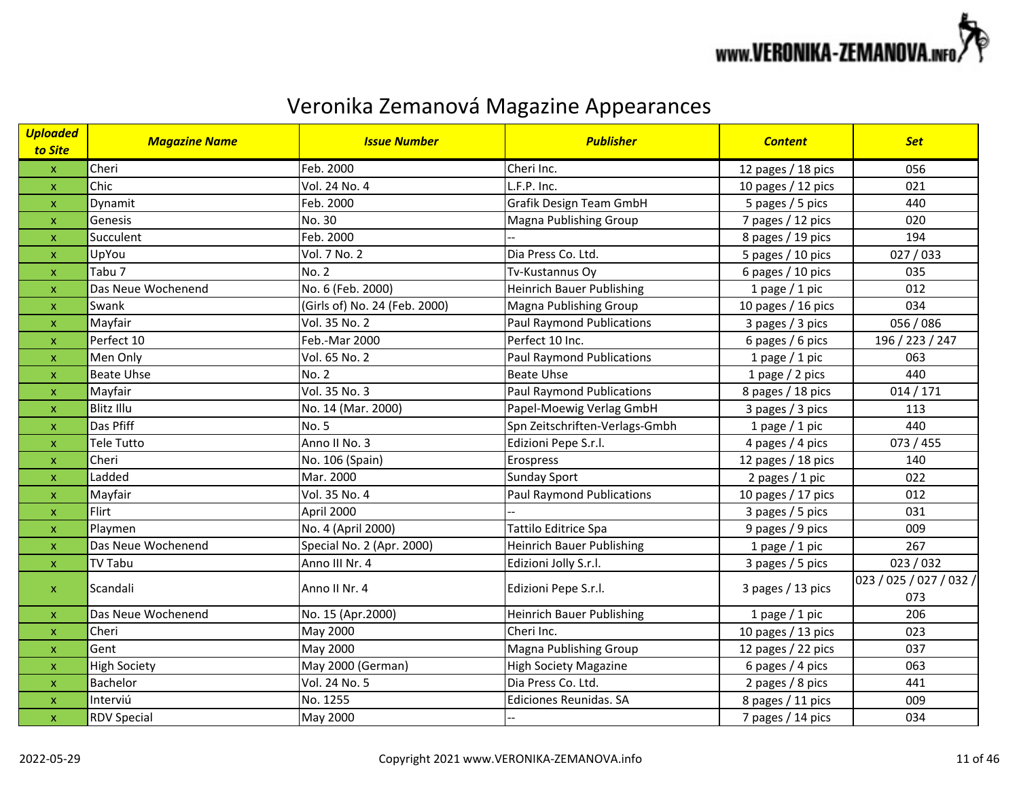

| <b>Uploaded</b><br>to Site | <b>Magazine Name</b> | <b>Issue Number</b>           | <b>Publisher</b>                 | <b>Content</b>     | <b>Set</b>                     |
|----------------------------|----------------------|-------------------------------|----------------------------------|--------------------|--------------------------------|
| $\mathsf X$                | Cheri                | Feb. 2000                     | Cheri Inc.                       | 12 pages / 18 pics | 056                            |
| $\pmb{\mathsf{X}}$         | Chic                 | Vol. 24 No. 4                 | L.F.P. Inc.                      | 10 pages / 12 pics | 021                            |
| $\pmb{\mathsf{X}}$         | Dynamit              | Feb. 2000                     | Grafik Design Team GmbH          | 5 pages / 5 pics   | 440                            |
| $\mathsf{x}$               | Genesis              | No. 30                        | Magna Publishing Group           | 7 pages / 12 pics  | 020                            |
| $\pmb{\mathsf{X}}$         | Succulent            | Feb. 2000                     |                                  | 8 pages / 19 pics  | 194                            |
| $\pmb{\mathsf{X}}$         | UpYou                | Vol. 7 No. 2                  | Dia Press Co. Ltd.               | 5 pages / 10 pics  | 027/033                        |
| $\mathbf{x}$               | Tabu 7               | <b>No. 2</b>                  | Tv-Kustannus Oy                  | 6 pages / 10 pics  | 035                            |
| $\mathbf{x}$               | Das Neue Wochenend   | No. 6 (Feb. 2000)             | <b>Heinrich Bauer Publishing</b> | 1 page $/$ 1 pic   | 012                            |
| $\boldsymbol{\mathsf{X}}$  | Swank                | (Girls of) No. 24 (Feb. 2000) | Magna Publishing Group           | 10 pages / 16 pics | 034                            |
| $\mathsf X$                | Mayfair              | Vol. 35 No. 2                 | <b>Paul Raymond Publications</b> | 3 pages / 3 pics   | 056 / 086                      |
| $\pmb{\mathsf{X}}$         | Perfect 10           | Feb.-Mar 2000                 | Perfect 10 Inc.                  | 6 pages / 6 pics   | 196 / 223 / 247                |
| $\pmb{\mathsf{X}}$         | Men Only             | Vol. 65 No. 2                 | <b>Paul Raymond Publications</b> | 1 page $/$ 1 pic   | 063                            |
| $\pmb{\mathsf{X}}$         | <b>Beate Uhse</b>    | <b>No. 2</b>                  | <b>Beate Uhse</b>                | 1 page $/$ 2 pics  | 440                            |
| $\pmb{\mathsf{X}}$         | Mayfair              | Vol. 35 No. 3                 | Paul Raymond Publications        | 8 pages / 18 pics  | 014/171                        |
| $\mathbf{x}$               | <b>Blitz Illu</b>    | No. 14 (Mar. 2000)            | Papel-Moewig Verlag GmbH         | 3 pages / 3 pics   | 113                            |
| $\boldsymbol{\mathsf{X}}$  | Das Pfiff            | No. 5                         | Spn Zeitschriften-Verlags-Gmbh   | 1 page $/$ 1 pic   | 440                            |
| $\pmb{\mathsf{X}}$         | <b>Tele Tutto</b>    | Anno II No. 3                 | Edizioni Pepe S.r.l.             | 4 pages / 4 pics   | 073 / 455                      |
| $\pmb{\mathsf{x}}$         | Cheri                | No. 106 (Spain)               | Erospress                        | 12 pages / 18 pics | 140                            |
| $\mathbf{x}$               | Ladded               | Mar. 2000                     | <b>Sunday Sport</b>              | 2 pages $/ 1$ pic  | 022                            |
| $\pmb{\mathsf{X}}$         | Mayfair              | Vol. 35 No. 4                 | <b>Paul Raymond Publications</b> | 10 pages / 17 pics | 012                            |
| $\mathbf{x}$               | Flirt                | April 2000                    |                                  | 3 pages / 5 pics   | 031                            |
| $\boldsymbol{\mathsf{X}}$  | Playmen              | No. 4 (April 2000)            | Tattilo Editrice Spa             | 9 pages / 9 pics   | 009                            |
| $\mathbf{x}$               | Das Neue Wochenend   | Special No. 2 (Apr. 2000)     | <b>Heinrich Bauer Publishing</b> | 1 page $/$ 1 pic   | 267                            |
| $\pmb{\mathsf{X}}$         | <b>TV Tabu</b>       | Anno III Nr. 4                | Edizioni Jolly S.r.l.            | 3 pages / 5 pics   | 023 / 032                      |
| $\pmb{\times}$             | Scandali             | Anno II Nr. 4                 | Edizioni Pepe S.r.l.             | 3 pages / 13 pics  | 023 / 025 / 027 / 032 /<br>073 |
| $\mathsf{x}$               | Das Neue Wochenend   | No. 15 (Apr.2000)             | <b>Heinrich Bauer Publishing</b> | 1 page $/$ 1 pic   | 206                            |
| $\mathsf X$                | Cheri                | May 2000                      | Cheri Inc.                       | 10 pages / 13 pics | 023                            |
| $\mathbf{x}$               | Gent                 | May 2000                      | Magna Publishing Group           | 12 pages / 22 pics | 037                            |
| $\boldsymbol{\mathsf{x}}$  | <b>High Society</b>  | May 2000 (German)             | <b>High Society Magazine</b>     | 6 pages / 4 pics   | 063                            |
| $\boldsymbol{\mathsf{x}}$  | Bachelor             | Vol. 24 No. 5                 | Dia Press Co. Ltd.               | 2 pages / 8 pics   | 441                            |
| $\pmb{\mathsf{X}}$         | Interviú             | No. 1255                      | Ediciones Reunidas. SA           | 8 pages / 11 pics  | 009                            |
| $\pmb{\mathsf{X}}$         | <b>RDV Special</b>   | May 2000                      |                                  | 7 pages / 14 pics  | 034                            |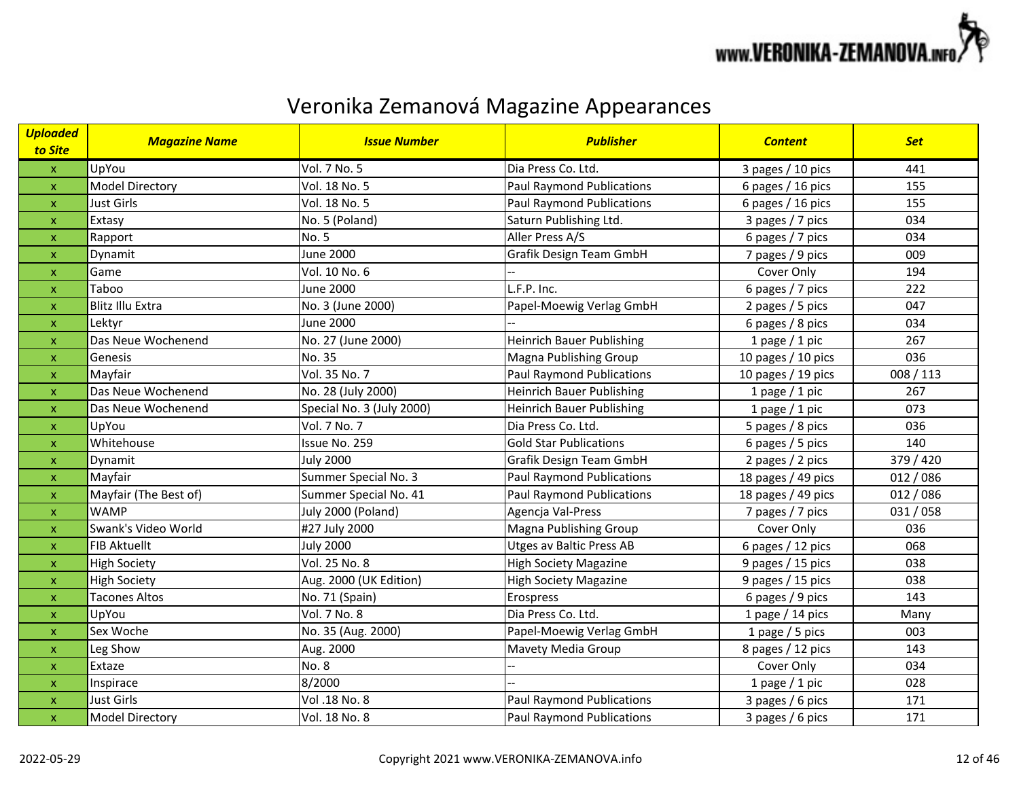

| <b>Uploaded</b><br>to Site | <b>Magazine Name</b>    | <b>Issue Number</b>       | <b>Publisher</b>                 | <b>Content</b>       | <b>Set</b> |
|----------------------------|-------------------------|---------------------------|----------------------------------|----------------------|------------|
| $\mathbf{x}$               | UpYou                   | Vol. 7 No. 5              | Dia Press Co. Ltd.               | 3 pages / 10 pics    | 441        |
| $\pmb{\mathsf{x}}$         | <b>Model Directory</b>  | Vol. 18 No. 5             | <b>Paul Raymond Publications</b> | 6 pages / 16 pics    | 155        |
| $\pmb{\mathsf{X}}$         | <b>Just Girls</b>       | Vol. 18 No. 5             | <b>Paul Raymond Publications</b> | 6 pages / 16 pics    | 155        |
| $\pmb{\mathsf{X}}$         | Extasy                  | No. 5 (Poland)            | Saturn Publishing Ltd.           | 3 pages / 7 pics     | 034        |
| $\pmb{\mathsf{x}}$         | Rapport                 | No. 5                     | Aller Press A/S                  | 6 pages / 7 pics     | 034        |
| $\mathsf{x}$               | Dynamit                 | <b>June 2000</b>          | Grafik Design Team GmbH          | 7 pages / 9 pics     | 009        |
| $\pmb{\mathsf{X}}$         | Game                    | Vol. 10 No. 6             |                                  | Cover Only           | 194        |
| $\pmb{\mathsf{x}}$         | Taboo                   | June 2000                 | L.F.P. Inc.                      | 6 pages / 7 pics     | 222        |
| $\pmb{\mathsf{X}}$         | <b>Blitz Illu Extra</b> | No. 3 (June 2000)         | Papel-Moewig Verlag GmbH         | 2 pages / 5 pics     | 047        |
| $\pmb{\mathsf{X}}$         | Lektyr                  | <b>June 2000</b>          |                                  | 6 pages / 8 pics     | 034        |
| $\mathsf{x}$               | Das Neue Wochenend      | No. 27 (June 2000)        | <b>Heinrich Bauer Publishing</b> | 1 page $/$ 1 pic     | 267        |
| $\pmb{\mathsf{X}}$         | Genesis                 | No. 35                    | Magna Publishing Group           | 10 pages $/$ 10 pics | 036        |
| $\boldsymbol{\mathsf{X}}$  | Mayfair                 | Vol. 35 No. 7             | Paul Raymond Publications        | 10 pages $/$ 19 pics | 008 / 113  |
| $\mathsf{x}$               | Das Neue Wochenend      | No. 28 (July 2000)        | <b>Heinrich Bauer Publishing</b> | 1 page $/$ 1 pic     | 267        |
| $\mathsf{x}$               | Das Neue Wochenend      | Special No. 3 (July 2000) | <b>Heinrich Bauer Publishing</b> | 1 page $/$ 1 pic     | 073        |
| $\boldsymbol{\mathsf{x}}$  | UpYou                   | Vol. 7 No. 7              | Dia Press Co. Ltd.               | 5 pages / 8 pics     | 036        |
| $\boldsymbol{\mathsf{x}}$  | Whitehouse              | Issue No. 259             | <b>Gold Star Publications</b>    | 6 pages / 5 pics     | 140        |
| $\pmb{\mathsf{X}}$         | Dynamit                 | <b>July 2000</b>          | Grafik Design Team GmbH          | 2 pages / 2 pics     | 379 / 420  |
| $\mathsf{x}$               | Mayfair                 | Summer Special No. 3      | <b>Paul Raymond Publications</b> | 18 pages / 49 pics   | 012 / 086  |
| $\pmb{\mathsf{X}}$         | Mayfair (The Best of)   | Summer Special No. 41     | <b>Paul Raymond Publications</b> | 18 pages / 49 pics   | 012 / 086  |
| $\mathsf{x}$               | <b>WAMP</b>             | July 2000 (Poland)        | Agencja Val-Press                | 7 pages / 7 pics     | 031/058    |
| $\pmb{\mathsf{x}}$         | Swank's Video World     | #27 July 2000             | <b>Magna Publishing Group</b>    | Cover Only           | 036        |
| $\pmb{\mathsf{X}}$         | <b>FIB Aktuellt</b>     | <b>July 2000</b>          | <b>Utges av Baltic Press AB</b>  | 6 pages / 12 pics    | 068        |
| $\pmb{\mathsf{x}}$         | <b>High Society</b>     | Vol. 25 No. 8             | <b>High Society Magazine</b>     | 9 pages / 15 pics    | 038        |
| $\pmb{\mathsf{x}}$         | <b>High Society</b>     | Aug. 2000 (UK Edition)    | <b>High Society Magazine</b>     | 9 pages / 15 pics    | 038        |
| $\mathsf{x}$               | <b>Tacones Altos</b>    | No. 71 (Spain)            | Erospress                        | 6 pages / 9 pics     | 143        |
| $\boldsymbol{\mathsf{x}}$  | UpYou                   | Vol. 7 No. 8              | Dia Press Co. Ltd.               | 1 page / 14 pics     | Many       |
| $\mathsf{x}$               | Sex Woche               | No. 35 (Aug. 2000)        | Papel-Moewig Verlag GmbH         | 1 page / 5 pics      | 003        |
| $\mathsf{x}$               | Leg Show                | Aug. 2000                 | Mavety Media Group               | 8 pages / 12 pics    | 143        |
| $\pmb{\mathsf{X}}$         | Extaze                  | <b>No. 8</b>              |                                  | Cover Only           | 034        |
| $\boldsymbol{\mathsf{x}}$  | Inspirace               | 8/2000                    |                                  | 1 page $/$ 1 pic     | 028        |
| $\pmb{\mathsf{x}}$         | <b>Just Girls</b>       | Vol .18 No. 8             | <b>Paul Raymond Publications</b> | 3 pages / 6 pics     | 171        |
| $\pmb{\mathsf{x}}$         | Model Directory         | Vol. 18 No. 8             | <b>Paul Raymond Publications</b> | 3 pages / 6 pics     | 171        |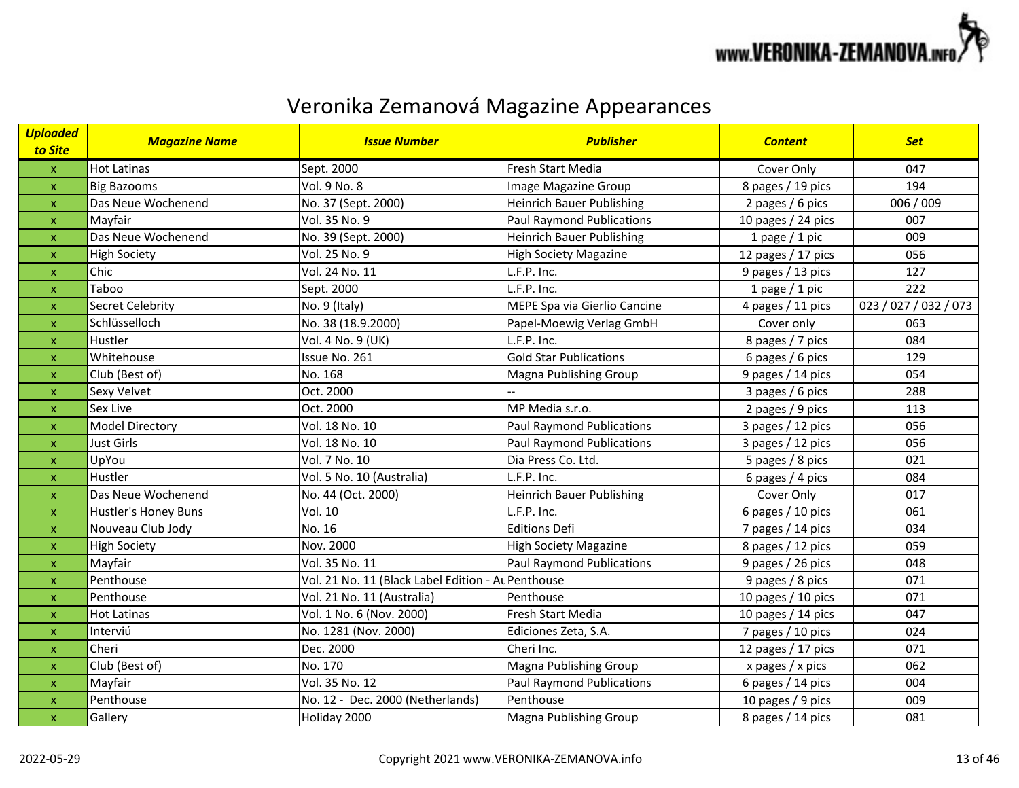

| <b>Uploaded</b><br>to Site | <b>Magazine Name</b> | <b>Issue Number</b>                                | <b>Publisher</b>                 | <b>Content</b>       | <b>Set</b>            |
|----------------------------|----------------------|----------------------------------------------------|----------------------------------|----------------------|-----------------------|
| $\boldsymbol{\mathsf{X}}$  | <b>Hot Latinas</b>   | Sept. 2000                                         | <b>Fresh Start Media</b>         | Cover Only           | 047                   |
| $\mathsf{x}$               | <b>Big Bazooms</b>   | Vol. 9 No. 8                                       | Image Magazine Group             | 8 pages / 19 pics    | 194                   |
| $\pmb{\mathsf{x}}$         | Das Neue Wochenend   | No. 37 (Sept. 2000)                                | <b>Heinrich Bauer Publishing</b> | 2 pages / 6 pics     | 006 / 009             |
| $\mathsf{x}$               | Mayfair              | Vol. 35 No. 9                                      | <b>Paul Raymond Publications</b> | 10 pages / 24 pics   | 007                   |
| $\mathsf{x}$               | Das Neue Wochenend   | No. 39 (Sept. 2000)                                | <b>Heinrich Bauer Publishing</b> | 1 page $/$ 1 pic     | 009                   |
| $\mathsf{x}$               | <b>High Society</b>  | Vol. 25 No. 9                                      | <b>High Society Magazine</b>     | 12 pages / 17 pics   | 056                   |
| $\boldsymbol{\mathsf{x}}$  | Chic                 | Vol. 24 No. 11                                     | L.F.P. Inc.                      | 9 pages / 13 pics    | 127                   |
| $\boldsymbol{\mathsf{x}}$  | Taboo                | Sept. 2000                                         | L.F.P. Inc.                      | 1 page $/$ 1 pic     | 222                   |
| $\pmb{\mathsf{x}}$         | Secret Celebrity     | No. 9 (Italy)                                      | MEPE Spa via Gierlio Cancine     | 4 pages / 11 pics    | 023 / 027 / 032 / 073 |
| $\pmb{\mathsf{X}}$         | Schlüsselloch        | No. 38 (18.9.2000)                                 | Papel-Moewig Verlag GmbH         | Cover only           | 063                   |
| $\pmb{\mathsf{X}}$         | Hustler              | Vol. 4 No. 9 (UK)                                  | L.F.P. Inc.                      | 8 pages / 7 pics     | 084                   |
| $\mathsf{x}$               | Whitehouse           | Issue No. 261                                      | <b>Gold Star Publications</b>    | 6 pages / 6 pics     | 129                   |
| $\boldsymbol{\mathsf{x}}$  | Club (Best of)       | No. 168                                            | Magna Publishing Group           | 9 pages / 14 pics    | 054                   |
| $\mathsf{x}$               | Sexy Velvet          | Oct. 2000                                          |                                  | 3 pages / 6 pics     | 288                   |
| $\mathsf{x}$               | Sex Live             | Oct. 2000                                          | MP Media s.r.o.                  | 2 pages / 9 pics     | 113                   |
| X                          | Model Directory      | Vol. 18 No. 10                                     | <b>Paul Raymond Publications</b> | 3 pages / 12 pics    | 056                   |
| X                          | <b>Just Girls</b>    | Vol. 18 No. 10                                     | <b>Paul Raymond Publications</b> | 3 pages / 12 pics    | 056                   |
| $\mathsf{x}$               | UpYou                | Vol. 7 No. 10                                      | Dia Press Co. Ltd.               | 5 pages / 8 pics     | 021                   |
| $\pmb{\mathsf{X}}$         | Hustler              | Vol. 5 No. 10 (Australia)                          | L.F.P. Inc.                      | 6 pages / 4 pics     | 084                   |
| $\mathsf{x}$               | Das Neue Wochenend   | No. 44 (Oct. 2000)                                 | <b>Heinrich Bauer Publishing</b> | Cover Only           | 017                   |
| $\pmb{\mathsf{X}}$         | Hustler's Honey Buns | Vol. 10                                            | L.F.P. Inc.                      | 6 pages / 10 pics    | 061                   |
| $\boldsymbol{\mathsf{X}}$  | Nouveau Club Jody    | No. 16                                             | <b>Editions Defi</b>             | 7 pages / 14 pics    | 034                   |
| $\mathsf{x}$               | <b>High Society</b>  | Nov. 2000                                          | <b>High Society Magazine</b>     | 8 pages / 12 pics    | 059                   |
| $\pmb{\mathsf{x}}$         | Mayfair              | Vol. 35 No. 11                                     | Paul Raymond Publications        | 9 pages / 26 pics    | 048                   |
| $\mathsf{x}$               | Penthouse            | Vol. 21 No. 11 (Black Label Edition - Au Penthouse |                                  | 9 pages / 8 pics     | 071                   |
| $\pmb{\mathsf{x}}$         | Penthouse            | Vol. 21 No. 11 (Australia)                         | Penthouse                        | 10 pages $/$ 10 pics | 071                   |
| $\mathsf{x}$               | <b>Hot Latinas</b>   | Vol. 1 No. 6 (Nov. 2000)                           | Fresh Start Media                | 10 pages $/$ 14 pics | 047                   |
| $\mathsf{x}$               | Interviú             | No. 1281 (Nov. 2000)                               | Ediciones Zeta, S.A.             | 7 pages / 10 pics    | 024                   |
| $\boldsymbol{\mathsf{X}}$  | Cheri                | Dec. 2000                                          | Cheri Inc.                       | 12 pages / 17 pics   | 071                   |
| $\boldsymbol{\mathsf{x}}$  | Club (Best of)       | No. 170                                            | <b>Magna Publishing Group</b>    | x pages / x pics     | 062                   |
| $\mathsf{x}$               | Mayfair              | Vol. 35 No. 12                                     | <b>Paul Raymond Publications</b> | 6 pages / 14 pics    | 004                   |
| $\pmb{\mathsf{x}}$         | Penthouse            | No. 12 - Dec. 2000 (Netherlands)                   | Penthouse                        | 10 pages / 9 pics    | 009                   |
| $\mathsf{x}$               | Gallery              | Holiday 2000                                       | <b>Magna Publishing Group</b>    | 8 pages / 14 pics    | 081                   |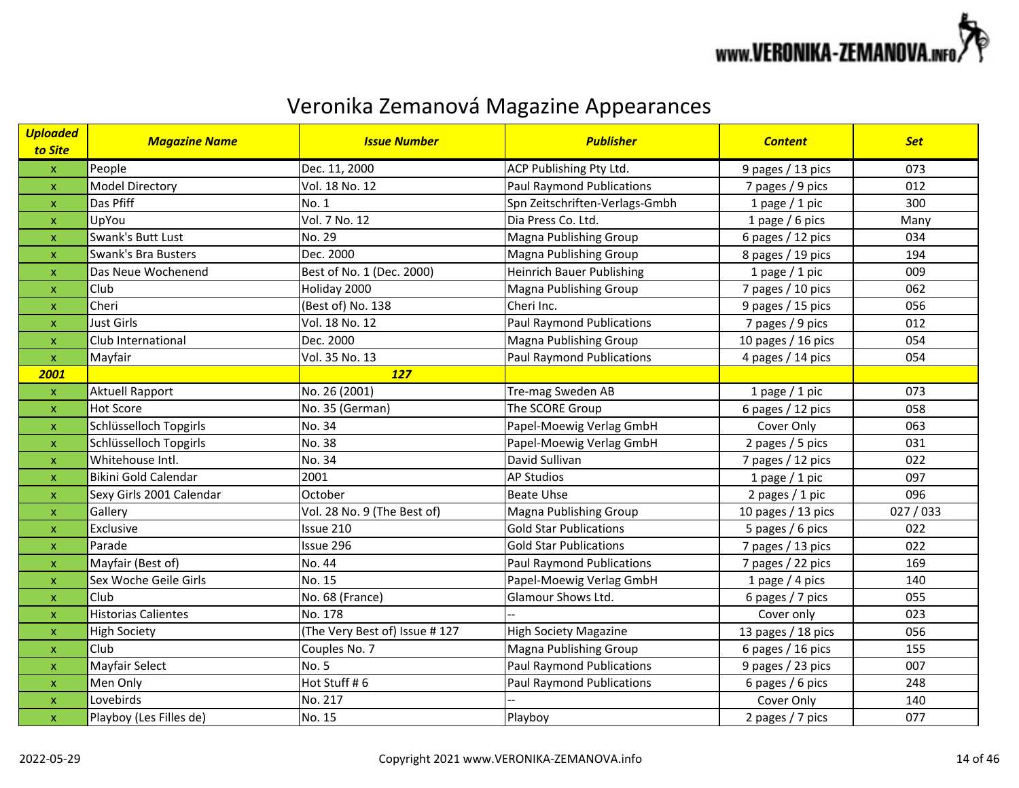

| <b>Uploaded</b><br>to Site | <b>Magazine Name</b>       | <b>Issue Number</b>           | <b>Publisher</b>                 | <b>Content</b>       | <b>Set</b> |
|----------------------------|----------------------------|-------------------------------|----------------------------------|----------------------|------------|
| $\mathsf X$                | People                     | Dec. 11, 2000                 | ACP Publishing Pty Ltd.          | 9 pages / 13 pics    | 073        |
| $\mathsf{x}$               | <b>Model Directory</b>     | Vol. 18 No. 12                | <b>Paul Raymond Publications</b> | 7 pages / 9 pics     | 012        |
| $\pmb{\mathsf{x}}$         | Das Pfiff                  | No. 1                         | Spn Zeitschriften-Verlags-Gmbh   | 1 page $/$ 1 pic     | 300        |
| $\mathsf{x}$               | UpYou                      | Vol. 7 No. 12                 | Dia Press Co. Ltd.               | 1 page / 6 pics      | Many       |
| $\boldsymbol{\mathsf{x}}$  | Swank's Butt Lust          | No. 29                        | Magna Publishing Group           | 6 pages / 12 pics    | 034        |
| $\mathsf{x}$               | Swank's Bra Busters        | Dec. 2000                     | Magna Publishing Group           | 8 pages / 19 pics    | 194        |
| $\boldsymbol{\mathsf{x}}$  | Das Neue Wochenend         | Best of No. 1 (Dec. 2000)     | <b>Heinrich Bauer Publishing</b> | 1 page $/$ 1 pic     | 009        |
| $\mathsf{x}$               | Club                       | Holiday 2000                  | Magna Publishing Group           | 7 pages / 10 pics    | 062        |
| $\pmb{\mathsf{x}}$         | Cheri                      | (Best of) No. 138             | Cheri Inc.                       | 9 pages / 15 pics    | 056        |
| $\boldsymbol{\mathsf{x}}$  | <b>Just Girls</b>          | Vol. 18 No. 12                | <b>Paul Raymond Publications</b> | 7 pages / 9 pics     | 012        |
| $\pmb{\mathsf{X}}$         | Club International         | Dec. 2000                     | Magna Publishing Group           | 10 pages $/$ 16 pics | 054        |
| $\mathsf X$                | Mayfair                    | Vol. 35 No. 13                | <b>Paul Raymond Publications</b> | 4 pages / 14 pics    | 054        |
| 2001                       |                            | <b>127</b>                    |                                  |                      |            |
| $\mathsf{x}$               | <b>Aktuell Rapport</b>     | No. 26 (2001)                 | Tre-mag Sweden AB                | 1 page $/$ 1 pic     | 073        |
| $\boldsymbol{\mathsf{x}}$  | <b>Hot Score</b>           | No. 35 (German)               | The SCORE Group                  | 6 pages / 12 pics    | 058        |
| $\pmb{\mathsf{x}}$         | Schlüsselloch Topgirls     | No. 34                        | Papel-Moewig Verlag GmbH         | Cover Only           | 063        |
| X                          | Schlüsselloch Topgirls     | No. 38                        | Papel-Moewig Verlag GmbH         | 2 pages / 5 pics     | 031        |
| X                          | Whitehouse Intl.           | No. 34                        | David Sullivan                   | 7 pages / 12 pics    | 022        |
| $\pmb{\mathsf{X}}$         | Bikini Gold Calendar       | 2001                          | <b>AP Studios</b>                | 1 page $/$ 1 pic     | 097        |
| $\mathsf{x}$               | Sexy Girls 2001 Calendar   | October                       | <b>Beate Uhse</b>                | 2 pages $/ 1$ pic    | 096        |
| $\pmb{\mathsf{x}}$         | Gallery                    | Vol. 28 No. 9 (The Best of)   | Magna Publishing Group           | 10 pages / 13 pics   | 027/033    |
| $\boldsymbol{\mathsf{x}}$  | Exclusive                  | Issue 210                     | <b>Gold Star Publications</b>    | 5 pages / 6 pics     | 022        |
| $\mathsf{x}$               | Parade                     | Issue 296                     | <b>Gold Star Publications</b>    | 7 pages / 13 pics    | 022        |
| $\pmb{\mathsf{x}}$         | Mayfair (Best of)          | No. 44                        | <b>Paul Raymond Publications</b> | 7 pages / 22 pics    | 169        |
| $\pmb{\mathsf{X}}$         | Sex Woche Geile Girls      | No. 15                        | Papel-Moewig Verlag GmbH         | 1 page $/$ 4 pics    | 140        |
| $\pmb{\mathsf{X}}$         | Club                       | No. 68 (France)               | Glamour Shows Ltd.               | 6 pages / 7 pics     | 055        |
| $\pmb{\mathsf{X}}$         | <b>Historias Calientes</b> | No. 178                       |                                  | Cover only           | 023        |
| $\mathsf{x}$               | <b>High Society</b>        | (The Very Best of) Issue #127 | High Society Magazine            | 13 pages / 18 pics   | 056        |
| $\pmb{\mathsf{X}}$         | Club                       | Couples No. 7                 | Magna Publishing Group           | 6 pages / 16 pics    | 155        |
| $\mathsf{x}$               | Mayfair Select             | <b>No. 5</b>                  | <b>Paul Raymond Publications</b> | 9 pages / 23 pics    | 007        |
| $\mathsf{x}$               | Men Only                   | Hot Stuff #6                  | <b>Paul Raymond Publications</b> | 6 pages / 6 pics     | 248        |
| $\boldsymbol{\mathsf{x}}$  | Lovebirds                  | No. 217                       |                                  | Cover Only           | 140        |
| $\pmb{\mathsf{X}}$         | Playboy (Les Filles de)    | No. 15                        | Playboy                          | 2 pages / 7 pics     | 077        |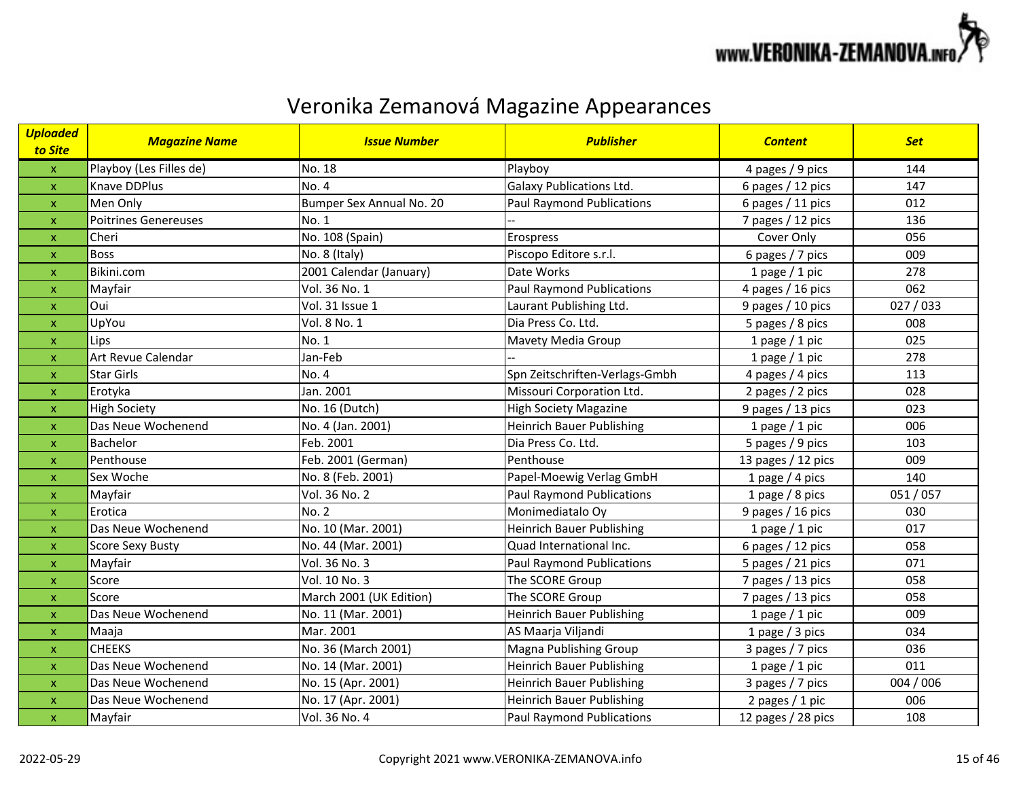

| Uploaded<br>to Site       | <b>Magazine Name</b>        | <b>Issue Number</b>      | <b>Publisher</b>                 | <b>Content</b>     | <b>Set</b> |
|---------------------------|-----------------------------|--------------------------|----------------------------------|--------------------|------------|
| $\pmb{\mathsf{x}}$        | Playboy (Les Filles de)     | No. 18                   | Playboy                          | 4 pages / 9 pics   | 144        |
| $\pmb{\mathsf{x}}$        | Knave DDPlus                | No. 4                    | <b>Galaxy Publications Ltd.</b>  | 6 pages / 12 pics  | 147        |
| $\boldsymbol{\mathsf{x}}$ | Men Only                    | Bumper Sex Annual No. 20 | <b>Paul Raymond Publications</b> | 6 pages / 11 pics  | 012        |
| $\pmb{\mathsf{X}}$        | <b>Poitrines Genereuses</b> | No. 1                    |                                  | 7 pages / 12 pics  | 136        |
| $\mathsf{x}$              | Cheri                       | No. 108 (Spain)          | Erospress                        | Cover Only         | 056        |
| $\pmb{\mathsf{X}}$        | <b>Boss</b>                 | No. 8 (Italy)            | Piscopo Editore s.r.l.           | 6 pages / 7 pics   | 009        |
| $\boldsymbol{\mathsf{X}}$ | Bikini.com                  | 2001 Calendar (January)  | Date Works                       | 1 page $/$ 1 pic   | 278        |
| $\mathsf{x}$              | Mayfair                     | Vol. 36 No. 1            | <b>Paul Raymond Publications</b> | 4 pages / 16 pics  | 062        |
| $\pmb{\mathsf{x}}$        | Oui                         | Vol. 31 Issue 1          | Laurant Publishing Ltd.          | 9 pages / 10 pics  | 027/033    |
| $\boldsymbol{\mathsf{x}}$ | UpYou                       | Vol. 8 No. 1             | Dia Press Co. Ltd.               | 5 pages / 8 pics   | 008        |
| $\pmb{\mathsf{x}}$        | Lips                        | No. 1                    | Mavety Media Group               | 1 page $/$ 1 pic   | 025        |
| $\mathsf{x}$              | <b>Art Revue Calendar</b>   | Jan-Feb                  |                                  | 1 page $/$ 1 pic   | 278        |
| $\boldsymbol{\mathsf{x}}$ | <b>Star Girls</b>           | No. 4                    | Spn Zeitschriften-Verlags-Gmbh   | 4 pages / 4 pics   | 113        |
| $\boldsymbol{\mathsf{x}}$ | Erotyka                     | Jan. 2001                | Missouri Corporation Ltd.        | 2 pages / 2 pics   | 028        |
| $\boldsymbol{\mathsf{x}}$ | <b>High Society</b>         | No. 16 (Dutch)           | <b>High Society Magazine</b>     | 9 pages / 13 pics  | 023        |
| $\pmb{\mathsf{x}}$        | Das Neue Wochenend          | No. 4 (Jan. 2001)        | <b>Heinrich Bauer Publishing</b> | 1 page $/$ 1 pic   | 006        |
| X                         | Bachelor                    | Feb. 2001                | Dia Press Co. Ltd.               | 5 pages / 9 pics   | 103        |
| X                         | Penthouse                   | Feb. 2001 (German)       | Penthouse                        | 13 pages / 12 pics | 009        |
| $\pmb{\mathsf{x}}$        | Sex Woche                   | No. 8 (Feb. 2001)        | Papel-Moewig Verlag GmbH         | 1 page $/$ 4 pics  | 140        |
| $\mathsf{x}$              | Mayfair                     | Vol. 36 No. 2            | <b>Paul Raymond Publications</b> | 1 page / 8 pics    | 051/057    |
| $\pmb{\mathsf{x}}$        | Erotica                     | <b>No. 2</b>             | Monimediatalo Oy                 | 9 pages / 16 pics  | 030        |
| $\boldsymbol{\mathsf{x}}$ | Das Neue Wochenend          | No. 10 (Mar. 2001)       | <b>Heinrich Bauer Publishing</b> | 1 page $/$ 1 pic   | 017        |
| $\pmb{\mathsf{x}}$        | <b>Score Sexy Busty</b>     | No. 44 (Mar. 2001)       | Quad International Inc.          | 6 pages / 12 pics  | 058        |
| $\pmb{\mathsf{x}}$        | Mayfair                     | Vol. 36 No. 3            | <b>Paul Raymond Publications</b> | 5 pages / 21 pics  | 071        |
| X                         | Score                       | Vol. 10 No. 3            | The SCORE Group                  | 7 pages / 13 pics  | 058        |
| $\pmb{\mathsf{x}}$        | Score                       | March 2001 (UK Edition)  | The SCORE Group                  | 7 pages / 13 pics  | 058        |
| $\mathsf{x}$              | Das Neue Wochenend          | No. 11 (Mar. 2001)       | <b>Heinrich Bauer Publishing</b> | 1 page $/$ 1 pic   | 009        |
| $\pmb{\mathsf{X}}$        | Maaja                       | Mar. 2001                | AS Maarja Viljandi               | 1 page $/$ 3 pics  | 034        |
| $\mathsf{x}$              | <b>CHEEKS</b>               | No. 36 (March 2001)      | Magna Publishing Group           | 3 pages / 7 pics   | 036        |
| $\boldsymbol{\mathsf{x}}$ | Das Neue Wochenend          | No. 14 (Mar. 2001)       | <b>Heinrich Bauer Publishing</b> | 1 page $/$ 1 pic   | 011        |
| $\boldsymbol{\mathsf{X}}$ | Das Neue Wochenend          | No. 15 (Apr. 2001)       | <b>Heinrich Bauer Publishing</b> | 3 pages / 7 pics   | 004 / 006  |
| $\pmb{\mathsf{x}}$        | Das Neue Wochenend          | No. 17 (Apr. 2001)       | <b>Heinrich Bauer Publishing</b> | 2 pages / 1 pic    | 006        |
| $\boldsymbol{\mathsf{X}}$ | Mayfair                     | Vol. 36 No. 4            | <b>Paul Raymond Publications</b> | 12 pages / 28 pics | 108        |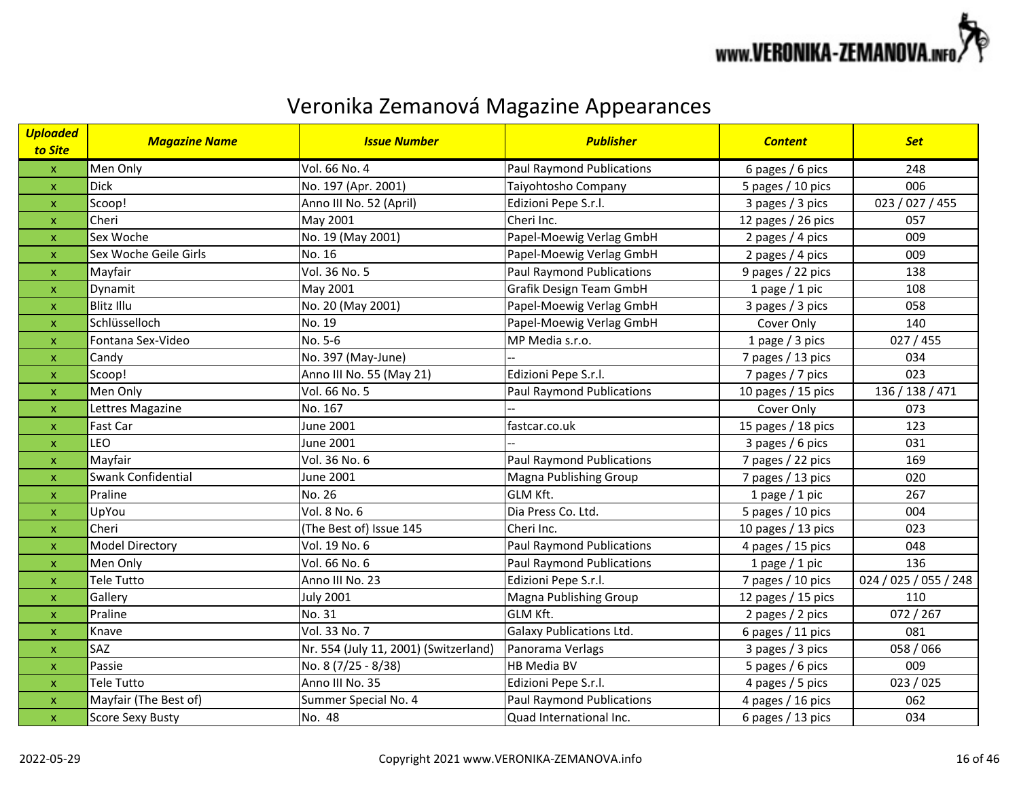

| <b>Uploaded</b><br>to Site | <b>Magazine Name</b>    | <b>Issue Number</b>                   | <b>Publisher</b>                 | <b>Content</b>       | <b>Set</b>            |
|----------------------------|-------------------------|---------------------------------------|----------------------------------|----------------------|-----------------------|
| $\mathbf{x}$               | Men Only                | Vol. 66 No. 4                         | <b>Paul Raymond Publications</b> | 6 pages / 6 pics     | 248                   |
| $\pmb{\mathsf{X}}$         | <b>Dick</b>             | No. 197 (Apr. 2001)                   | Taiyohtosho Company              | 5 pages / 10 pics    | 006                   |
| $\boldsymbol{\mathsf{x}}$  | Scoop!                  | Anno III No. 52 (April)               | Edizioni Pepe S.r.l.             | 3 pages / 3 pics     | 023 / 027 / 455       |
| $\mathsf{x}$               | Cheri                   | May 2001                              | Cheri Inc.                       | 12 pages / 26 pics   | 057                   |
| $\pmb{\mathsf{X}}$         | Sex Woche               | No. 19 (May 2001)                     | Papel-Moewig Verlag GmbH         | 2 pages / 4 pics     | 009                   |
| $\mathsf{x}$               | Sex Woche Geile Girls   | No. 16                                | Papel-Moewig Verlag GmbH         | 2 pages / 4 pics     | 009                   |
| $\pmb{\mathsf{x}}$         | Mayfair                 | Vol. 36 No. 5                         | <b>Paul Raymond Publications</b> | 9 pages / 22 pics    | 138                   |
| $\pmb{\mathsf{x}}$         | Dynamit                 | May 2001                              | Grafik Design Team GmbH          | 1 page $/$ 1 pic     | 108                   |
| $\pmb{\mathsf{X}}$         | <b>Blitz Illu</b>       | No. 20 (May 2001)                     | Papel-Moewig Verlag GmbH         | 3 pages / 3 pics     | 058                   |
| $\pmb{\mathsf{X}}$         | Schlüsselloch           | No. 19                                | Papel-Moewig Verlag GmbH         | Cover Only           | 140                   |
| $\mathsf{x}$               | Fontana Sex-Video       | No. 5-6                               | MP Media s.r.o.                  | 1 page / 3 pics      | 027 / 455             |
| $\pmb{\mathsf{X}}$         | Candy                   | No. 397 (May-June)                    |                                  | 7 pages / 13 pics    | 034                   |
| $\boldsymbol{\mathsf{X}}$  | Scoop!                  | Anno III No. 55 (May 21)              | Edizioni Pepe S.r.l.             | 7 pages / 7 pics     | 023                   |
| $\mathsf{x}$               | Men Only                | Vol. 66 No. 5                         | <b>Paul Raymond Publications</b> | 10 pages $/$ 15 pics | 136 / 138 / 471       |
| $\mathsf{x}$               | Lettres Magazine        | No. 167                               |                                  | Cover Only           | 073                   |
| $\boldsymbol{\mathsf{x}}$  | Fast Car                | June 2001                             | fastcar.co.uk                    | 15 pages / 18 pics   | 123                   |
| $\pmb{\mathsf{x}}$         | LEO                     | June 2001                             |                                  | 3 pages / 6 pics     | 031                   |
| $\pmb{\mathsf{X}}$         | Mayfair                 | Vol. 36 No. 6                         | <b>Paul Raymond Publications</b> | 7 pages / 22 pics    | 169                   |
| $\mathsf{x}$               | Swank Confidential      | <b>June 2001</b>                      | Magna Publishing Group           | 7 pages / 13 pics    | 020                   |
| $\pmb{\mathsf{X}}$         | Praline                 | No. 26                                | <b>GLM Kft.</b>                  | 1 page $/$ 1 pic     | 267                   |
| $\mathsf{x}$               | UpYou                   | Vol. 8 No. 6                          | Dia Press Co. Ltd.               | 5 pages / 10 pics    | 004                   |
| $\pmb{\mathsf{X}}$         | Cheri                   | (The Best of) Issue 145               | Cheri Inc.                       | 10 pages / 13 pics   | 023                   |
| $\pmb{\mathsf{X}}$         | Model Directory         | Vol. 19 No. 6                         | <b>Paul Raymond Publications</b> | 4 pages / 15 pics    | 048                   |
| $\boldsymbol{\mathsf{x}}$  | Men Only                | Vol. 66 No. 6                         | <b>Paul Raymond Publications</b> | 1 page $/$ 1 pic     | 136                   |
| $\pmb{\mathsf{X}}$         | <b>Tele Tutto</b>       | Anno III No. 23                       | Edizioni Pepe S.r.l.             | 7 pages / 10 pics    | 024 / 025 / 055 / 248 |
| $\mathsf{x}$               | Gallery                 | <b>July 2001</b>                      | Magna Publishing Group           | 12 pages / 15 pics   | 110                   |
| $\pmb{\mathsf{X}}$         | Praline                 | No. 31                                | GLM Kft.                         | 2 pages / 2 pics     | 072 / 267             |
| $\mathsf{x}$               | Knave                   | Vol. 33 No. 7                         | <b>Galaxy Publications Ltd.</b>  | 6 pages / 11 pics    | 081                   |
| $\mathsf{x}$               | SAZ                     | Nr. 554 (July 11, 2001) (Switzerland) | Panorama Verlags                 | 3 pages / 3 pics     | 058 / 066             |
| $\pmb{\mathsf{X}}$         | Passie                  | No. 8 (7/25 - 8/38)                   | <b>HB Media BV</b>               | 5 pages / 6 pics     | 009                   |
| $\pmb{\mathsf{X}}$         | Tele Tutto              | Anno III No. 35                       | Edizioni Pepe S.r.l.             | 4 pages / 5 pics     | 023/025               |
| $\pmb{\mathsf{X}}$         | Mayfair (The Best of)   | Summer Special No. 4                  | <b>Paul Raymond Publications</b> | 4 pages / 16 pics    | 062                   |
| $\pmb{\mathsf{x}}$         | <b>Score Sexy Busty</b> | No. 48                                | Quad International Inc.          | 6 pages / 13 pics    | 034                   |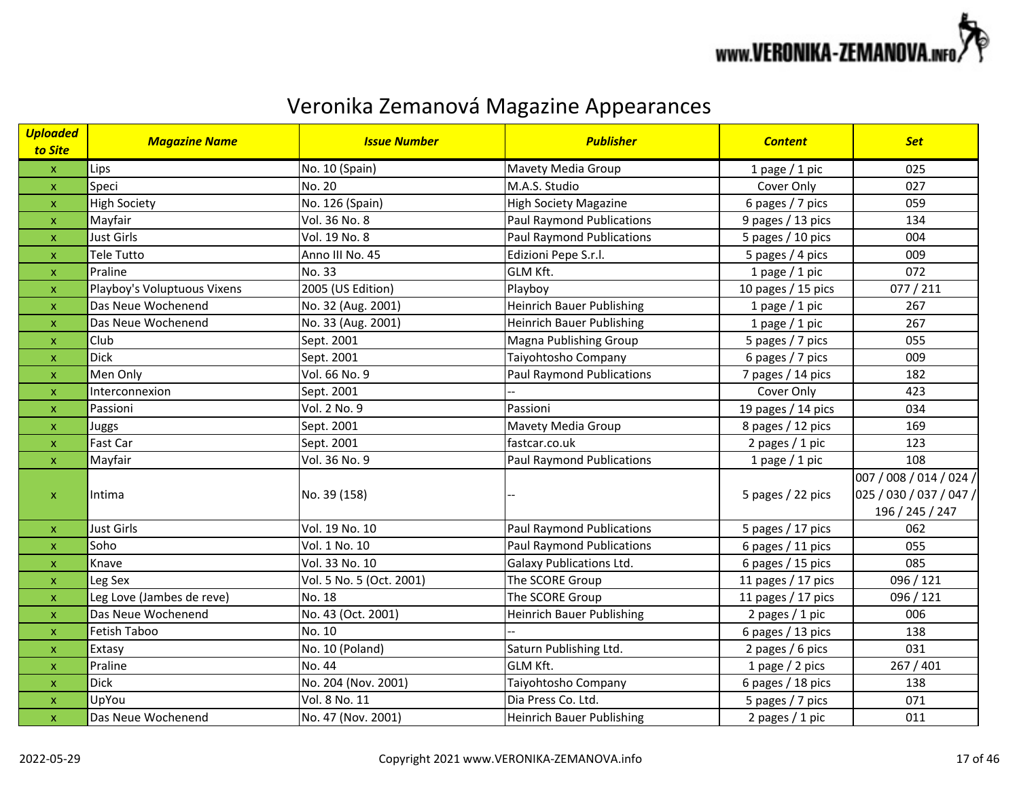

| <b>Uploaded</b><br>to Site | <b>Magazine Name</b>        | <b>Issue Number</b>      | <b>Publisher</b>                 | <b>Content</b>       | <b>Set</b>                                                            |
|----------------------------|-----------------------------|--------------------------|----------------------------------|----------------------|-----------------------------------------------------------------------|
| $\mathsf X$                | Lips                        | No. 10 (Spain)           | Mavety Media Group               | 1 page $/$ 1 pic     | 025                                                                   |
| $\mathsf{x}$               | Speci                       | No. 20                   | M.A.S. Studio                    | Cover Only           | 027                                                                   |
| $\mathsf X$                | <b>High Society</b>         | No. 126 (Spain)          | <b>High Society Magazine</b>     | 6 pages / 7 pics     | 059                                                                   |
| $\mathsf X$                | Mayfair                     | Vol. 36 No. 8            | <b>Paul Raymond Publications</b> | 9 pages / 13 pics    | 134                                                                   |
| $\mathsf{x}$               | <b>Just Girls</b>           | Vol. 19 No. 8            | <b>Paul Raymond Publications</b> | 5 pages / 10 pics    | 004                                                                   |
| $\pmb{\mathsf{x}}$         | <b>Tele Tutto</b>           | Anno III No. 45          | Edizioni Pepe S.r.l.             | 5 pages / 4 pics     | 009                                                                   |
| $\pmb{\mathsf{X}}$         | Praline                     | No. 33                   | GLM Kft.                         | 1 page $/$ 1 pic     | 072                                                                   |
| $\pmb{\mathsf{x}}$         | Playboy's Voluptuous Vixens | 2005 (US Edition)        | Playboy                          | 10 pages $/$ 15 pics | 077/211                                                               |
| $\boldsymbol{\mathsf{x}}$  | Das Neue Wochenend          | No. 32 (Aug. 2001)       | <b>Heinrich Bauer Publishing</b> | 1 page $/$ 1 pic     | 267                                                                   |
| $\pmb{\mathsf{x}}$         | Das Neue Wochenend          | No. 33 (Aug. 2001)       | <b>Heinrich Bauer Publishing</b> | 1 page $/$ 1 pic     | 267                                                                   |
| $\mathsf X$                | Club                        | Sept. 2001               | Magna Publishing Group           | 5 pages / 7 pics     | 055                                                                   |
| $\mathsf X$                | <b>Dick</b>                 | Sept. 2001               | Taiyohtosho Company              | 6 pages / 7 pics     | 009                                                                   |
| $\mathsf{x}$               | Men Only                    | Vol. 66 No. 9            | <b>Paul Raymond Publications</b> | 7 pages / 14 pics    | 182                                                                   |
| $\mathsf{x}$               | Interconnexion              | Sept. 2001               |                                  | Cover Only           | 423                                                                   |
| $\pmb{\mathsf{X}}$         | Passioni                    | Vol. 2 No. 9             | Passioni                         | 19 pages / 14 pics   | 034                                                                   |
| $\boldsymbol{\mathsf{x}}$  | Juggs                       | Sept. 2001               | Mavety Media Group               | 8 pages / 12 pics    | 169                                                                   |
| $\pmb{\mathsf{X}}$         | Fast Car                    | Sept. 2001               | fastcar.co.uk                    | 2 pages / 1 pic      | 123                                                                   |
| $\mathsf X$                | Mayfair                     | Vol. 36 No. 9            | <b>Paul Raymond Publications</b> | 1 page $/$ 1 pic     | 108                                                                   |
| $\pmb{\mathsf{x}}$         | Intima                      | No. 39 (158)             |                                  | 5 pages / 22 pics    | 007 / 008 / 014 / 024 /<br>025 / 030 / 037 / 047 /<br>196 / 245 / 247 |
| $\mathsf X$                | <b>Just Girls</b>           | Vol. 19 No. 10           | <b>Paul Raymond Publications</b> | 5 pages / 17 pics    | 062                                                                   |
| $\pmb{\mathsf{X}}$         | Soho                        | Vol. 1 No. 10            | <b>Paul Raymond Publications</b> | 6 pages $/$ 11 pics  | 055                                                                   |
| $\pmb{\mathsf{x}}$         | Knave                       | Vol. 33 No. 10           | <b>Galaxy Publications Ltd.</b>  | 6 pages / 15 pics    | 085                                                                   |
| $\boldsymbol{\mathsf{x}}$  | Leg Sex                     | Vol. 5 No. 5 (Oct. 2001) | The SCORE Group                  | 11 pages $/$ 17 pics | 096 / 121                                                             |
| $\mathsf X$                | Leg Love (Jambes de reve)   | No. 18                   | The SCORE Group                  | 11 pages / 17 pics   | 096 / 121                                                             |
| $\mathsf{x}$               | Das Neue Wochenend          | No. 43 (Oct. 2001)       | <b>Heinrich Bauer Publishing</b> | 2 pages / 1 pic      | 006                                                                   |
| $\pmb{\mathsf{X}}$         | Fetish Taboo                | No. 10                   |                                  | 6 pages / 13 pics    | 138                                                                   |
| $\boldsymbol{\mathsf{X}}$  | Extasy                      | No. 10 (Poland)          | Saturn Publishing Ltd.           | 2 pages / 6 pics     | 031                                                                   |
| $\pmb{\mathsf{x}}$         | Praline                     | No. 44                   | GLM Kft.                         | 1 page / 2 pics      | 267 / 401                                                             |
| $\pmb{\mathsf{x}}$         | <b>Dick</b>                 | No. 204 (Nov. 2001)      | Taiyohtosho Company              | 6 pages / 18 pics    | 138                                                                   |
| $\pmb{\mathsf{x}}$         | UpYou                       | Vol. 8 No. 11            | Dia Press Co. Ltd.               | 5 pages / 7 pics     | 071                                                                   |
| $\mathsf X$                | Das Neue Wochenend          | No. 47 (Nov. 2001)       | <b>Heinrich Bauer Publishing</b> | 2 pages / 1 pic      | 011                                                                   |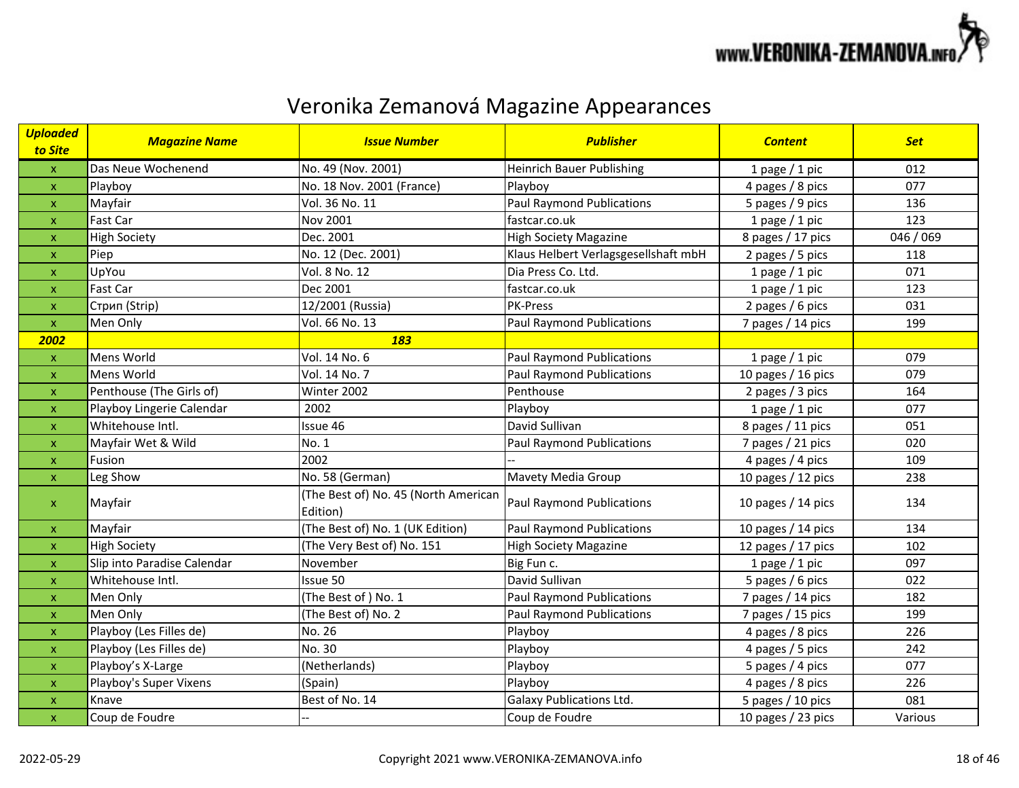

| <mark>Uploaded</mark><br>to Site | <b>Magazine Name</b>        | <b>Issue Number</b>                              | <b>Publisher</b>                     | <b>Content</b>       | <b>Set</b> |
|----------------------------------|-----------------------------|--------------------------------------------------|--------------------------------------|----------------------|------------|
| $\pmb{\mathsf{X}}$               | Das Neue Wochenend          | No. 49 (Nov. 2001)                               | <b>Heinrich Bauer Publishing</b>     | 1 page $/$ 1 pic     | 012        |
| $\pmb{\mathsf{x}}$               | Playboy                     | No. 18 Nov. 2001 (France)                        | Playboy                              | 4 pages / 8 pics     | 077        |
| $\mathsf{x}$                     | Mayfair                     | Vol. 36 No. 11                                   | <b>Paul Raymond Publications</b>     | 5 pages / 9 pics     | 136        |
| $\boldsymbol{\mathsf{x}}$        | Fast Car                    | Nov 2001                                         | fastcar.co.uk                        | 1 page $/$ 1 pic     | 123        |
| $\mathsf{x}$                     | <b>High Society</b>         | Dec. 2001                                        | High Society Magazine                | 8 pages / 17 pics    | 046 / 069  |
| $\pmb{\mathsf{x}}$               | Piep                        | No. 12 (Dec. 2001)                               | Klaus Helbert Verlagsgesellshaft mbH | 2 pages / 5 pics     | 118        |
| $\mathsf{x}$                     | UpYou                       | Vol. 8 No. 12                                    | Dia Press Co. Ltd.                   | 1 page $/$ 1 pic     | 071        |
| $\pmb{\mathsf{x}}$               | Fast Car                    | Dec 2001                                         | fastcar.co.uk                        | 1 page $/$ 1 pic     | 123        |
| $\boldsymbol{\mathsf{x}}$        | Стрип (Strip)               | 12/2001 (Russia)                                 | PK-Press                             | 2 pages / 6 pics     | 031        |
| $\mathsf X$                      | Men Only                    | Vol. 66 No. 13                                   | <b>Paul Raymond Publications</b>     | 7 pages / 14 pics    | 199        |
| 2002                             |                             | 183                                              |                                      |                      |            |
| $\pmb{\mathsf{X}}$               | Mens World                  | Vol. 14 No. 6                                    | <b>Paul Raymond Publications</b>     | 1 page $/$ 1 pic     | 079        |
| $\pmb{\mathsf{X}}$               | Mens World                  | Vol. 14 No. 7                                    | <b>Paul Raymond Publications</b>     | 10 pages $/$ 16 pics | 079        |
| $\boldsymbol{\mathsf{X}}$        | Penthouse (The Girls of)    | Winter 2002                                      | Penthouse                            | 2 pages / 3 pics     | 164        |
| $\pmb{\mathsf{X}}$               | Playboy Lingerie Calendar   | 2002                                             | Playboy                              | 1 page $/$ 1 pic     | 077        |
| X                                | Whitehouse Intl.            | Issue 46                                         | David Sullivan                       | 8 pages / 11 pics    | 051        |
| $\pmb{\mathsf{X}}$               | Mayfair Wet & Wild          | No. 1                                            | <b>Paul Raymond Publications</b>     | 7 pages / 21 pics    | 020        |
| $\mathsf{x}$                     | Fusion                      | 2002                                             |                                      | 4 pages / 4 pics     | 109        |
| $\pmb{\mathsf{X}}$               | Leg Show                    | No. 58 (German)                                  | Mavety Media Group                   | 10 pages / 12 pics   | 238        |
| $\mathsf{x}$                     | Mayfair                     | (The Best of) No. 45 (North American<br>Edition) | <b>Paul Raymond Publications</b>     | 10 pages $/$ 14 pics | 134        |
| $\mathsf{x}$                     | Mayfair                     | (The Best of) No. 1 (UK Edition)                 | <b>Paul Raymond Publications</b>     | 10 pages / 14 pics   | 134        |
| $\boldsymbol{\mathsf{X}}$        | <b>High Society</b>         | (The Very Best of) No. 151                       | <b>High Society Magazine</b>         | 12 pages / 17 pics   | 102        |
| $\pmb{\mathsf{x}}$               | Slip into Paradise Calendar | November                                         | Big Fun c.                           | 1 page $/$ 1 pic     | 097        |
| $\boldsymbol{\mathsf{x}}$        | Whitehouse Intl.            | Issue 50                                         | David Sullivan                       | 5 pages / 6 pics     | 022        |
| $\pmb{\mathsf{X}}$               | Men Only                    | (The Best of) No. 1                              | <b>Paul Raymond Publications</b>     | 7 pages / 14 pics    | 182        |
| $\mathsf{x}$                     | Men Only                    | (The Best of) No. 2                              | <b>Paul Raymond Publications</b>     | 7 pages / 15 pics    | 199        |
| $\mathsf{x}$                     | Playboy (Les Filles de)     | No. 26                                           | Playboy                              | 4 pages / 8 pics     | 226        |
| $\pmb{\mathsf{X}}$               | Playboy (Les Filles de)     | No. 30                                           | Playboy                              | 4 pages / 5 pics     | 242        |
| $\mathsf{x}$                     | Playboy's X-Large           | (Netherlands)                                    | Playboy                              | 5 pages / 4 pics     | 077        |
| $\mathsf{x}$                     | Playboy's Super Vixens      | (Spain)                                          | Playboy                              | 4 pages / 8 pics     | 226        |
| $\pmb{\mathsf{X}}$               | Knave                       | Best of No. 14                                   | <b>Galaxy Publications Ltd.</b>      | 5 pages / 10 pics    | 081        |
| $\pmb{\mathsf{X}}$               | Coup de Foudre              |                                                  | Coup de Foudre                       | 10 pages / 23 pics   | Various    |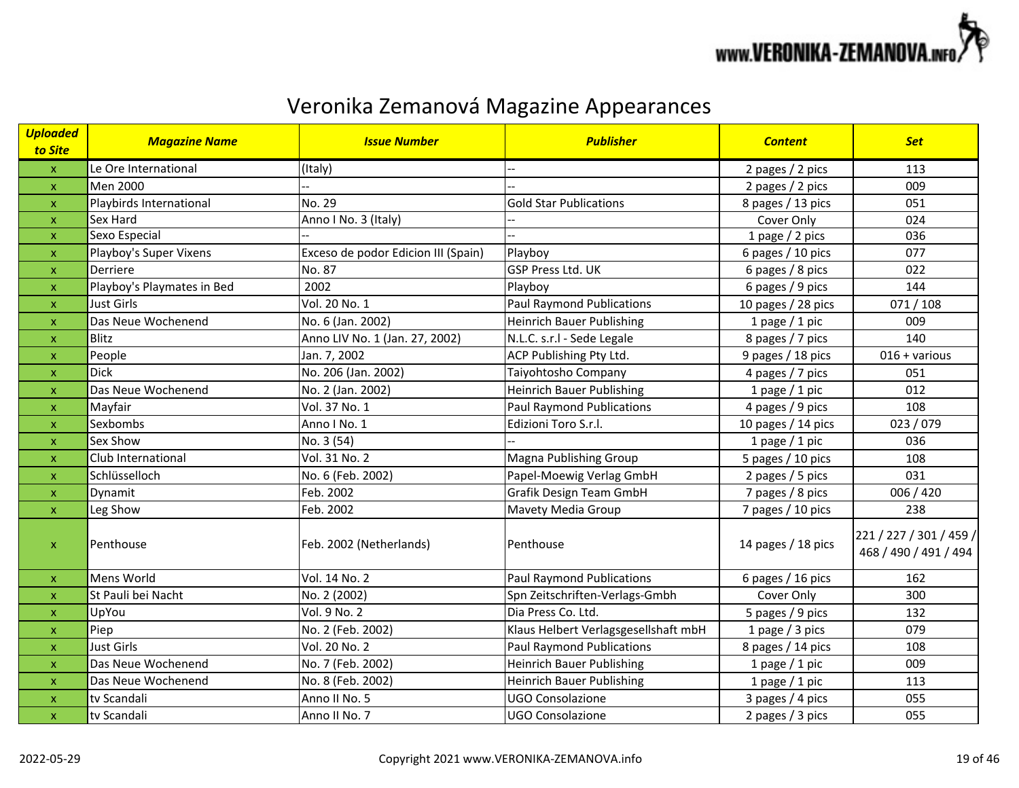

| <b>Uploaded</b><br>to Site | <b>Magazine Name</b>       | <b>Issue Number</b>                 | <b>Publisher</b>                     | <b>Content</b>       | <b>Set</b>                                       |
|----------------------------|----------------------------|-------------------------------------|--------------------------------------|----------------------|--------------------------------------------------|
| $\mathsf{x}$               | Le Ore International       | (Italy)                             |                                      | 2 pages / 2 pics     | 113                                              |
| $\pmb{\mathsf{x}}$         | Men 2000                   |                                     |                                      | 2 pages / 2 pics     | 009                                              |
| $\pmb{\mathsf{X}}$         | Playbirds International    | No. 29                              | <b>Gold Star Publications</b>        | 8 pages / 13 pics    | 051                                              |
| $\boldsymbol{\mathsf{x}}$  | Sex Hard                   | Anno I No. 3 (Italy)                |                                      | Cover Only           | 024                                              |
| $\boldsymbol{\mathsf{x}}$  | Sexo Especial              |                                     |                                      | 1 page $/$ 2 pics    | 036                                              |
| $\pmb{\mathsf{X}}$         | Playboy's Super Vixens     | Exceso de podor Edicion III (Spain) | Playboy                              | 6 pages / 10 pics    | 077                                              |
| $\mathsf{x}$               | Derriere                   | No. 87                              | <b>GSP Press Ltd. UK</b>             | 6 pages / 8 pics     | 022                                              |
| $\boldsymbol{\mathsf{x}}$  | Playboy's Playmates in Bed | 2002                                | Playboy                              | 6 pages / 9 pics     | 144                                              |
| $\pmb{\times}$             | <b>Just Girls</b>          | Vol. 20 No. 1                       | <b>Paul Raymond Publications</b>     | 10 pages / 28 pics   | 071/108                                          |
| $\boldsymbol{\mathsf{x}}$  | Das Neue Wochenend         | No. 6 (Jan. 2002)                   | <b>Heinrich Bauer Publishing</b>     | 1 page $/$ 1 pic     | 009                                              |
| $\pmb{\times}$             | <b>Blitz</b>               | Anno LIV No. 1 (Jan. 27, 2002)      | N.L.C. s.r.l - Sede Legale           | 8 pages / 7 pics     | 140                                              |
| $\mathsf{x}$               | People                     | Jan. 7, 2002                        | ACP Publishing Pty Ltd.              | 9 pages / 18 pics    | $016 + \text{various}$                           |
| $\mathsf{x}$               | <b>Dick</b>                | No. 206 (Jan. 2002)                 | Taiyohtosho Company                  | 4 pages / 7 pics     | 051                                              |
| $\boldsymbol{\mathsf{x}}$  | Das Neue Wochenend         | No. 2 (Jan. 2002)                   | <b>Heinrich Bauer Publishing</b>     | 1 page $/$ 1 pic     | 012                                              |
| $\mathsf{x}$               | Mayfair                    | Vol. 37 No. 1                       | <b>Paul Raymond Publications</b>     | 4 pages / 9 pics     | 108                                              |
| X                          | Sexbombs                   | Anno I No. 1                        | Edizioni Toro S.r.l.                 | 10 pages $/$ 14 pics | 023 / 079                                        |
| X                          | Sex Show                   | No. 3 (54)                          |                                      | 1 page $/$ 1 pic     | 036                                              |
| $\boldsymbol{\mathsf{X}}$  | Club International         | Vol. 31 No. 2                       | Magna Publishing Group               | 5 pages / 10 pics    | 108                                              |
| $\mathsf{x}$               | Schlüsselloch              | No. 6 (Feb. 2002)                   | Papel-Moewig Verlag GmbH             | 2 pages / 5 pics     | 031                                              |
| $\boldsymbol{\mathsf{x}}$  | Dynamit                    | Feb. 2002                           | <b>Grafik Design Team GmbH</b>       | 7 pages / 8 pics     | 006 / 420                                        |
| $\boldsymbol{\mathsf{X}}$  | Leg Show                   | Feb. 2002                           | Mavety Media Group                   | 7 pages / 10 pics    | 238                                              |
| $\pmb{\mathsf{x}}$         | Penthouse                  | Feb. 2002 (Netherlands)             | Penthouse                            | 14 pages / 18 pics   | 221 / 227 / 301 / 459 /<br>468 / 490 / 491 / 494 |
| $\mathsf{x}$               | Mens World                 | Vol. 14 No. 2                       | <b>Paul Raymond Publications</b>     | 6 pages / 16 pics    | 162                                              |
| $\mathsf X$                | St Pauli bei Nacht         | No. 2 (2002)                        | Spn Zeitschriften-Verlags-Gmbh       | Cover Only           | 300                                              |
| $\mathsf{x}$               | UpYou                      | Vol. 9 No. 2                        | Dia Press Co. Ltd.                   | 5 pages / 9 pics     | 132                                              |
| $\mathsf{x}$               | Piep                       | No. 2 (Feb. 2002)                   | Klaus Helbert Verlagsgesellshaft mbH | 1 page $/$ 3 pics    | 079                                              |
| $\mathsf{x}$               | <b>Just Girls</b>          | Vol. 20 No. 2                       | <b>Paul Raymond Publications</b>     | 8 pages / 14 pics    | 108                                              |
| $\mathsf{x}$               | Das Neue Wochenend         | No. 7 (Feb. 2002)                   | <b>Heinrich Bauer Publishing</b>     | 1 page $/$ 1 pic     | 009                                              |
| $\boldsymbol{\mathsf{x}}$  | Das Neue Wochenend         | No. 8 (Feb. 2002)                   | <b>Heinrich Bauer Publishing</b>     | 1 page $/$ 1 pic     | 113                                              |
| $\boldsymbol{\mathsf{X}}$  | tv Scandali                | Anno II No. 5                       | <b>UGO Consolazione</b>              | 3 pages / 4 pics     | 055                                              |
| $\pmb{\mathsf{x}}$         | tv Scandali                | Anno II No. 7                       | <b>UGO Consolazione</b>              | 2 pages / 3 pics     | 055                                              |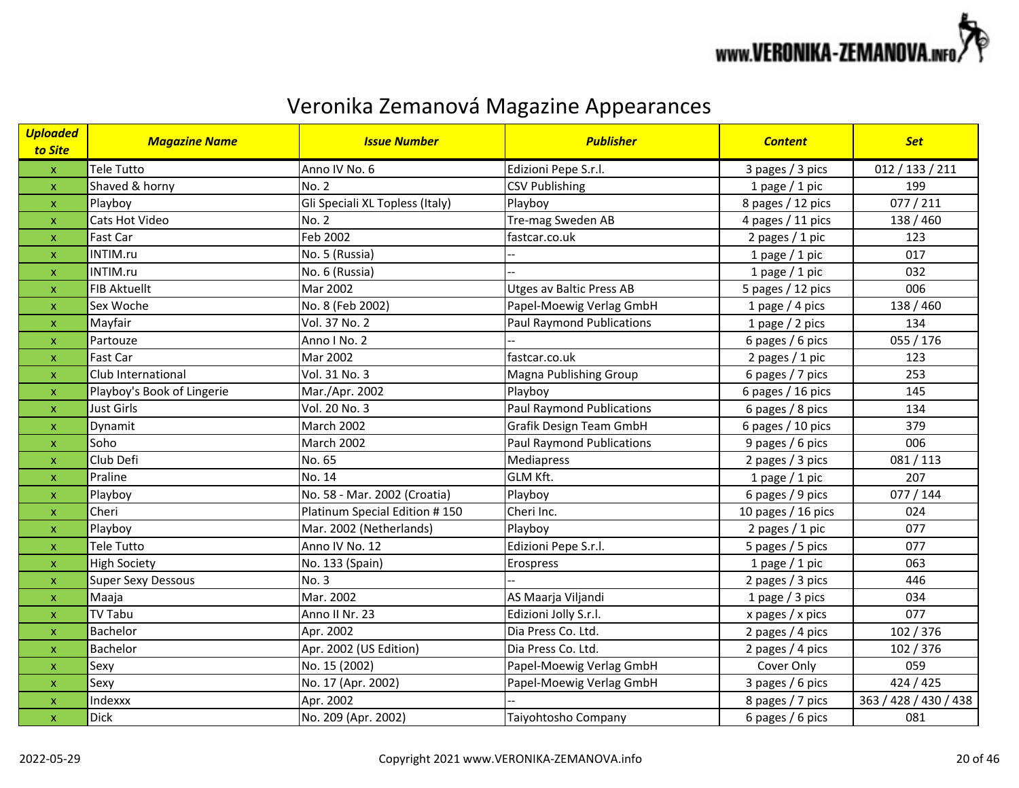

| <b>Uploaded</b><br>to Site | <b>Magazine Name</b>       | <b>Issue Number</b>             | <b>Publisher</b>                 | <b>Content</b>       | <b>Set</b>            |
|----------------------------|----------------------------|---------------------------------|----------------------------------|----------------------|-----------------------|
| $\mathsf X$                | <b>Tele Tutto</b>          | Anno IV No. 6                   | Edizioni Pepe S.r.l.             | 3 pages / 3 pics     | 012 / 133 / 211       |
| $\pmb{\mathsf{X}}$         | Shaved & horny             | <b>No. 2</b>                    | <b>CSV Publishing</b>            | 1 page $/$ 1 pic     | 199                   |
| $\pmb{\mathsf{X}}$         | Playboy                    | Gli Speciali XL Topless (Italy) | Playboy                          | 8 pages / 12 pics    | 077 / 211             |
| $\mathsf{x}$               | Cats Hot Video             | <b>No. 2</b>                    | Tre-mag Sweden AB                | 4 pages / 11 pics    | 138 / 460             |
| $\pmb{\mathsf{X}}$         | Fast Car                   | Feb 2002                        | fastcar.co.uk                    | 2 pages / 1 pic      | 123                   |
| $\boldsymbol{\mathsf{x}}$  | INTIM.ru                   | No. 5 (Russia)                  |                                  | 1 page $/$ 1 pic     | 017                   |
| $\pmb{\mathsf{x}}$         | INTIM.ru                   | No. 6 (Russia)                  |                                  | 1 page $/$ 1 pic     | 032                   |
| $\pmb{\mathsf{X}}$         | <b>FIB Aktuellt</b>        | Mar 2002                        | <b>Utges av Baltic Press AB</b>  | 5 pages / 12 pics    | 006                   |
| $\pmb{\mathsf{X}}$         | Sex Woche                  | No. 8 (Feb 2002)                | Papel-Moewig Verlag GmbH         | 1 page $/$ 4 pics    | 138 / 460             |
| $\pmb{\mathsf{X}}$         | Mayfair                    | Vol. 37 No. 2                   | <b>Paul Raymond Publications</b> | 1 page $/$ 2 pics    | 134                   |
| $\pmb{\mathsf{x}}$         | Partouze                   | Anno I No. 2                    |                                  | 6 pages / 6 pics     | 055 / 176             |
| $\pmb{\mathsf{X}}$         | Fast Car                   | Mar 2002                        | fastcar.co.uk                    | 2 pages / 1 pic      | 123                   |
| $\mathsf{x}$               | Club International         | Vol. 31 No. 3                   | Magna Publishing Group           | 6 pages / 7 pics     | 253                   |
| $\boldsymbol{\mathsf{x}}$  | Playboy's Book of Lingerie | Mar./Apr. 2002                  | Playboy                          | 6 pages / 16 pics    | 145                   |
| $\mathsf{x}$               | <b>Just Girls</b>          | Vol. 20 No. 3                   | <b>Paul Raymond Publications</b> | 6 pages / 8 pics     | 134                   |
| $\pmb{\mathsf{x}}$         | Dynamit                    | March 2002                      | Grafik Design Team GmbH          | 6 pages / 10 pics    | 379                   |
| $\boldsymbol{\mathsf{x}}$  | Soho                       | March 2002                      | <b>Paul Raymond Publications</b> | 9 pages / 6 pics     | 006                   |
| $\pmb{\mathsf{X}}$         | Club Defi                  | No. 65                          | <b>Mediapress</b>                | 2 pages / 3 pics     | 081 / 113             |
| $\boldsymbol{\mathsf{x}}$  | Praline                    | No. 14                          | <b>GLM Kft.</b>                  | 1 page $/$ 1 pic     | 207                   |
| $\mathsf{x}$               | Playboy                    | No. 58 - Mar. 2002 (Croatia)    | Playboy                          | 6 pages / 9 pics     | 077 / 144             |
| $\mathsf{x}$               | Cheri                      | Platinum Special Edition #150   | Cheri Inc.                       | 10 pages $/$ 16 pics | 024                   |
| $\mathsf{x}$               | Playboy                    | Mar. 2002 (Netherlands)         | Playboy                          | 2 pages / 1 pic      | 077                   |
| $\mathsf{x}$               | Tele Tutto                 | Anno IV No. 12                  | Edizioni Pepe S.r.l.             | 5 pages / 5 pics     | 077                   |
| $\pmb{\mathsf{x}}$         | <b>High Society</b>        | No. 133 (Spain)                 | Erospress                        | 1 page $/$ 1 pic     | 063                   |
| $\pmb{\mathsf{x}}$         | <b>Super Sexy Dessous</b>  | No. 3                           |                                  | 2 pages / 3 pics     | 446                   |
| $\pmb{\mathsf{X}}$         | Maaja                      | Mar. 2002                       | AS Maarja Viljandi               | 1 page / 3 pics      | 034                   |
| $\pmb{\mathsf{X}}$         | <b>TV Tabu</b>             | Anno II Nr. 23                  | Edizioni Jolly S.r.l.            | x pages / x pics     | 077                   |
| $\mathsf{x}$               | Bachelor                   | Apr. 2002                       | Dia Press Co. Ltd.               | 2 pages / 4 pics     | 102 / 376             |
| $\pmb{\mathsf{X}}$         | Bachelor                   | Apr. 2002 (US Edition)          | Dia Press Co. Ltd.               | 2 pages / 4 pics     | 102 / 376             |
| $\mathsf{x}$               | Sexy                       | No. 15 (2002)                   | Papel-Moewig Verlag GmbH         | Cover Only           | 059                   |
| $\pmb{\mathsf{X}}$         | Sexy                       | No. 17 (Apr. 2002)              | Papel-Moewig Verlag GmbH         | 3 pages / 6 pics     | 424 / 425             |
| $\mathsf{x}$               | Indexxx                    | Apr. 2002                       |                                  | 8 pages / 7 pics     | 363 / 428 / 430 / 438 |
| $\pmb{\mathsf{x}}$         | <b>Dick</b>                | No. 209 (Apr. 2002)             | Taiyohtosho Company              | 6 pages / 6 pics     | 081                   |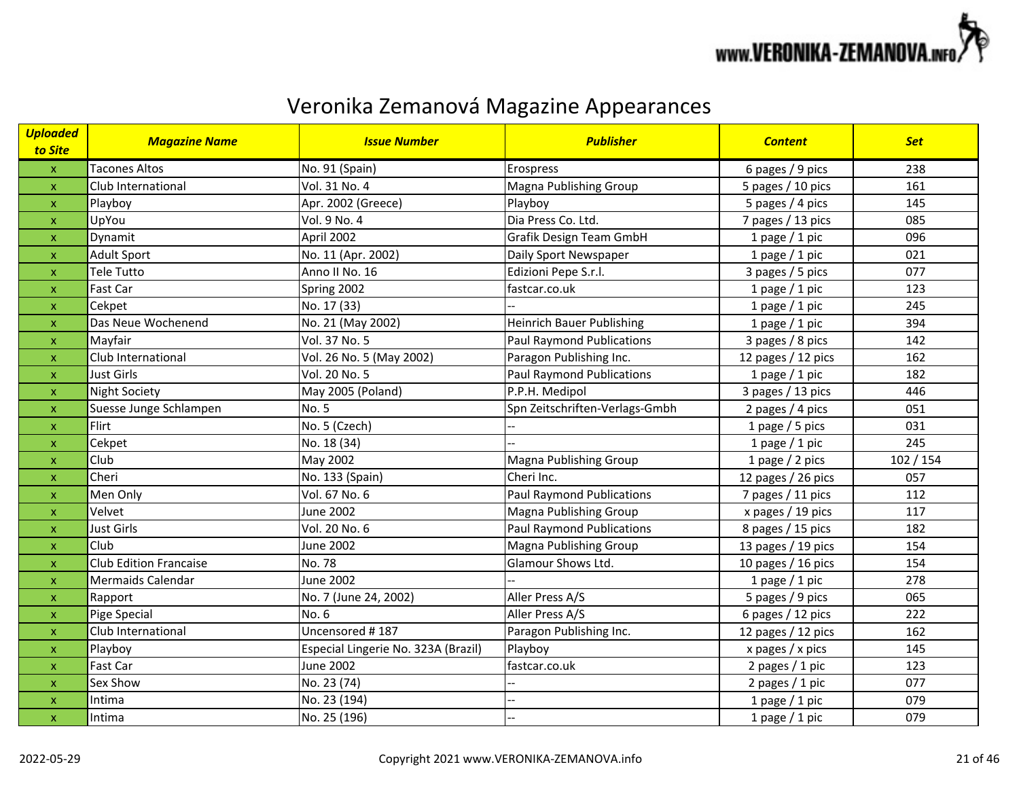

| <b>Uploaded</b><br>to Site | <b>Magazine Name</b>          | <b>Issue Number</b>                 | <b>Publisher</b>                 | <b>Content</b>       | <b>Set</b> |
|----------------------------|-------------------------------|-------------------------------------|----------------------------------|----------------------|------------|
| $\pmb{\mathsf{X}}$         | <b>Tacones Altos</b>          | No. 91 (Spain)                      | Erospress                        | 6 pages / 9 pics     | 238        |
| $\boldsymbol{\mathsf{x}}$  | Club International            | Vol. 31 No. 4                       | Magna Publishing Group           | 5 pages / 10 pics    | 161        |
| $\pmb{\mathsf{x}}$         | Playboy                       | Apr. 2002 (Greece)                  | Playboy                          | 5 pages / 4 pics     | 145        |
| $\boldsymbol{\mathsf{x}}$  | UpYou                         | Vol. 9 No. 4                        | Dia Press Co. Ltd.               | 7 pages / 13 pics    | 085        |
| $\pmb{\mathsf{x}}$         | Dynamit                       | April 2002                          | Grafik Design Team GmbH          | 1 page $/$ 1 pic     | 096        |
| $\mathsf{x}$               | <b>Adult Sport</b>            | No. 11 (Apr. 2002)                  | Daily Sport Newspaper            | 1 page $/$ 1 pic     | 021        |
| $\pmb{\times}$             | Tele Tutto                    | Anno II No. 16                      | Edizioni Pepe S.r.l.             | 3 pages / 5 pics     | 077        |
| X                          | Fast Car                      | Spring 2002                         | fastcar.co.uk                    | 1 page $/$ 1 pic     | 123        |
| $\pmb{\mathsf{x}}$         | Cekpet                        | No. 17 (33)                         |                                  | 1 page $/$ 1 pic     | 245        |
| $\pmb{\times}$             | Das Neue Wochenend            | No. 21 (May 2002)                   | <b>Heinrich Bauer Publishing</b> | 1 page $/$ 1 pic     | 394        |
| $\pmb{\mathsf{x}}$         | Mayfair                       | Vol. 37 No. 5                       | <b>Paul Raymond Publications</b> | 3 pages / 8 pics     | 142        |
| $\boldsymbol{\mathsf{x}}$  | Club International            | Vol. 26 No. 5 (May 2002)            | Paragon Publishing Inc.          | 12 pages / 12 pics   | 162        |
| $\boldsymbol{\mathsf{x}}$  | <b>Just Girls</b>             | Vol. 20 No. 5                       | <b>Paul Raymond Publications</b> | 1 page / 1 pic       | 182        |
| $\boldsymbol{\mathsf{x}}$  | <b>Night Society</b>          | May 2005 (Poland)                   | P.P.H. Medipol                   | 3 pages / 13 pics    | 446        |
| $\boldsymbol{\mathsf{x}}$  | Suesse Junge Schlampen        | No. 5                               | Spn Zeitschriften-Verlags-Gmbh   | 2 pages / 4 pics     | 051        |
| $\pmb{\times}$             | Flirt                         | No. 5 (Czech)                       |                                  | 1 page $/$ 5 pics    | 031        |
| X                          | Cekpet                        | No. 18 (34)                         |                                  | 1 page $/$ 1 pic     | 245        |
| $\boldsymbol{\mathsf{x}}$  | Club                          | May 2002                            | <b>Magna Publishing Group</b>    | 1 page $/$ 2 pics    | 102 / 154  |
| X                          | Cheri                         | No. 133 (Spain)                     | Cheri Inc.                       | 12 pages / 26 pics   | 057        |
| $\boldsymbol{\mathsf{x}}$  | Men Only                      | Vol. 67 No. 6                       | <b>Paul Raymond Publications</b> | 7 pages / 11 pics    | 112        |
| $\boldsymbol{\mathsf{x}}$  | Velvet                        | <b>June 2002</b>                    | Magna Publishing Group           | x pages / 19 pics    | 117        |
| $\boldsymbol{\mathsf{x}}$  | Just Girls                    | Vol. 20 No. 6                       | <b>Paul Raymond Publications</b> | 8 pages / 15 pics    | 182        |
| $\boldsymbol{\mathsf{x}}$  | Club                          | <b>June 2002</b>                    | Magna Publishing Group           | 13 pages / 19 pics   | 154        |
| $\pmb{\times}$             | <b>Club Edition Francaise</b> | No. 78                              | Glamour Shows Ltd.               | 10 pages $/$ 16 pics | 154        |
| $\pmb{\mathsf{x}}$         | Mermaids Calendar             | June 2002                           |                                  | 1 page $/$ 1 pic     | 278        |
| $\boldsymbol{\mathsf{x}}$  | Rapport                       | No. 7 (June 24, 2002)               | Aller Press A/S                  | 5 pages / 9 pics     | 065        |
| $\pmb{\mathsf{x}}$         | Pige Special                  | No. 6                               | Aller Press A/S                  | 6 pages / 12 pics    | 222        |
| $\boldsymbol{\mathsf{x}}$  | Club International            | Uncensored #187                     | Paragon Publishing Inc.          | 12 pages / 12 pics   | 162        |
| X                          | Playboy                       | Especial Lingerie No. 323A (Brazil) | Playboy                          | x pages / x pics     | 145        |
| $\boldsymbol{\mathsf{x}}$  | Fast Car                      | <b>June 2002</b>                    | fastcar.co.uk                    | 2 pages / 1 pic      | 123        |
| $\boldsymbol{\mathsf{x}}$  | Sex Show                      | No. 23 (74)                         |                                  | 2 pages / 1 pic      | 077        |
| X                          | Intima                        | No. 23 (194)                        | $-$                              | 1 page / 1 pic       | 079        |
| $\pmb{\mathsf{x}}$         | Intima                        | No. 25 (196)                        |                                  | 1 page $/$ 1 pic     | 079        |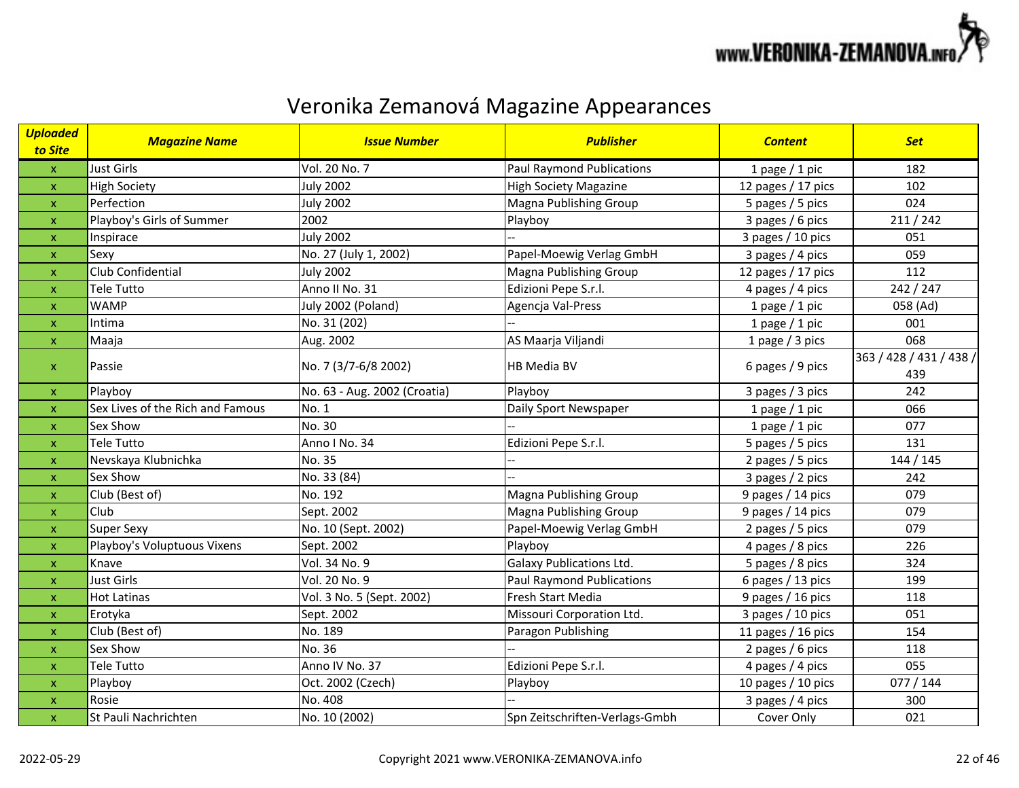

| <b>Uploaded</b><br>to Site | <b>Magazine Name</b>             | <b>Issue Number</b>          | <b>Publisher</b>                 | <b>Content</b>       | <b>Set</b>                     |
|----------------------------|----------------------------------|------------------------------|----------------------------------|----------------------|--------------------------------|
| $\mathsf X$                | Just Girls                       | Vol. 20 No. 7                | <b>Paul Raymond Publications</b> | 1 page $/$ 1 pic     | 182                            |
| $\pmb{\mathsf{x}}$         | <b>High Society</b>              | <b>July 2002</b>             | <b>High Society Magazine</b>     | 12 pages / 17 pics   | 102                            |
| $\pmb{\mathsf{x}}$         | Perfection                       | <b>July 2002</b>             | Magna Publishing Group           | 5 pages / 5 pics     | 024                            |
| $\mathsf{x}$               | Playboy's Girls of Summer        | 2002                         | Playboy                          | 3 pages / 6 pics     | 211 / 242                      |
| X                          | Inspirace                        | <b>July 2002</b>             |                                  | 3 pages / 10 pics    | 051                            |
| $\pmb{\times}$             | Sexy                             | No. 27 (July 1, 2002)        | Papel-Moewig Verlag GmbH         | 3 pages / 4 pics     | 059                            |
| $\pmb{\mathsf{x}}$         | Club Confidential                | <b>July 2002</b>             | Magna Publishing Group           | 12 pages / 17 pics   | 112                            |
| $\pmb{\mathsf{x}}$         | Tele Tutto                       | Anno II No. 31               | Edizioni Pepe S.r.l.             | 4 pages / 4 pics     | 242 / 247                      |
| $\pmb{\mathsf{x}}$         | <b>WAMP</b>                      | July 2002 (Poland)           | Agencja Val-Press                | 1 page $/$ 1 pic     | 058 (Ad)                       |
| $\pmb{\mathsf{x}}$         | Intima                           | No. 31 (202)                 |                                  | 1 page $/$ 1 pic     | 001                            |
| $\mathsf X$                | Maaja                            | Aug. 2002                    | AS Maarja Viljandi               | 1 page / 3 pics      | 068                            |
| X                          | Passie                           | No. 7 (3/7-6/8 2002)         | HB Media BV                      | 6 pages / 9 pics     | 363 / 428 / 431 / 438 /<br>439 |
| $\mathsf{x}$               | Playboy                          | No. 63 - Aug. 2002 (Croatia) | Playboy                          | 3 pages / 3 pics     | 242                            |
| $\pmb{\mathsf{x}}$         | Sex Lives of the Rich and Famous | No. 1                        | Daily Sport Newspaper            | 1 page $/$ 1 pic     | 066                            |
| X                          | Sex Show                         | No. 30                       |                                  | 1 page $/$ 1 pic     | 077                            |
| X                          | Tele Tutto                       | Anno I No. 34                | Edizioni Pepe S.r.l.             | 5 pages / 5 pics     | 131                            |
| X                          | Nevskaya Klubnichka              | No. 35                       |                                  | 2 pages / 5 pics     | 144 / 145                      |
| $\pmb{\mathsf{x}}$         | Sex Show                         | No. 33 (84)                  |                                  | 3 pages / 2 pics     | 242                            |
| $\pmb{\mathsf{x}}$         | Club (Best of)                   | No. 192                      | Magna Publishing Group           | 9 pages / 14 pics    | 079                            |
| $\pmb{\mathsf{x}}$         | Club                             | Sept. 2002                   | Magna Publishing Group           | 9 pages / 14 pics    | 079                            |
| $\pmb{\times}$             | <b>Super Sexy</b>                | No. 10 (Sept. 2002)          | Papel-Moewig Verlag GmbH         | 2 pages / 5 pics     | 079                            |
| $\pmb{\mathsf{x}}$         | Playboy's Voluptuous Vixens      | Sept. 2002                   | Playboy                          | 4 pages / 8 pics     | 226                            |
| $\pmb{\mathsf{x}}$         | Knave                            | Vol. 34 No. 9                | <b>Galaxy Publications Ltd.</b>  | 5 pages / 8 pics     | 324                            |
| X                          | <b>Just Girls</b>                | Vol. 20 No. 9                | <b>Paul Raymond Publications</b> | 6 pages / 13 pics    | 199                            |
| $\pmb{\mathsf{x}}$         | <b>Hot Latinas</b>               | Vol. 3 No. 5 (Sept. 2002)    | Fresh Start Media                | 9 pages / 16 pics    | 118                            |
| $\boldsymbol{\mathsf{x}}$  | Erotyka                          | Sept. 2002                   | Missouri Corporation Ltd.        | 3 pages / 10 pics    | 051                            |
| $\boldsymbol{\mathsf{x}}$  | Club (Best of)                   | No. 189                      | Paragon Publishing               | 11 pages $/$ 16 pics | 154                            |
| $\boldsymbol{\mathsf{x}}$  | Sex Show                         | No. 36                       |                                  | 2 pages / 6 pics     | 118                            |
| $\boldsymbol{\mathsf{x}}$  | <b>Tele Tutto</b>                | Anno IV No. 37               | Edizioni Pepe S.r.l.             | 4 pages / 4 pics     | 055                            |
| $\boldsymbol{\mathsf{x}}$  | Playboy                          | Oct. 2002 (Czech)            | Playboy                          | 10 pages / 10 pics   | 077/144                        |
| $\pmb{\mathsf{x}}$         | Rosie                            | No. 408                      |                                  | 3 pages / 4 pics     | 300                            |
| $\boldsymbol{\mathsf{x}}$  | St Pauli Nachrichten             | No. 10 (2002)                | Spn Zeitschriften-Verlags-Gmbh   | Cover Only           | 021                            |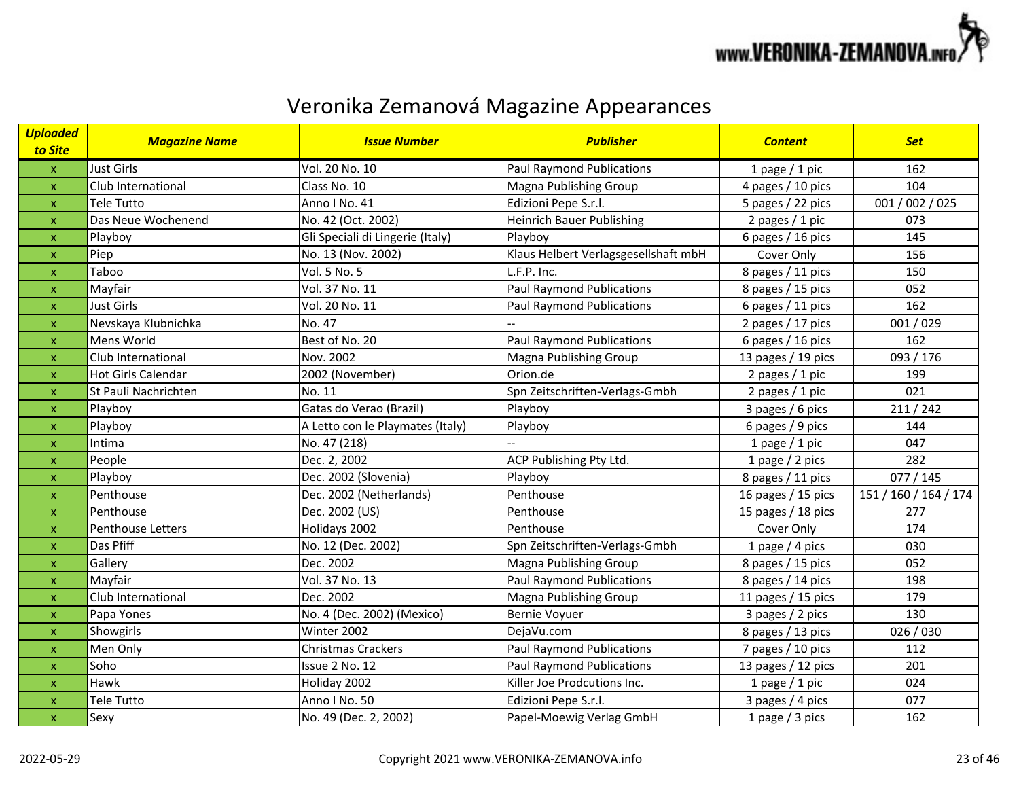

| <b>Uploaded</b><br>to Site | <b>Magazine Name</b>      | <b>Issue Number</b>              | <b>Publisher</b>                     | <b>Content</b>     | <b>Set</b>            |
|----------------------------|---------------------------|----------------------------------|--------------------------------------|--------------------|-----------------------|
| $\mathsf X$                | Just Girls                | Vol. 20 No. 10                   | <b>Paul Raymond Publications</b>     | 1 page $/$ 1 pic   | 162                   |
| $\pmb{\times}$             | Club International        | Class No. 10                     | Magna Publishing Group               | 4 pages / 10 pics  | 104                   |
| $\pmb{\times}$             | <b>Tele Tutto</b>         | Anno I No. 41                    | Edizioni Pepe S.r.l.                 | 5 pages / 22 pics  | 001 / 002 / 025       |
| $\mathsf{x}$               | Das Neue Wochenend        | No. 42 (Oct. 2002)               | <b>Heinrich Bauer Publishing</b>     | 2 pages $/ 1$ pic  | 073                   |
| X                          | Playboy                   | Gli Speciali di Lingerie (Italy) | Playboy                              | 6 pages / 16 pics  | 145                   |
| $\pmb{\times}$             | Piep                      | No. 13 (Nov. 2002)               | Klaus Helbert Verlagsgesellshaft mbH | Cover Only         | 156                   |
| $\pmb{\mathsf{x}}$         | Taboo                     | Vol. 5 No. 5                     | L.F.P. Inc.                          | 8 pages / 11 pics  | 150                   |
| X                          | Mayfair                   | Vol. 37 No. 11                   | <b>Paul Raymond Publications</b>     | 8 pages / 15 pics  | 052                   |
| $\pmb{\mathsf{x}}$         | Just Girls                | Vol. 20 No. 11                   | <b>Paul Raymond Publications</b>     | 6 pages / 11 pics  | 162                   |
| $\pmb{\times}$             | Nevskaya Klubnichka       | No. 47                           |                                      | 2 pages / 17 pics  | 001/029               |
| $\pmb{\mathsf{X}}$         | Mens World                | Best of No. 20                   | <b>Paul Raymond Publications</b>     | 6 pages / 16 pics  | 162                   |
| $\boldsymbol{\mathsf{x}}$  | Club International        | Nov. 2002                        | <b>Magna Publishing Group</b>        | 13 pages / 19 pics | 093 / 176             |
| $\pmb{\times}$             | <b>Hot Girls Calendar</b> | 2002 (November)                  | Orion.de                             | 2 pages $/$ 1 pic  | 199                   |
| $\boldsymbol{\mathsf{x}}$  | St Pauli Nachrichten      | No. 11                           | Spn Zeitschriften-Verlags-Gmbh       | 2 pages / 1 pic    | 021                   |
| $\boldsymbol{\mathsf{x}}$  | Playboy                   | Gatas do Verao (Brazil)          | Playboy                              | 3 pages / 6 pics   | 211 / 242             |
| $\pmb{\mathsf{x}}$         | Playboy                   | A Letto con le Playmates (Italy) | Playboy                              | 6 pages / 9 pics   | 144                   |
| X                          | Intima                    | No. 47 (218)                     |                                      | 1 page $/$ 1 pic   | 047                   |
| $\pmb{\mathsf{X}}$         | People                    | Dec. 2, 2002                     | ACP Publishing Pty Ltd.              | 1 page $/$ 2 pics  | 282                   |
| $\pmb{\mathsf{X}}$         | Playboy                   | Dec. 2002 (Slovenia)             | Playboy                              | 8 pages / 11 pics  | 077/145               |
| $\pmb{\mathsf{X}}$         | Penthouse                 | Dec. 2002 (Netherlands)          | Penthouse                            | 16 pages / 15 pics | 151 / 160 / 164 / 174 |
| $\boldsymbol{\mathsf{x}}$  | Penthouse                 | Dec. 2002 (US)                   | Penthouse                            | 15 pages / 18 pics | 277                   |
| $\boldsymbol{\mathsf{x}}$  | Penthouse Letters         | Holidays 2002                    | Penthouse                            | Cover Only         | 174                   |
| $\pmb{\times}$             | Das Pfiff                 | No. 12 (Dec. 2002)               | Spn Zeitschriften-Verlags-Gmbh       | 1 page $/$ 4 pics  | 030                   |
| X                          | Gallery                   | Dec. 2002                        | Magna Publishing Group               | 8 pages / 15 pics  | 052                   |
| X                          | Mayfair                   | Vol. 37 No. 13                   | Paul Raymond Publications            | 8 pages / 14 pics  | 198                   |
| $\pmb{\mathsf{x}}$         | Club International        | Dec. 2002                        | Magna Publishing Group               | 11 pages / 15 pics | 179                   |
| $\boldsymbol{\mathsf{x}}$  | Papa Yones                | No. 4 (Dec. 2002) (Mexico)       | <b>Bernie Voyuer</b>                 | 3 pages / 2 pics   | 130                   |
| $\pmb{\times}$             | Showgirls                 | Winter 2002                      | DejaVu.com                           | 8 pages / 13 pics  | 026/030               |
| $\boldsymbol{\mathsf{x}}$  | Men Only                  | <b>Christmas Crackers</b>        | <b>Paul Raymond Publications</b>     | 7 pages / 10 pics  | 112                   |
| $\pmb{\times}$             | Soho                      | Issue 2 No. 12                   | <b>Paul Raymond Publications</b>     | 13 pages / 12 pics | 201                   |
| $\pmb{\mathsf{x}}$         | Hawk                      | Holiday 2002                     | Killer Joe Prodcutions Inc.          | 1 page $/$ 1 pic   | 024                   |
| $\pmb{\mathsf{x}}$         | Tele Tutto                | Anno I No. 50                    | Edizioni Pepe S.r.l.                 | 3 pages / 4 pics   | 077                   |
| $\pmb{\mathsf{x}}$         | Sexy                      | No. 49 (Dec. 2, 2002)            | Papel-Moewig Verlag GmbH             | 1 page / 3 pics    | 162                   |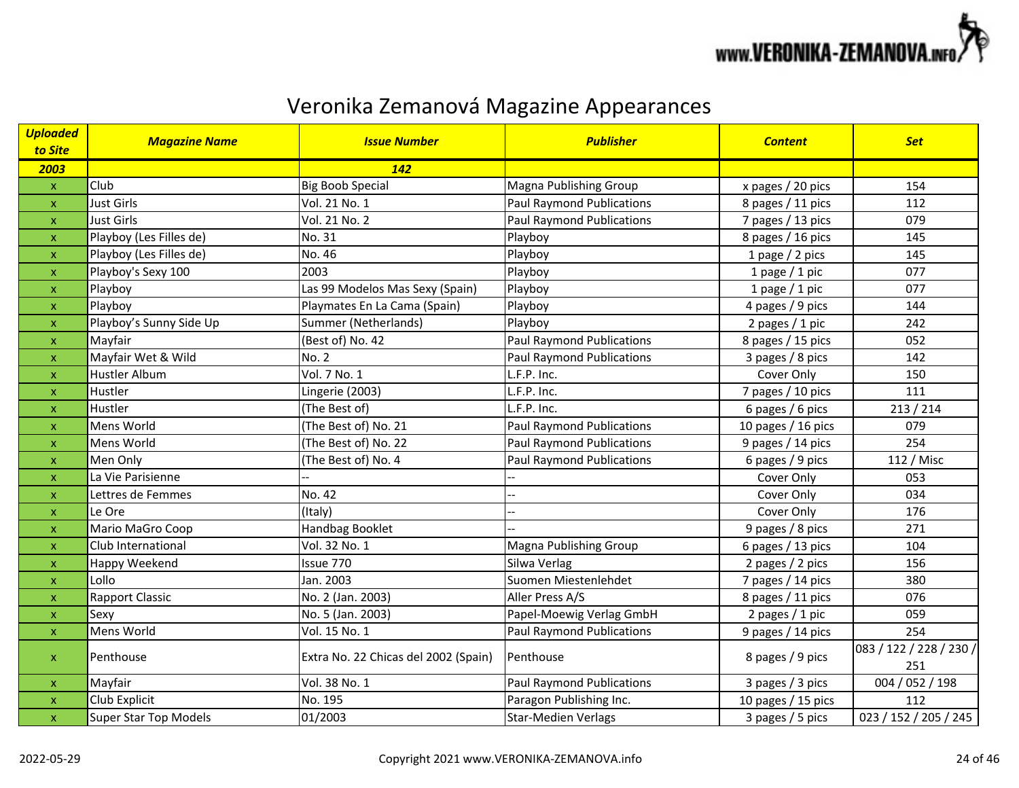

| <b>Uploaded</b><br>to Site | <b>Magazine Name</b>         | <b>Issue Number</b>                  | <b>Publisher</b>                 | <b>Content</b>     | <b>Set</b>              |
|----------------------------|------------------------------|--------------------------------------|----------------------------------|--------------------|-------------------------|
| 2003                       |                              | <b>142</b>                           |                                  |                    |                         |
| $\pmb{\mathsf{X}}$         | Club                         | <b>Big Boob Special</b>              | Magna Publishing Group           | x pages / 20 pics  | 154                     |
| $\boldsymbol{\mathsf{X}}$  | <b>Just Girls</b>            | Vol. 21 No. 1                        | <b>Paul Raymond Publications</b> | 8 pages / 11 pics  | 112                     |
| $\mathsf{x}$               | <b>Just Girls</b>            | Vol. 21 No. 2                        | <b>Paul Raymond Publications</b> | 7 pages / 13 pics  | 079                     |
| $\boldsymbol{\mathsf{x}}$  | Playboy (Les Filles de)      | No. 31                               | Playboy                          | 8 pages / 16 pics  | 145                     |
| $\boldsymbol{\mathsf{X}}$  | Playboy (Les Filles de)      | No. 46                               | Playboy                          | 1 page $/$ 2 pics  | 145                     |
| $\boldsymbol{\mathsf{x}}$  | Playboy's Sexy 100           | 2003                                 | Playboy                          | 1 page $/$ 1 pic   | 077                     |
| $\boldsymbol{\mathsf{x}}$  | Playboy                      | Las 99 Modelos Mas Sexy (Spain)      | Playboy                          | 1 page $/$ 1 pic   | 077                     |
| $\pmb{\mathsf{X}}$         | Playboy                      | Playmates En La Cama (Spain)         | Playboy                          | 4 pages / 9 pics   | 144                     |
| $\mathsf{x}$               | Playboy's Sunny Side Up      | Summer (Netherlands)                 | Playboy                          | 2 pages / 1 pic    | 242                     |
| $\pmb{\mathsf{X}}$         | Mayfair                      | (Best of) No. 42                     | <b>Paul Raymond Publications</b> | 8 pages / 15 pics  | 052                     |
| $\mathsf{x}$               | Mayfair Wet & Wild           | <b>No. 2</b>                         | <b>Paul Raymond Publications</b> | 3 pages / 8 pics   | 142                     |
| $\boldsymbol{\mathsf{X}}$  | <b>Hustler Album</b>         | Vol. 7 No. 1                         | L.F.P. Inc.                      | Cover Only         | 150                     |
| $\boldsymbol{\mathsf{x}}$  | Hustler                      | Lingerie (2003)                      | L.F.P. Inc.                      | 7 pages / 10 pics  | 111                     |
| $\mathsf{x}$               | Hustler                      | (The Best of)                        | L.F.P. Inc.                      | 6 pages / 6 pics   | 213 / 214               |
| $\pmb{\times}$             | Mens World                   | (The Best of) No. 21                 | <b>Paul Raymond Publications</b> | 10 pages / 16 pics | 079                     |
| $\boldsymbol{\mathsf{x}}$  | Mens World                   | (The Best of) No. 22                 | <b>Paul Raymond Publications</b> | 9 pages / 14 pics  | 254                     |
| $\pmb{\mathsf{x}}$         | Men Only                     | (The Best of) No. 4                  | <b>Paul Raymond Publications</b> | 6 pages / 9 pics   | 112 / Misc              |
| $\mathsf{x}$               | La Vie Parisienne            |                                      |                                  | Cover Only         | 053                     |
| $\boldsymbol{\mathsf{x}}$  | Lettres de Femmes            | No. 42                               |                                  | Cover Only         | 034                     |
| $\pmb{\mathsf{X}}$         | Le Ore                       | (Italy)                              |                                  | Cover Only         | 176                     |
| $\boldsymbol{\mathsf{X}}$  | Mario MaGro Coop             | Handbag Booklet                      |                                  | 9 pages / 8 pics   | 271                     |
| $\boldsymbol{\mathsf{X}}$  | Club International           | Vol. 32 No. 1                        | <b>Magna Publishing Group</b>    | 6 pages / 13 pics  | 104                     |
| $\boldsymbol{\mathsf{x}}$  | Happy Weekend                | Issue 770                            | Silwa Verlag                     | 2 pages / 2 pics   | 156                     |
| $\boldsymbol{\mathsf{X}}$  | Lollo                        | Jan. 2003                            | Suomen Miestenlehdet             | 7 pages / 14 pics  | 380                     |
| $\pmb{\mathsf{X}}$         | Rapport Classic              | No. 2 (Jan. 2003)                    | Aller Press A/S                  | 8 pages / 11 pics  | 076                     |
| $\mathsf{x}$               | Sexy                         | No. 5 (Jan. 2003)                    | Papel-Moewig Verlag GmbH         | 2 pages / 1 pic    | 059                     |
| $\boldsymbol{\mathsf{X}}$  | Mens World                   | Vol. 15 No. 1                        | <b>Paul Raymond Publications</b> | 9 pages / 14 pics  | 254                     |
| $\pmb{\mathsf{X}}$         | Penthouse                    | Extra No. 22 Chicas del 2002 (Spain) | Penthouse                        | 8 pages / 9 pics   | 083 / 122 / 228 / 230 / |
|                            |                              |                                      |                                  |                    | 251                     |
| $\pmb{\mathsf{X}}$         | Mayfair                      | Vol. 38 No. 1                        | <b>Paul Raymond Publications</b> | 3 pages / 3 pics   | 004 / 052 / 198         |
| $\pmb{\mathsf{x}}$         | Club Explicit                | No. 195                              | Paragon Publishing Inc.          | 10 pages / 15 pics | 112                     |
| $\pmb{\mathsf{x}}$         | <b>Super Star Top Models</b> | 01/2003                              | <b>Star-Medien Verlags</b>       | 3 pages / 5 pics   | 023 / 152 / 205 / 245   |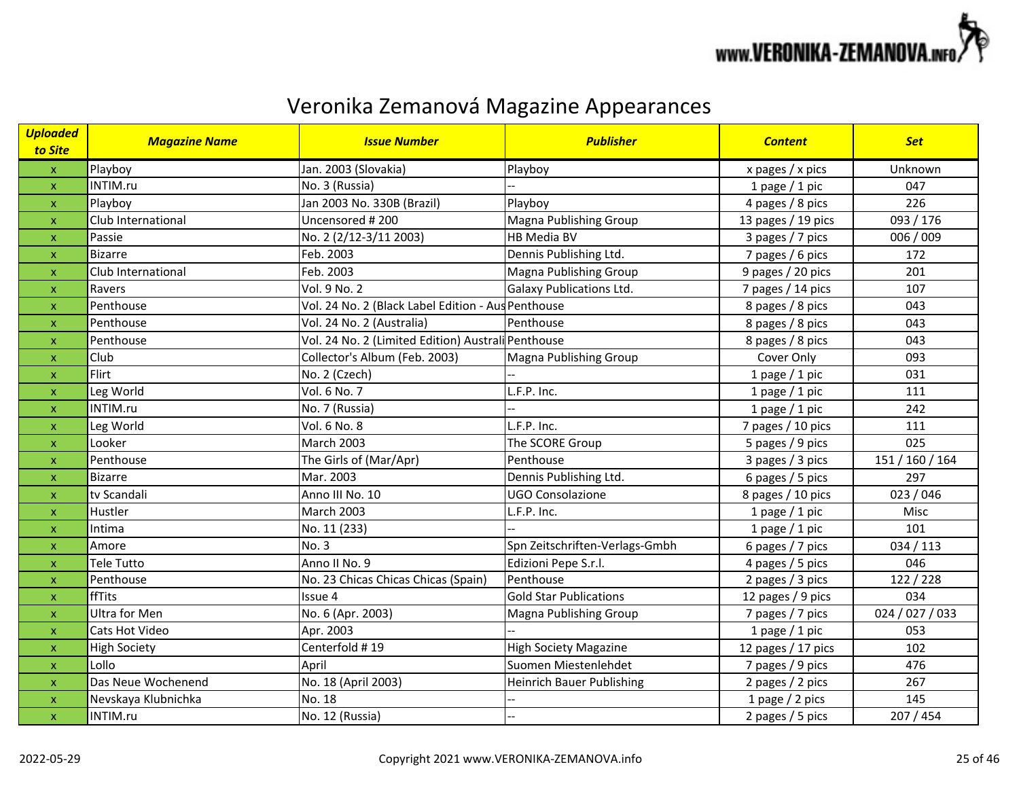

| <b>Uploaded</b><br>to Site | <b>Magazine Name</b> | <b>Issue Number</b>                                | <b>Publisher</b>                 | <b>Content</b>     | <b>Set</b>      |
|----------------------------|----------------------|----------------------------------------------------|----------------------------------|--------------------|-----------------|
| $\mathbf{x}$               | Playboy              | Jan. 2003 (Slovakia)                               | Playboy                          | x pages $/x$ pics  | Unknown         |
| $\pmb{\times}$             | INTIM.ru             | No. 3 (Russia)                                     |                                  | 1 page $/$ 1 pic   | 047             |
| $\boldsymbol{\mathsf{x}}$  | Playboy              | Jan 2003 No. 330B (Brazil)                         | Playboy                          | 4 pages / 8 pics   | 226             |
| $\boldsymbol{\mathsf{x}}$  | Club International   | Uncensored # 200                                   | Magna Publishing Group           | 13 pages / 19 pics | 093 / 176       |
| $\boldsymbol{\mathsf{x}}$  | Passie               | No. 2 (2/12-3/11 2003)                             | <b>HB Media BV</b>               | 3 pages / 7 pics   | 006 / 009       |
| $\boldsymbol{\mathsf{x}}$  | <b>Bizarre</b>       | Feb. 2003                                          | Dennis Publishing Ltd.           | 7 pages / 6 pics   | 172             |
| $\boldsymbol{\mathsf{x}}$  | Club International   | Feb. 2003                                          | Magna Publishing Group           | 9 pages / 20 pics  | 201             |
| x                          | Ravers               | Vol. 9 No. 2                                       | <b>Galaxy Publications Ltd.</b>  | 7 pages / 14 pics  | 107             |
| $\pmb{\mathsf{x}}$         | Penthouse            | Vol. 24 No. 2 (Black Label Edition - Aus Penthouse |                                  | 8 pages / 8 pics   | 043             |
| $\boldsymbol{\mathsf{x}}$  | Penthouse            | Vol. 24 No. 2 (Australia)                          | Penthouse                        | 8 pages / 8 pics   | 043             |
| $\boldsymbol{\mathsf{x}}$  | Penthouse            | Vol. 24 No. 2 (Limited Edition) Australi Penthouse |                                  | 8 pages / 8 pics   | 043             |
| $\boldsymbol{\mathsf{x}}$  | Club                 | Collector's Album (Feb. 2003)                      | <b>Magna Publishing Group</b>    | Cover Only         | 093             |
| $\boldsymbol{\mathsf{x}}$  | Flirt                | No. 2 (Czech)                                      |                                  | 1 page $/$ 1 pic   | 031             |
| $\boldsymbol{\mathsf{x}}$  | Leg World            | Vol. 6 No. 7                                       | L.F.P. Inc.                      | 1 page $/$ 1 pic   | 111             |
| $\boldsymbol{\mathsf{x}}$  | INTIM.ru             | No. 7 (Russia)                                     |                                  | 1 page $/$ 1 pic   | 242             |
| X                          | Leg World            | Vol. 6 No. 8                                       | L.F.P. Inc.                      | 7 pages / 10 pics  | 111             |
| $\boldsymbol{\mathsf{x}}$  | Looker               | March 2003                                         | The SCORE Group                  | 5 pages / 9 pics   | 025             |
| X                          | Penthouse            | The Girls of (Mar/Apr)                             | Penthouse                        | 3 pages / 3 pics   | 151 / 160 / 164 |
| $\boldsymbol{\mathsf{x}}$  | <b>Bizarre</b>       | Mar. 2003                                          | Dennis Publishing Ltd.           | 6 pages / 5 pics   | 297             |
| $\pmb{\times}$             | tv Scandali          | Anno III No. 10                                    | <b>UGO Consolazione</b>          | 8 pages / 10 pics  | 023 / 046       |
| $\boldsymbol{\mathsf{x}}$  | Hustler              | <b>March 2003</b>                                  | L.F.P. Inc.                      | 1 page $/$ 1 pic   | Misc            |
| $\boldsymbol{\mathsf{x}}$  | Intima               | No. 11 (233)                                       |                                  | 1 page $/$ 1 pic   | 101             |
| $\pmb{\mathsf{x}}$         | Amore                | No. 3                                              | Spn Zeitschriften-Verlags-Gmbh   | 6 pages / 7 pics   | 034 / 113       |
| $\boldsymbol{\mathsf{x}}$  | <b>Tele Tutto</b>    | Anno II No. 9                                      | Edizioni Pepe S.r.l.             | 4 pages / 5 pics   | 046             |
| $\pmb{\times}$             | Penthouse            | No. 23 Chicas Chicas Chicas (Spain)                | Penthouse                        | 2 pages / 3 pics   | 122 / 228       |
| $\pmb{\mathsf{x}}$         | ffTits               | Issue 4                                            | <b>Gold Star Publications</b>    | 12 pages / 9 pics  | 034             |
| $\boldsymbol{\mathsf{x}}$  | Ultra for Men        | No. 6 (Apr. 2003)                                  | Magna Publishing Group           | 7 pages / 7 pics   | 024 / 027 / 033 |
| $\pmb{\times}$             | Cats Hot Video       | Apr. 2003                                          |                                  | 1 page $/$ 1 pic   | 053             |
| $\boldsymbol{\mathsf{x}}$  | <b>High Society</b>  | Centerfold #19                                     | <b>High Society Magazine</b>     | 12 pages / 17 pics | 102             |
| $\pmb{\mathsf{x}}$         | Lollo                | April                                              | Suomen Miestenlehdet             | 7 pages / 9 pics   | 476             |
| $\pmb{\times}$             | Das Neue Wochenend   | No. 18 (April 2003)                                | <b>Heinrich Bauer Publishing</b> | 2 pages / 2 pics   | 267             |
| $\pmb{\mathsf{x}}$         | Nevskaya Klubnichka  | No. 18                                             |                                  | 1 page / 2 pics    | 145             |
| $\pmb{\times}$             | INTIM.ru             | No. 12 (Russia)                                    |                                  | 2 pages / 5 pics   | 207 / 454       |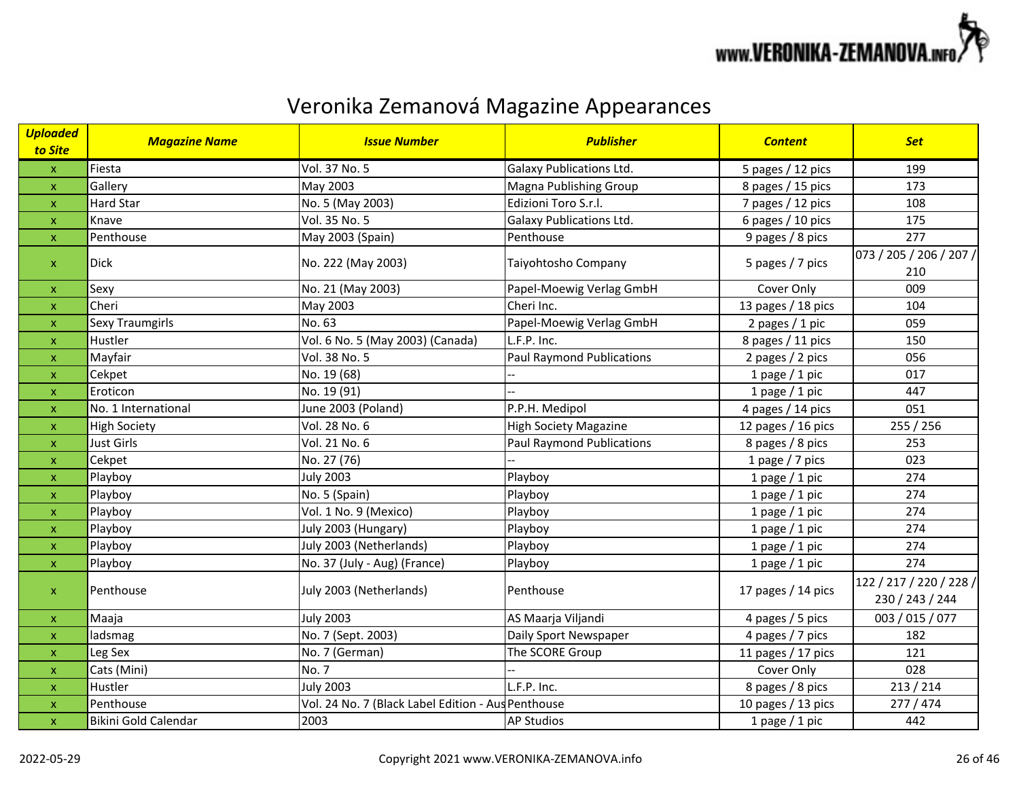

| <b>Uploaded</b><br>to Site | <b>Magazine Name</b> | <b>Issue Number</b>                                | <b>Publisher</b>                 | <b>Content</b>     | <b>Set</b>                                 |
|----------------------------|----------------------|----------------------------------------------------|----------------------------------|--------------------|--------------------------------------------|
| $\pmb{\mathsf{X}}$         | Fiesta               | Vol. 37 No. 5                                      | <b>Galaxy Publications Ltd.</b>  | 5 pages / 12 pics  | 199                                        |
| $\pmb{\mathsf{X}}$         | Gallery              | May 2003                                           | <b>Magna Publishing Group</b>    | 8 pages / 15 pics  | 173                                        |
| $\pmb{\mathsf{x}}$         | <b>Hard Star</b>     | No. 5 (May 2003)                                   | Edizioni Toro S.r.l.             | 7 pages / 12 pics  | 108                                        |
| $\mathsf{x}$               | Knave                | Vol. 35 No. 5                                      | <b>Galaxy Publications Ltd.</b>  | 6 pages / 10 pics  | 175                                        |
| $\pmb{\mathsf{X}}$         | Penthouse            | May 2003 (Spain)                                   | Penthouse                        | 9 pages / 8 pics   | 277                                        |
| $\pmb{\mathsf{x}}$         | <b>Dick</b>          | No. 222 (May 2003)                                 | Taiyohtosho Company              | 5 pages / 7 pics   | 073 / 205 / 206 / 207 /<br>210             |
| $\pmb{\mathsf{X}}$         | Sexy                 | No. 21 (May 2003)                                  | Papel-Moewig Verlag GmbH         | Cover Only         | 009                                        |
| $\pmb{\mathsf{X}}$         | Cheri                | May 2003                                           | Cheri Inc.                       | 13 pages / 18 pics | 104                                        |
| $\pmb{\mathsf{x}}$         | Sexy Traumgirls      | No. 63                                             | Papel-Moewig Verlag GmbH         | 2 pages / 1 pic    | 059                                        |
| $\pmb{\mathsf{X}}$         | Hustler              | Vol. 6 No. 5 (May 2003) (Canada)                   | L.F.P. Inc.                      | 8 pages / 11 pics  | 150                                        |
| $\pmb{\mathsf{X}}$         | Mayfair              | Vol. 38 No. 5                                      | <b>Paul Raymond Publications</b> | 2 pages / 2 pics   | 056                                        |
| $\mathsf{x}$               | Cekpet               | No. 19 (68)                                        |                                  | 1 page $/$ 1 pic   | 017                                        |
| $\pmb{\mathsf{X}}$         | Eroticon             | No. 19 (91)                                        |                                  | 1 page / 1 pic     | 447                                        |
| $\mathsf{x}$               | No. 1 International  | June 2003 (Poland)                                 | P.P.H. Medipol                   | 4 pages / 14 pics  | 051                                        |
| $\pmb{\mathsf{X}}$         | <b>High Society</b>  | Vol. 28 No. 6                                      | <b>High Society Magazine</b>     | 12 pages / 16 pics | 255 / 256                                  |
| $\mathsf{x}$               | <b>Just Girls</b>    | Vol. 21 No. 6                                      | <b>Paul Raymond Publications</b> | 8 pages / 8 pics   | 253                                        |
| $\pmb{\times}$             | Cekpet               | No. 27 (76)                                        |                                  | 1 page / 7 pics    | 023                                        |
| X                          | Playboy              | <b>July 2003</b>                                   | Playboy                          | 1 page $/$ 1 pic   | 274                                        |
| $\pmb{\mathsf{x}}$         | Playboy              | No. 5 (Spain)                                      | Playboy                          | 1 page $/$ 1 pic   | 274                                        |
| $\pmb{\mathsf{X}}$         | Playboy              | Vol. 1 No. 9 (Mexico)                              | Playboy                          | 1 page $/$ 1 pic   | 274                                        |
| $\mathsf{x}$               | Playboy              | July 2003 (Hungary)                                | Playboy                          | 1 page $/$ 1 pic   | 274                                        |
| $\pmb{\mathsf{x}}$         | Playboy              | July 2003 (Netherlands)                            | Playboy                          | 1 page / 1 pic     | 274                                        |
| $\boldsymbol{\mathsf{X}}$  | Playboy              | No. 37 (July - Aug) (France)                       | Playboy                          | 1 page $/$ 1 pic   | 274                                        |
| $\pmb{\mathsf{X}}$         | Penthouse            | July 2003 (Netherlands)                            | Penthouse                        | 17 pages / 14 pics | 122 / 217 / 220 / 228 /<br>230 / 243 / 244 |
| $\mathsf X$                | Maaja                | <b>July 2003</b>                                   | AS Maarja Viljandi               | 4 pages / 5 pics   | 003 / 015 / 077                            |
| $\mathsf{x}$               | ladsmag              | No. 7 (Sept. 2003)                                 | Daily Sport Newspaper            | 4 pages / 7 pics   | 182                                        |
| $\boldsymbol{\mathsf{x}}$  | Leg Sex              | No. 7 (German)                                     | The SCORE Group                  | 11 pages / 17 pics | 121                                        |
| $\pmb{\mathsf{X}}$         | Cats (Mini)          | No. 7                                              |                                  | Cover Only         | 028                                        |
| $\mathsf{x}$               | Hustler              | <b>July 2003</b>                                   | L.F.P. Inc.                      | 8 pages / 8 pics   | 213 / 214                                  |
| $\pmb{\mathsf{X}}$         | Penthouse            | Vol. 24 No. 7 (Black Label Edition - Aus Penthouse |                                  | 10 pages / 13 pics | 277/474                                    |
| $\pmb{\mathsf{x}}$         | Bikini Gold Calendar | 2003                                               | <b>AP Studios</b>                | 1 page $/$ 1 pic   | 442                                        |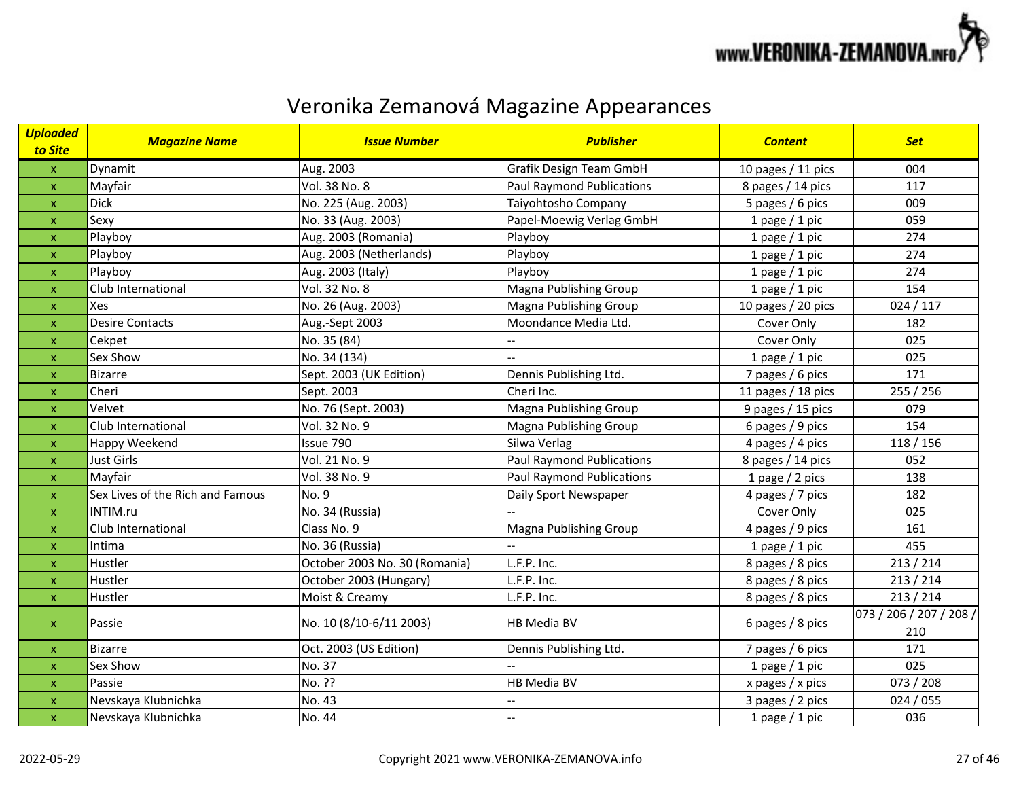

| <b>Uploaded</b><br>to Site | <b>Magazine Name</b>             | <b>Issue Number</b>           | <b>Publisher</b>                 | <b>Content</b>     | <b>Set</b>                     |
|----------------------------|----------------------------------|-------------------------------|----------------------------------|--------------------|--------------------------------|
| $\mathsf X$                | Dynamit                          | Aug. 2003                     | Grafik Design Team GmbH          | 10 pages / 11 pics | 004                            |
| $\pmb{\mathsf{X}}$         | Mayfair                          | Vol. 38 No. 8                 | <b>Paul Raymond Publications</b> | 8 pages / 14 pics  | 117                            |
| $\pmb{\mathsf{X}}$         | <b>Dick</b>                      | No. 225 (Aug. 2003)           | Taiyohtosho Company              | 5 pages / 6 pics   | 009                            |
| $\mathsf{x}$               | Sexy                             | No. 33 (Aug. 2003)            | Papel-Moewig Verlag GmbH         | 1 page $/$ 1 pic   | 059                            |
| $\mathsf{x}$               | Playboy                          | Aug. 2003 (Romania)           | Playboy                          | 1 page $/$ 1 pic   | 274                            |
| $\mathsf{x}$               | Playboy                          | Aug. 2003 (Netherlands)       | Playboy                          | 1 page $/$ 1 pic   | 274                            |
| $\pmb{\mathsf{X}}$         | Playboy                          | Aug. 2003 (Italy)             | Playboy                          | 1 page $/$ 1 pic   | 274                            |
| $\mathsf{x}$               | Club International               | Vol. 32 No. 8                 | Magna Publishing Group           | 1 page $/$ 1 pic   | 154                            |
| $\pmb{\mathsf{x}}$         | Xes                              | No. 26 (Aug. 2003)            | Magna Publishing Group           | 10 pages / 20 pics | 024/117                        |
| $\pmb{\mathsf{X}}$         | <b>Desire Contacts</b>           | Aug.-Sept 2003                | Moondance Media Ltd.             | Cover Only         | 182                            |
| $\pmb{\mathsf{X}}$         | Cekpet                           | No. 35 (84)                   |                                  | Cover Only         | 025                            |
| $\mathsf{x}$               | Sex Show                         | No. 34 (134)                  |                                  | 1 page / 1 pic     | 025                            |
| $\pmb{\mathsf{X}}$         | <b>Bizarre</b>                   | Sept. 2003 (UK Edition)       | Dennis Publishing Ltd.           | 7 pages / 6 pics   | 171                            |
| $\pmb{\mathsf{X}}$         | Cheri                            | Sept. 2003                    | Cheri Inc.                       | 11 pages / 18 pics | 255 / 256                      |
| $\mathbf{x}$               | Velvet                           | No. 76 (Sept. 2003)           | Magna Publishing Group           | 9 pages / 15 pics  | 079                            |
| $\pmb{\mathsf{X}}$         | Club International               | Vol. 32 No. 9                 | Magna Publishing Group           | 6 pages / 9 pics   | 154                            |
| $\mathsf{x}$               | Happy Weekend                    | Issue 790                     | Silwa Verlag                     | 4 pages / 4 pics   | 118/156                        |
| $\mathsf{x}$               | <b>Just Girls</b>                | Vol. 21 No. 9                 | <b>Paul Raymond Publications</b> | 8 pages / 14 pics  | 052                            |
| $\mathsf{x}$               | Mayfair                          | Vol. 38 No. 9                 | <b>Paul Raymond Publications</b> | 1 page / 2 pics    | 138                            |
| $\mathsf{x}$               | Sex Lives of the Rich and Famous | No. 9                         | Daily Sport Newspaper            | 4 pages / 7 pics   | 182                            |
| $\mathsf{x}$               | INTIM.ru                         | No. 34 (Russia)               |                                  | Cover Only         | 025                            |
| $\boldsymbol{\mathsf{X}}$  | Club International               | Class No. 9                   | Magna Publishing Group           | 4 pages / 9 pics   | 161                            |
| $\mathsf{x}$               | Intima                           | No. 36 (Russia)               |                                  | 1 page $/$ 1 pic   | 455                            |
| $\mathsf{x}$               | Hustler                          | October 2003 No. 30 (Romania) | L.F.P. Inc.                      | 8 pages / 8 pics   | 213 / 214                      |
| $\pmb{\mathsf{x}}$         | Hustler                          | October 2003 (Hungary)        | L.F.P. Inc.                      | 8 pages / 8 pics   | 213 / 214                      |
| $\pmb{\mathsf{X}}$         | Hustler                          | Moist & Creamy                | L.F.P. Inc.                      | 8 pages / 8 pics   | 213 / 214                      |
| $\pmb{\mathsf{X}}$         | Passie                           | No. 10 (8/10-6/11 2003)       | HB Media BV                      | 6 pages / 8 pics   | 073 / 206 / 207 / 208 /<br>210 |
| $\mathsf{x}$               | <b>Bizarre</b>                   | Oct. 2003 (US Edition)        | Dennis Publishing Ltd.           | 7 pages / 6 pics   | 171                            |
| $\mathsf{x}$               | Sex Show                         | No. 37                        |                                  | 1 page $/$ 1 pic   | 025                            |
| $\mathsf{x}$               | Passie                           | No. ??                        | HB Media BV                      | x pages / x pics   | 073 / 208                      |
| $\pmb{\mathsf{x}}$         | Nevskaya Klubnichka              | No. 43                        |                                  | 3 pages / 2 pics   | 024/055                        |
| $\pmb{\mathsf{X}}$         | Nevskaya Klubnichka              | No. 44                        |                                  | 1 page $/$ 1 pic   | 036                            |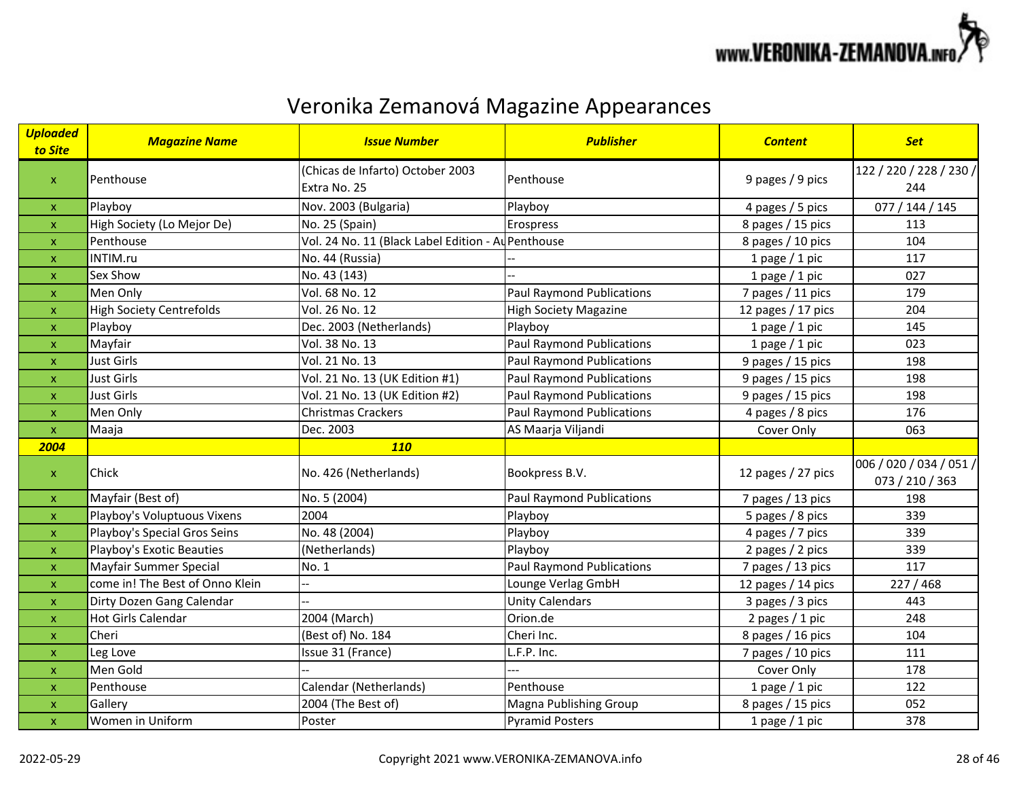

| <b>Uploaded</b><br>to Site | <b>Magazine Name</b>            | <b>Issue Number</b>                                | <b>Publisher</b>                 | <b>Content</b>     | <b>Set</b>              |
|----------------------------|---------------------------------|----------------------------------------------------|----------------------------------|--------------------|-------------------------|
|                            | Penthouse                       | (Chicas de Infarto) October 2003                   | Penthouse                        | 9 pages / 9 pics   | 122 / 220 / 228 / 230 / |
| $\pmb{\mathsf{X}}$         |                                 | Extra No. 25                                       |                                  |                    | 244                     |
| $\mathsf{x}$               | Playboy                         | Nov. 2003 (Bulgaria)                               | Playboy                          | 4 pages / 5 pics   | 077 / 144 / 145         |
| $\pmb{\mathsf{x}}$         | High Society (Lo Mejor De)      | No. 25 (Spain)                                     | Erospress                        | 8 pages / 15 pics  | 113                     |
| $\pmb{\mathsf{X}}$         | Penthouse                       | Vol. 24 No. 11 (Black Label Edition - Au Penthouse |                                  | 8 pages / 10 pics  | 104                     |
| $\boldsymbol{\mathsf{x}}$  | INTIM.ru                        | No. 44 (Russia)                                    |                                  | 1 page $/$ 1 pic   | 117                     |
| $\pmb{\mathsf{X}}$         | Sex Show                        | No. 43 (143)                                       |                                  | 1 page / 1 pic     | 027                     |
| $\mathsf{x}$               | Men Only                        | Vol. 68 No. 12                                     | <b>Paul Raymond Publications</b> | 7 pages / 11 pics  | 179                     |
| $\pmb{\mathsf{X}}$         | <b>High Society Centrefolds</b> | Vol. 26 No. 12                                     | <b>High Society Magazine</b>     | 12 pages / 17 pics | 204                     |
| $\boldsymbol{\mathsf{X}}$  | Playboy                         | Dec. 2003 (Netherlands)                            | Playboy                          | 1 page $/$ 1 pic   | 145                     |
| $\boldsymbol{\mathsf{x}}$  | Mayfair                         | Vol. 38 No. 13                                     | <b>Paul Raymond Publications</b> | 1 page $/$ 1 pic   | 023                     |
| $\pmb{\mathsf{X}}$         | <b>Just Girls</b>               | Vol. 21 No. 13                                     | <b>Paul Raymond Publications</b> | 9 pages / 15 pics  | 198                     |
| $\boldsymbol{\mathsf{x}}$  | <b>Just Girls</b>               | Vol. 21 No. 13 (UK Edition #1)                     | <b>Paul Raymond Publications</b> | 9 pages / 15 pics  | 198                     |
| $\pmb{\mathsf{x}}$         | <b>Just Girls</b>               | Vol. 21 No. 13 (UK Edition #2)                     | <b>Paul Raymond Publications</b> | 9 pages / 15 pics  | 198                     |
| $\pmb{\mathsf{X}}$         | Men Only                        | Christmas Crackers                                 | <b>Paul Raymond Publications</b> | 4 pages / 8 pics   | 176                     |
| $\mathsf X$                | Maaja                           | Dec. 2003                                          | AS Maarja Viljandi               | Cover Only         | 063                     |
| 2004                       |                                 | <b>110</b>                                         |                                  |                    |                         |
| $\pmb{\mathsf{X}}$         | Chick                           | No. 426 (Netherlands)                              | Bookpress B.V.                   | 12 pages / 27 pics | 006 / 020 / 034 / 051 / |
|                            |                                 |                                                    |                                  |                    | 073 / 210 / 363         |
| $\mathsf X$                | Mayfair (Best of)               | No. 5 (2004)                                       | <b>Paul Raymond Publications</b> | 7 pages / 13 pics  | 198                     |
| $\mathsf{x}$               | Playboy's Voluptuous Vixens     | 2004                                               | Playboy                          | 5 pages / 8 pics   | 339                     |
| $\pmb{\mathsf{x}}$         | Playboy's Special Gros Seins    | No. 48 (2004)                                      | Playboy                          | 4 pages / 7 pics   | 339                     |
| X                          | Playboy's Exotic Beauties       | (Netherlands)                                      | Playboy                          | 2 pages / 2 pics   | 339                     |
| $\boldsymbol{\mathsf{x}}$  | Mayfair Summer Special          | No. 1                                              | <b>Paul Raymond Publications</b> | 7 pages / 13 pics  | 117                     |
| $\pmb{\mathsf{X}}$         | come in! The Best of Onno Klein |                                                    | Lounge Verlag GmbH               | 12 pages / 14 pics | 227 / 468               |
| $\mathsf{x}$               | Dirty Dozen Gang Calendar       |                                                    | <b>Unity Calendars</b>           | 3 pages / 3 pics   | 443                     |
| $\pmb{\mathsf{X}}$         | <b>Hot Girls Calendar</b>       | 2004 (March)                                       | Orion.de                         | 2 pages / 1 pic    | 248                     |
| $\boldsymbol{\mathsf{x}}$  | Cheri                           | (Best of) No. 184                                  | Cheri Inc.                       | 8 pages / 16 pics  | 104                     |
| $\boldsymbol{\mathsf{x}}$  | Leg Love                        | Issue 31 (France)                                  | L.F.P. Inc.                      | 7 pages / 10 pics  | 111                     |
| $\pmb{\mathsf{x}}$         | Men Gold                        |                                                    |                                  | Cover Only         | 178                     |
| $\mathsf{x}$               | Penthouse                       | Calendar (Netherlands)                             | Penthouse                        | 1 page $/$ 1 pic   | 122                     |
| $\pmb{\mathsf{x}}$         | Gallery                         | 2004 (The Best of)                                 | Magna Publishing Group           | 8 pages / 15 pics  | 052                     |
| $\pmb{\mathsf{x}}$         | Women in Uniform                | Poster                                             | <b>Pyramid Posters</b>           | 1 page $/$ 1 pic   | 378                     |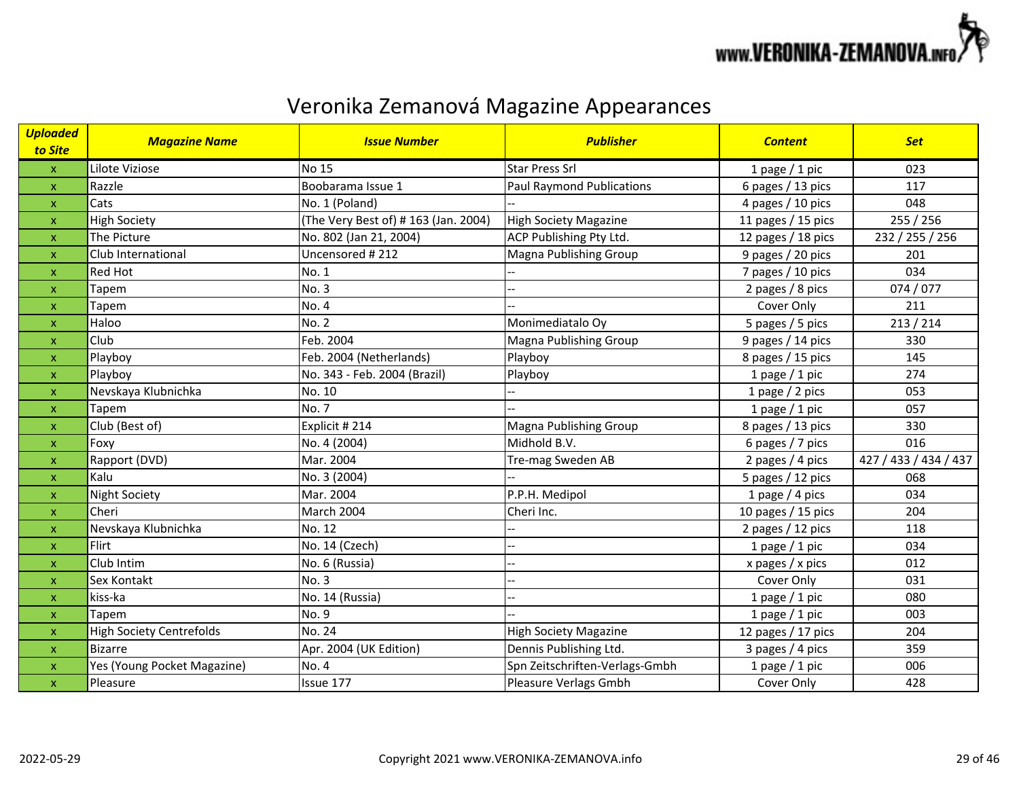

| <b>Uploaded</b><br>to Site | <b>Magazine Name</b>            | <b>Issue Number</b>                  | <b>Publisher</b>                 | <b>Content</b>     | <b>Set</b>            |
|----------------------------|---------------------------------|--------------------------------------|----------------------------------|--------------------|-----------------------|
| $\mathsf{x}$               | Lilote Viziose                  | <b>No 15</b>                         | <b>Star Press Srl</b>            | 1 page $/$ 1 pic   | 023                   |
| $\mathsf{x}$               | Razzle                          | Boobarama Issue 1                    | <b>Paul Raymond Publications</b> | 6 pages / 13 pics  | 117                   |
| $\mathsf{x}$               | Cats                            | No. 1 (Poland)                       |                                  | 4 pages / 10 pics  | 048                   |
| $\pmb{\mathsf{x}}$         | <b>High Society</b>             | (The Very Best of) # 163 (Jan. 2004) | <b>High Society Magazine</b>     | 11 pages / 15 pics | 255 / 256             |
| $\boldsymbol{\mathsf{x}}$  | The Picture                     | No. 802 (Jan 21, 2004)               | ACP Publishing Pty Ltd.          | 12 pages / 18 pics | 232 / 255 / 256       |
| $\boldsymbol{\mathsf{x}}$  | Club International              | Uncensored #212                      | Magna Publishing Group           | 9 pages / 20 pics  | 201                   |
| $\boldsymbol{\mathsf{x}}$  | Red Hot                         | No. 1                                |                                  | 7 pages / 10 pics  | 034                   |
| $\boldsymbol{\mathsf{x}}$  | Tapem                           | No. 3                                |                                  | 2 pages / 8 pics   | 074 / 077             |
| $\boldsymbol{\mathsf{x}}$  | Tapem                           | No. 4                                |                                  | Cover Only         | 211                   |
| $\pmb{\mathsf{x}}$         | Haloo                           | No. 2                                | Monimediatalo Oy                 | 5 pages / 5 pics   | 213 / 214             |
| $\pmb{\mathsf{x}}$         | Club                            | Feb. 2004                            | Magna Publishing Group           | 9 pages / 14 pics  | 330                   |
| $\pmb{\mathsf{x}}$         | Playboy                         | Feb. 2004 (Netherlands)              | Playboy                          | 8 pages / 15 pics  | 145                   |
| $\mathsf{x}$               | Playboy                         | No. 343 - Feb. 2004 (Brazil)         | Playboy                          | 1 page $/$ 1 pic   | 274                   |
| $\pmb{\mathsf{x}}$         | Nevskaya Klubnichka             | No. 10                               |                                  | 1 page $/$ 2 pics  | 053                   |
| $\pmb{\mathsf{x}}$         | Tapem                           | No. 7                                |                                  | 1 page $/$ 1 pic   | 057                   |
| $\boldsymbol{\mathsf{x}}$  | Club (Best of)                  | Explicit #214                        | Magna Publishing Group           | 8 pages / 13 pics  | 330                   |
| $\mathsf{x}$               | Foxy                            | No. 4 (2004)                         | Midhold B.V.                     | 6 pages / 7 pics   | 016                   |
| $\pmb{\mathsf{x}}$         | Rapport (DVD)                   | Mar. 2004                            | Tre-mag Sweden AB                | 2 pages / 4 pics   | 427 / 433 / 434 / 437 |
| $\boldsymbol{\mathsf{x}}$  | Kalu                            | No. 3 (2004)                         |                                  | 5 pages / 12 pics  | 068                   |
| $\pmb{\mathsf{X}}$         | <b>Night Society</b>            | Mar. 2004                            | P.P.H. Medipol                   | 1 page $/$ 4 pics  | 034                   |
| $\mathsf{x}$               | Cheri                           | March 2004                           | Cheri Inc.                       | 10 pages / 15 pics | 204                   |
| $\mathsf{x}$               | Nevskaya Klubnichka             | No. 12                               |                                  | 2 pages / 12 pics  | 118                   |
| $\boldsymbol{\mathsf{x}}$  | Flirt                           | No. 14 (Czech)                       |                                  | 1 page $/$ 1 pic   | 034                   |
| $\boldsymbol{\mathsf{x}}$  | Club Intim                      | No. 6 (Russia)                       |                                  | x pages / x pics   | 012                   |
| $\mathsf{x}$               | Sex Kontakt                     | <b>No. 3</b>                         |                                  | Cover Only         | 031                   |
| $\boldsymbol{\mathsf{x}}$  | kiss-ka                         | No. 14 (Russia)                      |                                  | 1 page $/$ 1 pic   | 080                   |
| $\boldsymbol{\mathsf{x}}$  | Tapem                           | No. 9                                |                                  | 1 page $/$ 1 pic   | 003                   |
| $\mathsf{x}$               | <b>High Society Centrefolds</b> | No. 24                               | <b>High Society Magazine</b>     | 12 pages / 17 pics | 204                   |
| $\boldsymbol{\mathsf{x}}$  | <b>Bizarre</b>                  | Apr. 2004 (UK Edition)               | Dennis Publishing Ltd.           | 3 pages / 4 pics   | 359                   |
| $\boldsymbol{\mathsf{x}}$  | Yes (Young Pocket Magazine)     | No. 4                                | Spn Zeitschriften-Verlags-Gmbh   | 1 page $/$ 1 pic   | 006                   |
| $\boldsymbol{\mathsf{x}}$  | Pleasure                        | Issue 177                            | Pleasure Verlags Gmbh            | Cover Only         | 428                   |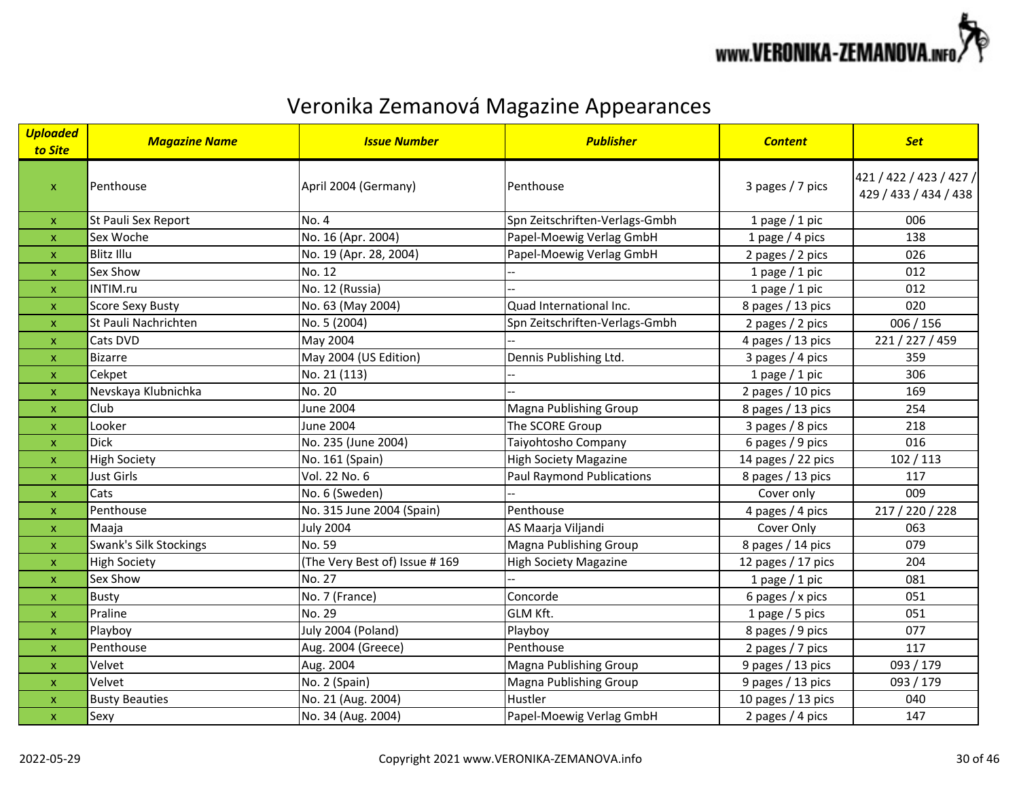

| <b>Uploaded</b><br>to Site | <b>Magazine Name</b>    | <b>Issue Number</b>            | <b>Publisher</b>                 | <b>Content</b>     | <b>Set</b>                                       |
|----------------------------|-------------------------|--------------------------------|----------------------------------|--------------------|--------------------------------------------------|
| $\pmb{\mathsf{X}}$         | Penthouse               | April 2004 (Germany)           | Penthouse                        | 3 pages / 7 pics   | 421 / 422 / 423 / 427 /<br>429 / 433 / 434 / 438 |
| $\mathsf{x}$               | St Pauli Sex Report     | No. 4                          | Spn Zeitschriften-Verlags-Gmbh   | 1 page $/$ 1 pic   | 006                                              |
| $\pmb{\mathsf{X}}$         | Sex Woche               | No. 16 (Apr. 2004)             | Papel-Moewig Verlag GmbH         | 1 page $/$ 4 pics  | 138                                              |
| $\boldsymbol{\mathsf{x}}$  | <b>Blitz Illu</b>       | No. 19 (Apr. 28, 2004)         | Papel-Moewig Verlag GmbH         | 2 pages / 2 pics   | 026                                              |
| $\boldsymbol{\mathsf{x}}$  | Sex Show                | No. 12                         |                                  | 1 page $/$ 1 pic   | 012                                              |
| $\pmb{\mathsf{x}}$         | INTIM.ru                | No. 12 (Russia)                |                                  | 1 page $/$ 1 pic   | 012                                              |
| $\mathsf{x}$               | <b>Score Sexy Busty</b> | No. 63 (May 2004)              | Quad International Inc.          | 8 pages / 13 pics  | 020                                              |
| $\pmb{\mathsf{x}}$         | St Pauli Nachrichten    | No. 5 (2004)                   | Spn Zeitschriften-Verlags-Gmbh   | 2 pages / 2 pics   | 006 / 156                                        |
| $\mathsf{x}$               | Cats DVD                | May 2004                       |                                  | 4 pages / 13 pics  | 221 / 227 / 459                                  |
| $\mathsf{x}$               | <b>Bizarre</b>          | May 2004 (US Edition)          | Dennis Publishing Ltd.           | 3 pages / 4 pics   | 359                                              |
| $\boldsymbol{\mathsf{x}}$  | Cekpet                  | No. 21 (113)                   |                                  | 1 page $/$ 1 pic   | 306                                              |
| $\boldsymbol{\mathsf{x}}$  | Nevskaya Klubnichka     | No. 20                         |                                  | 2 pages / 10 pics  | 169                                              |
| $\mathsf{x}$               | Club                    | June 2004                      | Magna Publishing Group           | 8 pages / 13 pics  | 254                                              |
| $\pmb{\times}$             | Looker                  | June 2004                      | The SCORE Group                  | 3 pages / 8 pics   | 218                                              |
| $\pmb{\mathsf{X}}$         | <b>Dick</b>             | No. 235 (June 2004)            | Taiyohtosho Company              | 6 pages / 9 pics   | 016                                              |
| $\mathsf{x}$               | <b>High Society</b>     | No. 161 (Spain)                | <b>High Society Magazine</b>     | 14 pages / 22 pics | 102 / 113                                        |
| $\pmb{\mathsf{X}}$         | <b>Just Girls</b>       | Vol. 22 No. 6                  | <b>Paul Raymond Publications</b> | 8 pages / 13 pics  | 117                                              |
| $\boldsymbol{\mathsf{x}}$  | Cats                    | No. 6 (Sweden)                 |                                  | Cover only         | 009                                              |
| $\pmb{\mathsf{X}}$         | Penthouse               | No. 315 June 2004 (Spain)      | Penthouse                        | 4 pages / 4 pics   | 217 / 220 / 228                                  |
| $\mathsf{x}$               | Maaja                   | <b>July 2004</b>               | AS Maarja Viljandi               | Cover Only         | 063                                              |
| $\mathsf{x}$               | Swank's Silk Stockings  | No. 59                         | Magna Publishing Group           | 8 pages / 14 pics  | 079                                              |
| $\pmb{\times}$             | <b>High Society</b>     | (The Very Best of) Issue # 169 | <b>High Society Magazine</b>     | 12 pages / 17 pics | 204                                              |
| $\pmb{\mathsf{X}}$         | Sex Show                | No. 27                         |                                  | 1 page $/$ 1 pic   | 081                                              |
| $\boldsymbol{\mathsf{x}}$  | <b>Busty</b>            | No. 7 (France)                 | Concorde                         | 6 pages / $x$ pics | 051                                              |
| $\mathsf{x}$               | Praline                 | No. 29                         | <b>GLM Kft.</b>                  | 1 page $/$ 5 pics  | 051                                              |
| $\boldsymbol{\mathsf{x}}$  | Playboy                 | July 2004 (Poland)             | Playboy                          | 8 pages / 9 pics   | 077                                              |
| $\mathsf{x}$               | Penthouse               | Aug. 2004 (Greece)             | Penthouse                        | 2 pages / 7 pics   | 117                                              |
| $\boldsymbol{\mathsf{x}}$  | Velvet                  | Aug. 2004                      | Magna Publishing Group           | 9 pages / 13 pics  | 093 / 179                                        |
| $\boldsymbol{\mathsf{x}}$  | Velvet                  | No. 2 (Spain)                  | Magna Publishing Group           | 9 pages / 13 pics  | 093 / 179                                        |
| $\pmb{\mathsf{X}}$         | <b>Busty Beauties</b>   | No. 21 (Aug. 2004)             | Hustler                          | 10 pages / 13 pics | 040                                              |
| $\pmb{\mathsf{x}}$         | Sexy                    | No. 34 (Aug. 2004)             | Papel-Moewig Verlag GmbH         | 2 pages / 4 pics   | 147                                              |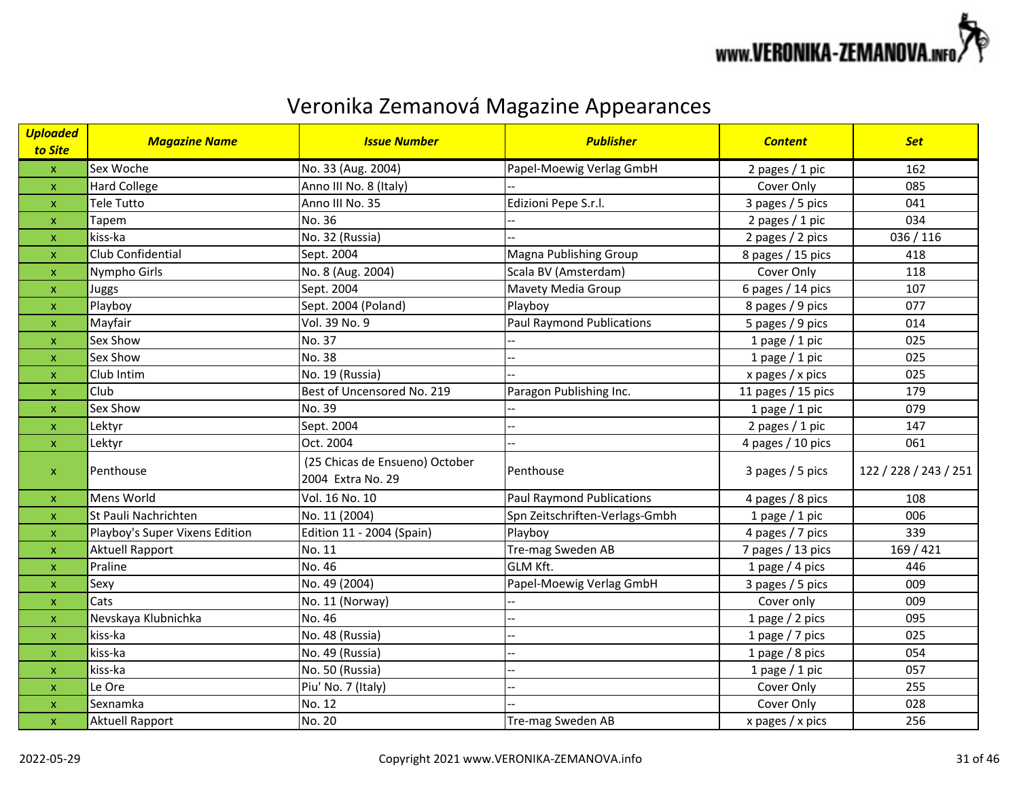

| <mark>Uploaded</mark><br>to Site | <b>Magazine Name</b>           | <b>Issue Number</b>                                 | <b>Publisher</b>                 | <b>Content</b>     | <b>Set</b>            |
|----------------------------------|--------------------------------|-----------------------------------------------------|----------------------------------|--------------------|-----------------------|
| $\pmb{\mathsf{X}}$               | Sex Woche                      | No. 33 (Aug. 2004)                                  | Papel-Moewig Verlag GmbH         | 2 pages / 1 pic    | 162                   |
| $\pmb{\mathsf{X}}$               | Hard College                   | Anno III No. 8 (Italy)                              |                                  | Cover Only         | 085                   |
| $\mathsf{x}$                     | <b>Tele Tutto</b>              | Anno III No. 35                                     | Edizioni Pepe S.r.l.             | 3 pages / 5 pics   | 041                   |
| $\mathsf{x}$                     | Tapem                          | No. 36                                              |                                  | 2 pages / 1 pic    | 034                   |
| $\pmb{\mathsf{X}}$               | kiss-ka                        | No. 32 (Russia)                                     |                                  | 2 pages / 2 pics   | 036 / 116             |
| $\boldsymbol{\mathsf{x}}$        | Club Confidential              | Sept. 2004                                          | Magna Publishing Group           | 8 pages / 15 pics  | 418                   |
| $\pmb{\times}$                   | Nympho Girls                   | No. 8 (Aug. 2004)                                   | Scala BV (Amsterdam)             | Cover Only         | 118                   |
| $\pmb{\mathsf{x}}$               | Juggs                          | Sept. 2004                                          | Mavety Media Group               | 6 pages / 14 pics  | 107                   |
| $\mathsf{x}$                     | Playboy                        | Sept. 2004 (Poland)                                 | Playboy                          | 8 pages / 9 pics   | 077                   |
| $\mathsf{x}$                     | Mayfair                        | Vol. 39 No. 9                                       | <b>Paul Raymond Publications</b> | 5 pages / 9 pics   | 014                   |
| $\pmb{\mathsf{x}}$               | Sex Show                       | No. 37                                              |                                  | 1 page $/$ 1 pic   | 025                   |
| $\mathsf{x}$                     | Sex Show                       | No. 38                                              |                                  | 1 page $/$ 1 pic   | 025                   |
| $\boldsymbol{\mathsf{x}}$        | Club Intim                     | No. 19 (Russia)                                     |                                  | x pages / x pics   | 025                   |
| $\mathsf{x}$                     | Club                           | Best of Uncensored No. 219                          | Paragon Publishing Inc.          | 11 pages / 15 pics | 179                   |
| $\mathsf{x}$                     | Sex Show                       | No. 39                                              |                                  | 1 page $/$ 1 pic   | 079                   |
| $\pmb{\mathsf{X}}$               | Lektyr                         | Sept. 2004                                          |                                  | 2 pages / 1 pic    | 147                   |
| $\mathsf{x}$                     | Lektyr                         | Oct. 2004                                           |                                  | 4 pages / 10 pics  | 061                   |
| $\pmb{\mathsf{X}}$               | Penthouse                      | (25 Chicas de Ensueno) October<br>2004 Extra No. 29 | Penthouse                        | 3 pages / 5 pics   | 122 / 228 / 243 / 251 |
| $\pmb{\mathsf{X}}$               | Mens World                     | Vol. 16 No. 10                                      | <b>Paul Raymond Publications</b> | 4 pages / 8 pics   | 108                   |
| $\mathsf{x}$                     | St Pauli Nachrichten           | No. 11 (2004)                                       | Spn Zeitschriften-Verlags-Gmbh   | 1 page $/$ 1 pic   | 006                   |
| $\pmb{\mathsf{X}}$               | Playboy's Super Vixens Edition | Edition 11 - 2004 (Spain)                           | Playboy                          | 4 pages / 7 pics   | 339                   |
| $\mathsf{x}$                     | Aktuell Rapport                | No. 11                                              | Tre-mag Sweden AB                | 7 pages / 13 pics  | 169 / 421             |
| $\pmb{\mathsf{X}}$               | Praline                        | No. 46                                              | <b>GLM Kft.</b>                  | 1 page $/$ 4 pics  | 446                   |
| $\mathsf{x}$                     | Sexy                           | No. 49 (2004)                                       | Papel-Moewig Verlag GmbH         | 3 pages / 5 pics   | 009                   |
| $\boldsymbol{\mathsf{x}}$        | Cats                           | No. 11 (Norway)                                     |                                  | Cover only         | 009                   |
| $\mathsf{x}$                     | Nevskaya Klubnichka            | No. 46                                              |                                  | 1 page $/$ 2 pics  | 095                   |
| $\boldsymbol{\mathsf{x}}$        | kiss-ka                        | No. 48 (Russia)                                     |                                  | 1 page / 7 pics    | 025                   |
| $\boldsymbol{\mathsf{x}}$        | kiss-ka                        | No. 49 (Russia)                                     | --                               | 1 page / 8 pics    | 054                   |
| $\pmb{\mathsf{x}}$               | kiss-ka                        | No. 50 (Russia)                                     | ÷.                               | 1 page $/$ 1 pic   | 057                   |
| $\mathsf{x}$                     | Le Ore                         | Piu' No. 7 (Italy)                                  | L.                               | Cover Only         | 255                   |
| $\mathsf{x}$                     | Sexnamka                       | No. 12                                              |                                  | Cover Only         | 028                   |
| $\pmb{\mathsf{x}}$               | <b>Aktuell Rapport</b>         | No. 20                                              | Tre-mag Sweden AB                | x pages / x pics   | 256                   |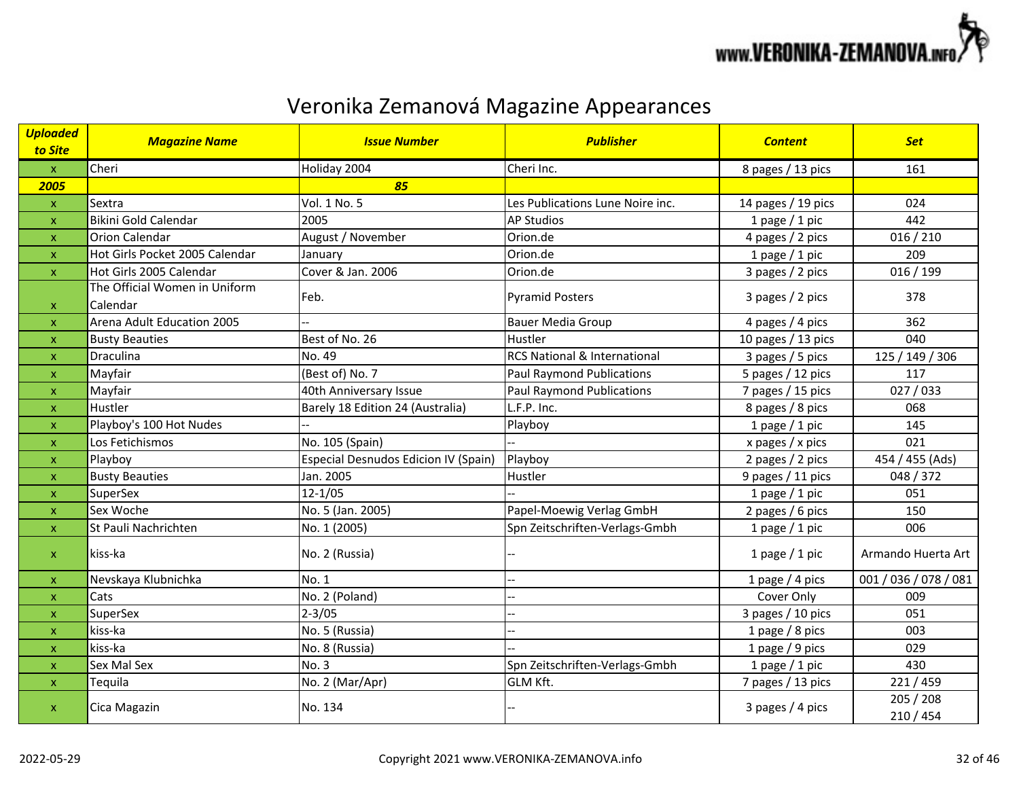

| <b>Uploaded</b><br>to Site | <b>Magazine Name</b>                      | <b>Issue Number</b>                         | <b>Publisher</b>                        | <b>Content</b>     | <b>Set</b>            |
|----------------------------|-------------------------------------------|---------------------------------------------|-----------------------------------------|--------------------|-----------------------|
| $\mathbf{x}$               | Cheri                                     | Holiday 2004                                | Cheri Inc.                              | 8 pages / 13 pics  | 161                   |
| 2005                       |                                           | 85                                          |                                         |                    |                       |
| $\pmb{\mathsf{X}}$         | Sextra                                    | Vol. 1 No. 5                                | Les Publications Lune Noire inc.        | 14 pages / 19 pics | 024                   |
| X                          | Bikini Gold Calendar                      | 2005                                        | <b>AP Studios</b>                       | 1 page $/$ 1 pic   | 442                   |
| $\boldsymbol{\mathsf{x}}$  | <b>Orion Calendar</b>                     | August / November                           | Orion.de                                | 4 pages / 2 pics   | 016 / 210             |
| $\boldsymbol{\mathsf{x}}$  | Hot Girls Pocket 2005 Calendar            | January                                     | Orion.de                                | 1 page $/$ 1 pic   | 209                   |
| $\pmb{\times}$             | Hot Girls 2005 Calendar                   | Cover & Jan. 2006                           | Orion.de                                | 3 pages / 2 pics   | 016 / 199             |
| x                          | The Official Women in Uniform<br>Calendar | Feb.                                        | <b>Pyramid Posters</b>                  | 3 pages / 2 pics   | 378                   |
| $\pmb{\mathsf{x}}$         | Arena Adult Education 2005                |                                             | <b>Bauer Media Group</b>                | 4 pages / 4 pics   | 362                   |
| $\boldsymbol{\mathsf{x}}$  | <b>Busty Beauties</b>                     | Best of No. 26                              | Hustler                                 | 10 pages / 13 pics | 040                   |
| $\pmb{\mathsf{x}}$         | Draculina                                 | No. 49                                      | <b>RCS National &amp; International</b> | 3 pages / 5 pics   | 125 / 149 / 306       |
| $\boldsymbol{\mathsf{x}}$  | Mayfair                                   | (Best of) No. 7                             | <b>Paul Raymond Publications</b>        | 5 pages / 12 pics  | 117                   |
| $\boldsymbol{\mathsf{x}}$  | Mayfair                                   | 40th Anniversary Issue                      | <b>Paul Raymond Publications</b>        | 7 pages / 15 pics  | 027/033               |
| $\pmb{\times}$             | Hustler                                   | Barely 18 Edition 24 (Australia)            | L.F.P. Inc.                             | 8 pages / 8 pics   | 068                   |
| $\pmb{\times}$             | Playboy's 100 Hot Nudes                   |                                             | Playboy                                 | 1 page $/$ 1 pic   | 145                   |
| $\boldsymbol{\mathsf{x}}$  | Los Fetichismos                           | No. 105 (Spain)                             |                                         | x pages / x pics   | 021                   |
| $\boldsymbol{\mathsf{x}}$  | Playboy                                   | <b>Especial Desnudos Edicion IV (Spain)</b> | Playboy                                 | 2 pages / 2 pics   | 454 / 455 (Ads)       |
| $\boldsymbol{\mathsf{x}}$  | <b>Busty Beauties</b>                     | Jan. 2005                                   | Hustler                                 | 9 pages / 11 pics  | 048 / 372             |
| $\boldsymbol{\mathsf{x}}$  | SuperSex                                  | $12 - 1/05$                                 |                                         | 1 page $/$ 1 pic   | 051                   |
| $\boldsymbol{\mathsf{x}}$  | Sex Woche                                 | No. 5 (Jan. 2005)                           | Papel-Moewig Verlag GmbH                | 2 pages / 6 pics   | 150                   |
| $\pmb{\times}$             | St Pauli Nachrichten                      | No. 1 (2005)                                | Spn Zeitschriften-Verlags-Gmbh          | 1 page $/$ 1 pic   | 006                   |
| $\pmb{\mathsf{x}}$         | kiss-ka                                   | No. 2 (Russia)                              |                                         | 1 page $/$ 1 pic   | Armando Huerta Art    |
| $\pmb{\mathsf{x}}$         | Nevskaya Klubnichka                       | No. 1                                       |                                         | 1 page / 4 pics    | 001 / 036 / 078 / 081 |
| $\boldsymbol{\mathsf{x}}$  | Cats                                      | No. 2 (Poland)                              |                                         | Cover Only         | 009                   |
| $\boldsymbol{\mathsf{x}}$  | SuperSex                                  | $2 - 3/05$                                  |                                         | 3 pages / 10 pics  | 051                   |
| $\boldsymbol{\mathsf{x}}$  | kiss-ka                                   | No. 5 (Russia)                              | $\overline{a}$                          | 1 page / 8 pics    | 003                   |
| $\boldsymbol{\mathsf{x}}$  | kiss-ka                                   | No. 8 (Russia)                              |                                         | 1 page / 9 pics    | 029                   |
| $\pmb{\times}$             | Sex Mal Sex                               | No. 3                                       | Spn Zeitschriften-Verlags-Gmbh          | 1 page $/$ 1 pic   | 430                   |
| $\mathsf{x}$               | Tequila                                   | No. 2 (Mar/Apr)                             | GLM Kft.                                | 7 pages / 13 pics  | 221/459               |
| $\mathbf{x}$               | Cica Magazin                              | No. 134                                     |                                         | 3 pages $/$ 4 pics | 205 / 208<br>210/454  |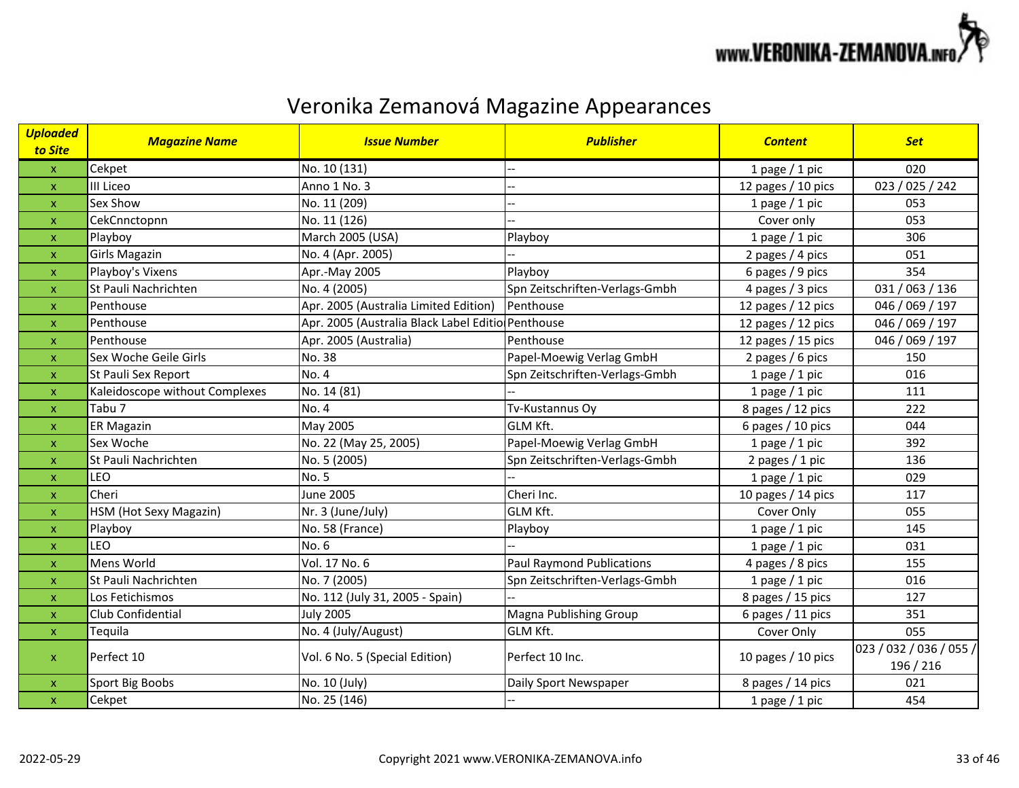

| <b>Uploaded</b><br>to Site | <b>Magazine Name</b>           | <b>Issue Number</b>                               | <b>Publisher</b>                 | <b>Content</b>       | <b>Set</b>                           |
|----------------------------|--------------------------------|---------------------------------------------------|----------------------------------|----------------------|--------------------------------------|
| $\mathsf{x}$               | Cekpet                         | No. 10 (131)                                      |                                  | 1 page $/$ 1 pic     | 020                                  |
| $\mathsf{x}$               | III Liceo                      | Anno 1 No. 3                                      |                                  | 12 pages / 10 pics   | 023 / 025 / 242                      |
| $\mathsf{x}$               | Sex Show                       | No. 11 (209)                                      |                                  | 1 page $/$ 1 pic     | 053                                  |
| $\boldsymbol{\mathsf{x}}$  | CekCnnctopnn                   | No. 11 (126)                                      |                                  | Cover only           | 053                                  |
| $\pmb{\mathsf{x}}$         | Playboy                        | March 2005 (USA)                                  | Playboy                          | 1 page $/$ 1 pic     | 306                                  |
| $\pmb{\mathsf{x}}$         | <b>Girls Magazin</b>           | No. 4 (Apr. 2005)                                 |                                  | 2 pages / 4 pics     | 051                                  |
| $\pmb{\mathsf{X}}$         | Playboy's Vixens               | Apr.-May 2005                                     | Playboy                          | 6 pages / 9 pics     | 354                                  |
| $\mathsf{x}$               | St Pauli Nachrichten           | No. 4 (2005)                                      | Spn Zeitschriften-Verlags-Gmbh   | 4 pages / 3 pics     | 031 / 063 / 136                      |
| $\pmb{\mathsf{x}}$         | Penthouse                      | Apr. 2005 (Australia Limited Edition)             | Penthouse                        | 12 pages / 12 pics   | 046 / 069 / 197                      |
| $\boldsymbol{\mathsf{x}}$  | Penthouse                      | Apr. 2005 (Australia Black Label Editio Penthouse |                                  | 12 pages / 12 pics   | 046 / 069 / 197                      |
| $\pmb{\mathsf{x}}$         | Penthouse                      | Apr. 2005 (Australia)                             | Penthouse                        | 12 pages / 15 pics   | 046 / 069 / 197                      |
| X                          | Sex Woche Geile Girls          | No. 38                                            | Papel-Moewig Verlag GmbH         | 2 pages / 6 pics     | 150                                  |
| $\mathsf{x}$               | St Pauli Sex Report            | No. 4                                             | Spn Zeitschriften-Verlags-Gmbh   | 1 page / 1 pic       | 016                                  |
| $\pmb{\mathsf{X}}$         | Kaleidoscope without Complexes | No. 14 (81)                                       |                                  | 1 page $/$ 1 pic     | 111                                  |
| $\boldsymbol{\mathsf{x}}$  | Tabu 7                         | No. 4                                             | Tv-Kustannus Oy                  | 8 pages / 12 pics    | 222                                  |
| $\boldsymbol{\mathsf{x}}$  | <b>ER Magazin</b>              | May 2005                                          | GLM Kft.                         | 6 pages / 10 pics    | 044                                  |
| $\pmb{\mathsf{x}}$         | Sex Woche                      | No. 22 (May 25, 2005)                             | Papel-Moewig Verlag GmbH         | 1 page $/$ 1 pic     | 392                                  |
| $\mathsf{x}$               | St Pauli Nachrichten           | No. 5 (2005)                                      | Spn Zeitschriften-Verlags-Gmbh   | 2 pages / 1 pic      | 136                                  |
| $\mathsf{x}$               | <b>LEO</b>                     | <b>No. 5</b>                                      |                                  | 1 page $/$ 1 pic     | 029                                  |
| $\boldsymbol{\mathsf{x}}$  | Cheri                          | <b>June 2005</b>                                  | Cheri Inc.                       | 10 pages / 14 pics   | 117                                  |
| $\boldsymbol{\mathsf{x}}$  | HSM (Hot Sexy Magazin)         | Nr. 3 (June/July)                                 | <b>GLM Kft.</b>                  | Cover Only           | 055                                  |
| $\pmb{\mathsf{x}}$         | Playboy                        | No. 58 (France)                                   | Playboy                          | 1 page $/$ 1 pic     | 145                                  |
| $\boldsymbol{\mathsf{x}}$  | <b>LEO</b>                     | No. 6                                             |                                  | 1 page $/$ 1 pic     | 031                                  |
| $\mathsf{x}$               | Mens World                     | Vol. 17 No. 6                                     | <b>Paul Raymond Publications</b> | 4 pages / 8 pics     | 155                                  |
| $\boldsymbol{\mathsf{x}}$  | St Pauli Nachrichten           | No. 7 (2005)                                      | Spn Zeitschriften-Verlags-Gmbh   | 1 page $/$ 1 pic     | 016                                  |
| $\pmb{\mathsf{x}}$         | Los Fetichismos                | No. 112 (July 31, 2005 - Spain)                   |                                  | 8 pages / 15 pics    | 127                                  |
| $\pmb{\mathsf{x}}$         | Club Confidential              | <b>July 2005</b>                                  | Magna Publishing Group           | 6 pages / 11 pics    | 351                                  |
| $\mathsf{x}$               | Tequila                        | No. 4 (July/August)                               | <b>GLM Kft.</b>                  | Cover Only           | 055                                  |
| $\mathsf{x}$               | Perfect 10                     | Vol. 6 No. 5 (Special Edition)                    | Perfect 10 Inc.                  | 10 pages $/$ 10 pics | 023 / 032 / 036 / 055 /<br>196 / 216 |
| $\pmb{\mathsf{x}}$         | Sport Big Boobs                | No. 10 (July)                                     | Daily Sport Newspaper            | 8 pages / 14 pics    | 021                                  |
| $\mathsf{x}$               | Cekpet                         | No. 25 (146)                                      |                                  | 1 page $/$ 1 pic     | 454                                  |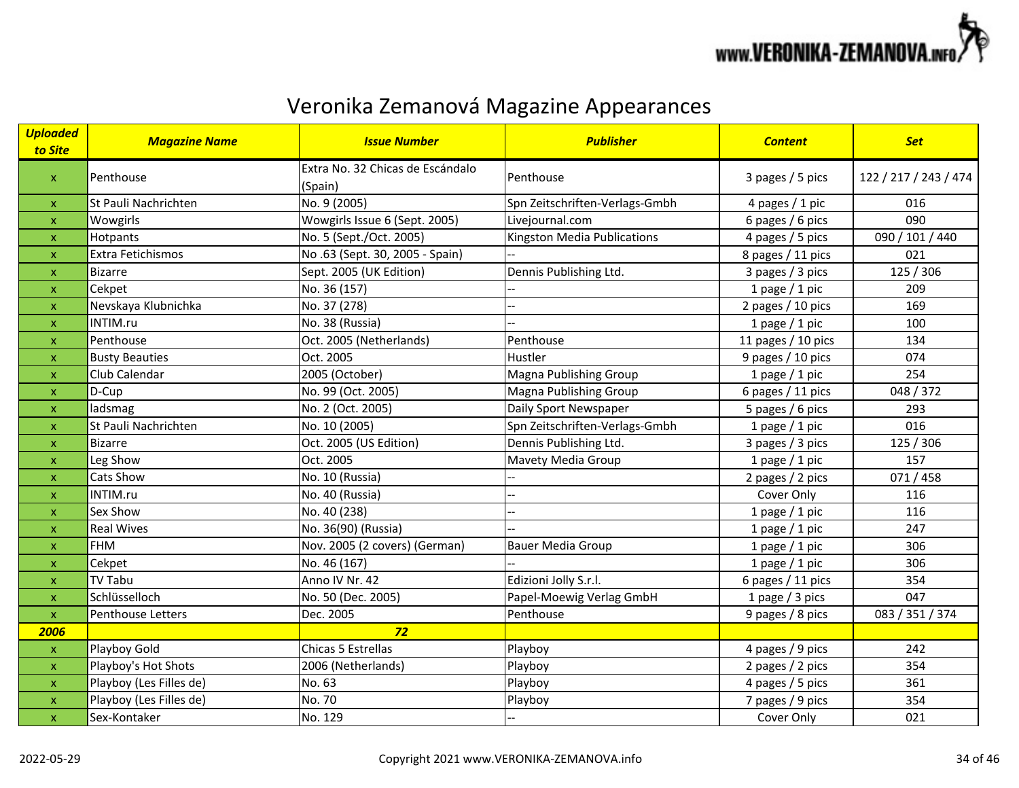

| <b>Uploaded</b><br>to Site | <b>Magazine Name</b>    | <b>Issue Number</b>                         | <b>Publisher</b>               | <b>Content</b>     | <b>Set</b>            |
|----------------------------|-------------------------|---------------------------------------------|--------------------------------|--------------------|-----------------------|
| $\pmb{\times}$             | Penthouse               | Extra No. 32 Chicas de Escándalo<br>(Spain) | Penthouse                      | 3 pages / 5 pics   | 122 / 217 / 243 / 474 |
| X                          | St Pauli Nachrichten    | No. 9 (2005)                                | Spn Zeitschriften-Verlags-Gmbh | 4 pages / 1 pic    | 016                   |
| $\boldsymbol{\mathsf{x}}$  | Wowgirls                | Wowgirls Issue 6 (Sept. 2005)               | Livejournal.com                | 6 pages / 6 pics   | 090                   |
| $\boldsymbol{\mathsf{x}}$  | Hotpants                | No. 5 (Sept./Oct. 2005)                     | Kingston Media Publications    | 4 pages / 5 pics   | 090 / 101 / 440       |
| $\boldsymbol{\mathsf{x}}$  | Extra Fetichismos       | No.63 (Sept. 30, 2005 - Spain)              |                                | 8 pages / 11 pics  | 021                   |
| X                          | <b>Bizarre</b>          | Sept. 2005 (UK Edition)                     | Dennis Publishing Ltd.         | 3 pages / 3 pics   | 125 / 306             |
| $\pmb{\mathsf{x}}$         | Cekpet                  | No. 36 (157)                                |                                | 1 page $/$ 1 pic   | 209                   |
| X                          | Nevskaya Klubnichka     | No. 37 (278)                                | --                             | 2 pages / 10 pics  | 169                   |
| $\pmb{\times}$             | INTIM.ru                | No. 38 (Russia)                             | $\overline{a}$                 | 1 page $/$ 1 pic   | 100                   |
| $\pmb{\mathsf{x}}$         | Penthouse               | Oct. 2005 (Netherlands)                     | Penthouse                      | 11 pages / 10 pics | 134                   |
| X                          | <b>Busty Beauties</b>   | Oct. 2005                                   | Hustler                        | 9 pages / 10 pics  | 074                   |
| $\boldsymbol{\mathsf{x}}$  | Club Calendar           | 2005 (October)                              | Magna Publishing Group         | 1 page $/$ 1 pic   | 254                   |
| $\boldsymbol{\mathsf{x}}$  | $D$ -Cup                | No. 99 (Oct. 2005)                          | Magna Publishing Group         | 6 pages / 11 pics  | 048 / 372             |
| $\boldsymbol{\mathsf{x}}$  | ladsmag                 | No. 2 (Oct. 2005)                           | Daily Sport Newspaper          | 5 pages / 6 pics   | 293                   |
| $\pmb{\times}$             | St Pauli Nachrichten    | No. 10 (2005)                               | Spn Zeitschriften-Verlags-Gmbh | 1 page $/$ 1 pic   | 016                   |
| X                          | <b>Bizarre</b>          | Oct. 2005 (US Edition)                      | Dennis Publishing Ltd.         | 3 pages / 3 pics   | 125 / 306             |
| $\pmb{\mathsf{x}}$         | Leg Show                | Oct. 2005                                   | Mavety Media Group             | 1 page $/$ 1 pic   | 157                   |
| $\pmb{\mathsf{x}}$         | Cats Show               | No. 10 (Russia)                             |                                | 2 pages / 2 pics   | 071/458               |
| $\boldsymbol{\mathsf{x}}$  | INTIM.ru                | No. 40 (Russia)                             |                                | Cover Only         | 116                   |
| $\pmb{\times}$             | Sex Show                | No. 40 (238)                                | --                             | 1 page $/$ 1 pic   | 116                   |
| $\mathsf{x}$               | <b>Real Wives</b>       | No. 36(90) (Russia)                         |                                | 1 page $/$ 1 pic   | 247                   |
| $\pmb{\times}$             | <b>FHM</b>              | Nov. 2005 (2 covers) (German)               | <b>Bauer Media Group</b>       | 1 page $/$ 1 pic   | 306                   |
| x                          | Cekpet                  | No. 46 (167)                                |                                | 1 page $/$ 1 pic   | 306                   |
| $\pmb{\mathsf{x}}$         | <b>TV Tabu</b>          | Anno IV Nr. 42                              | Edizioni Jolly S.r.l.          | 6 pages / 11 pics  | 354                   |
| $\pmb{\mathsf{x}}$         | Schlüsselloch           | No. 50 (Dec. 2005)                          | Papel-Moewig Verlag GmbH       | 1 page / 3 pics    | 047                   |
| $\mathsf X$                | Penthouse Letters       | Dec. 2005                                   | Penthouse                      | 9 pages / 8 pics   | 083 / 351 / 374       |
| 2006                       |                         | 72                                          |                                |                    |                       |
| $\boldsymbol{\mathsf{x}}$  | Playboy Gold            | Chicas 5 Estrellas                          | Playboy                        | 4 pages / 9 pics   | 242                   |
| $\boldsymbol{\mathsf{x}}$  | Playboy's Hot Shots     | 2006 (Netherlands)                          | Playboy                        | 2 pages / 2 pics   | 354                   |
| $\boldsymbol{\mathsf{x}}$  | Playboy (Les Filles de) | No. 63                                      | Playboy                        | 4 pages / 5 pics   | 361                   |
| $\pmb{\times}$             | Playboy (Les Filles de) | No. 70                                      | Playboy                        | 7 pages / 9 pics   | 354                   |
| $\pmb{\mathsf{x}}$         | Sex-Kontaker            | No. 129                                     |                                | Cover Only         | 021                   |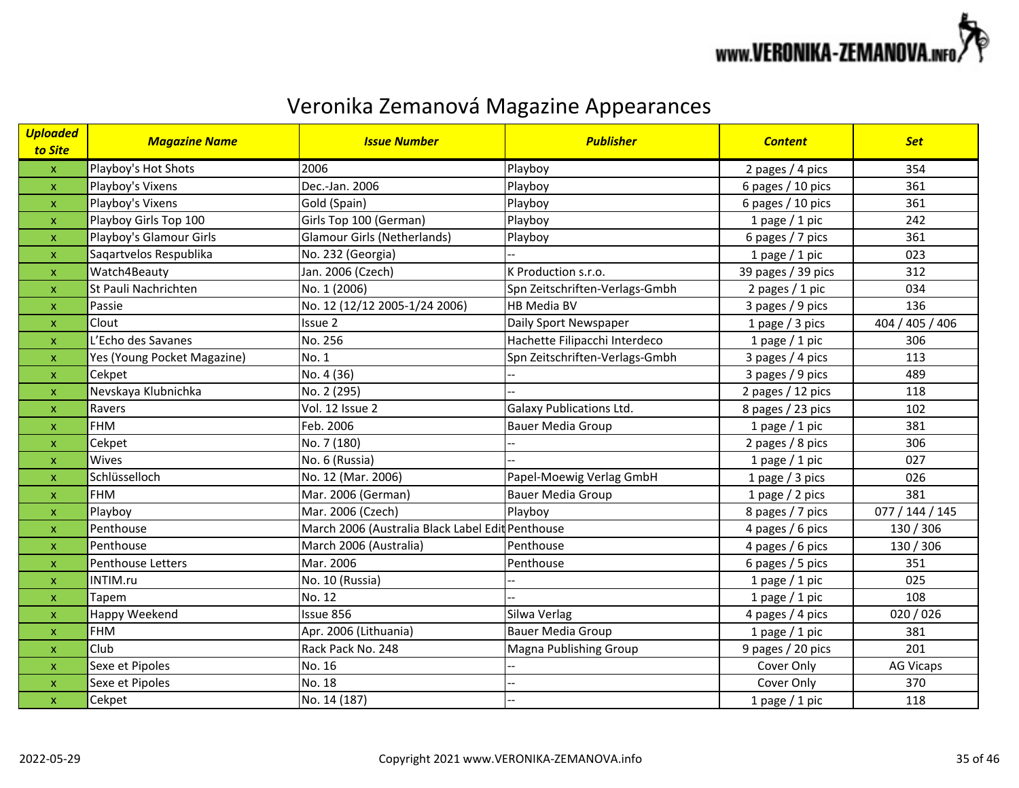

| <mark>Uploaded</mark><br>to Site | <b>Magazine Name</b>        | <b>Issue Number</b>                              | <b>Publisher</b>                | <b>Content</b>     | <b>Set</b>       |
|----------------------------------|-----------------------------|--------------------------------------------------|---------------------------------|--------------------|------------------|
| $\mathsf{x}$                     | Playboy's Hot Shots         | 2006                                             | Playboy                         | 2 pages / 4 pics   | 354              |
| $\mathsf{x}$                     | Playboy's Vixens            | Dec.-Jan. 2006                                   | Playboy                         | 6 pages / 10 pics  | 361              |
| $\pmb{\mathsf{x}}$               | Playboy's Vixens            | Gold (Spain)                                     | Playboy                         | 6 pages / 10 pics  | 361              |
| $\pmb{\mathsf{X}}$               | Playboy Girls Top 100       | Girls Top 100 (German)                           | Playboy                         | 1 page $/$ 1 pic   | 242              |
| $\pmb{\mathsf{x}}$               | Playboy's Glamour Girls     | <b>Glamour Girls (Netherlands)</b>               | Playboy                         | 6 pages / 7 pics   | 361              |
| X                                | Sagartvelos Respublika      | No. 232 (Georgia)                                |                                 | 1 page $/$ 1 pic   | 023              |
| $\mathsf{x}$                     | Watch4Beauty                | Jan. 2006 (Czech)                                | K Production s.r.o.             | 39 pages / 39 pics | 312              |
| $\mathsf{x}$                     | St Pauli Nachrichten        | No. 1 (2006)                                     | Spn Zeitschriften-Verlags-Gmbh  | 2 pages / 1 pic    | 034              |
| $\boldsymbol{\mathsf{x}}$        | Passie                      | No. 12 (12/12 2005-1/24 2006)                    | <b>HB Media BV</b>              | 3 pages / 9 pics   | 136              |
| $\mathsf{x}$                     | Clout                       | Issue 2                                          | Daily Sport Newspaper           | 1 page / 3 pics    | 404 / 405 / 406  |
| $\boldsymbol{\mathsf{x}}$        | L'Echo des Savanes          | No. 256                                          | Hachette Filipacchi Interdeco   | 1 page $/$ 1 pic   | 306              |
| $\pmb{\mathsf{X}}$               | Yes (Young Pocket Magazine) | No. 1                                            | Spn Zeitschriften-Verlags-Gmbh  | 3 pages / 4 pics   | 113              |
| $\mathsf{x}$                     | Cekpet                      | No. 4 (36)                                       |                                 | 3 pages / 9 pics   | 489              |
| $\mathsf{x}$                     | Nevskaya Klubnichka         | No. 2 (295)                                      |                                 | 2 pages / 12 pics  | 118              |
| $\mathsf{x}$                     | Ravers                      | Vol. 12 Issue 2                                  | <b>Galaxy Publications Ltd.</b> | 8 pages / 23 pics  | 102              |
| $\pmb{\mathsf{x}}$               | <b>FHM</b>                  | Feb. 2006                                        | <b>Bauer Media Group</b>        | 1 page $/$ 1 pic   | 381              |
| $\pmb{\mathsf{x}}$               | Cekpet                      | No. 7 (180)                                      |                                 | 2 pages / 8 pics   | 306              |
| $\boldsymbol{\mathsf{x}}$        | Wives                       | No. 6 (Russia)                                   |                                 | 1 page $/$ 1 pic   | 027              |
| $\boldsymbol{\mathsf{X}}$        | Schlüsselloch               | No. 12 (Mar. 2006)                               | Papel-Moewig Verlag GmbH        | 1 page / 3 pics    | 026              |
| $\boldsymbol{\mathsf{x}}$        | <b>FHM</b>                  | Mar. 2006 (German)                               | <b>Bauer Media Group</b>        | 1 page / 2 pics    | 381              |
| $\pmb{\mathsf{x}}$               | Playboy                     | Mar. 2006 (Czech)                                | Playboy                         | 8 pages / 7 pics   | 077 / 144 / 145  |
| X                                | Penthouse                   | March 2006 (Australia Black Label Edit Penthouse |                                 | 4 pages / 6 pics   | 130 / 306        |
| $\mathsf{x}$                     | Penthouse                   | March 2006 (Australia)                           | Penthouse                       | 4 pages / 6 pics   | 130 / 306        |
| $\boldsymbol{\mathsf{x}}$        | Penthouse Letters           | Mar. 2006                                        | Penthouse                       | 6 pages / 5 pics   | 351              |
| $\mathsf{x}$                     | INTIM.ru                    | No. 10 (Russia)                                  |                                 | 1 page $/$ 1 pic   | 025              |
| $\pmb{\mathsf{x}}$               | Tapem                       | No. 12                                           |                                 | 1 page $/$ 1 pic   | 108              |
| $\pmb{\mathsf{x}}$               | Happy Weekend               | Issue 856                                        | Silwa Verlag                    | 4 pages / 4 pics   | 020/026          |
| $\pmb{\mathsf{X}}$               | <b>FHM</b>                  | Apr. 2006 (Lithuania)                            | <b>Bauer Media Group</b>        | 1 page $/$ 1 pic   | 381              |
| $\mathsf{x}$                     | Club                        | Rack Pack No. 248                                | Magna Publishing Group          | 9 pages / 20 pics  | 201              |
| $\boldsymbol{\mathsf{x}}$        | Sexe et Pipoles             | No. 16                                           |                                 | Cover Only         | <b>AG Vicaps</b> |
| $\pmb{\mathsf{x}}$               | Sexe et Pipoles             | No. 18                                           |                                 | Cover Only         | 370              |
| $\boldsymbol{\mathsf{X}}$        | Cekpet                      | No. 14 (187)                                     |                                 | 1 page $/$ 1 pic   | 118              |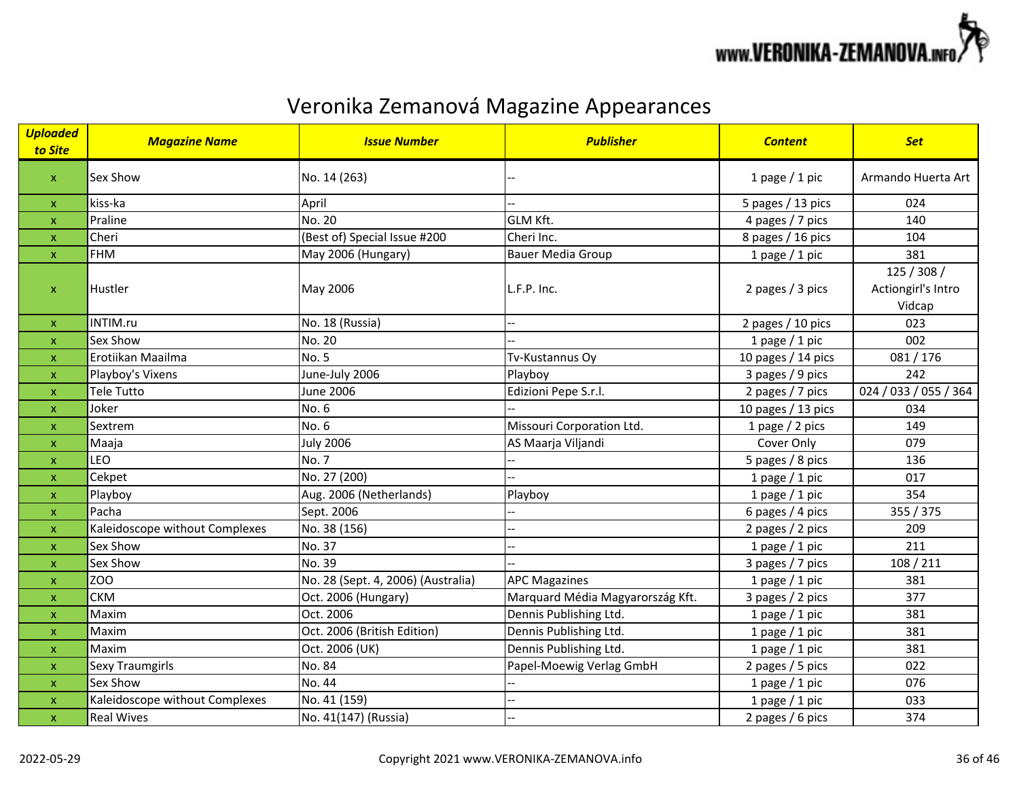

| <b>Uploaded</b><br>to Site | <b>Magazine Name</b>           | <b>Issue Number</b>                | <b>Publisher</b>                 | <b>Content</b>     | <b>Set</b>                                  |
|----------------------------|--------------------------------|------------------------------------|----------------------------------|--------------------|---------------------------------------------|
| $\boldsymbol{\mathsf{X}}$  | <b>Sex Show</b>                | No. 14 (263)                       |                                  | 1 page $/$ 1 pic   | Armando Huerta Art                          |
| $\pmb{\mathsf{X}}$         | kiss-ka                        | April                              |                                  | 5 pages / 13 pics  | 024                                         |
| $\mathsf{x}$               | Praline                        | No. 20                             | <b>GLM Kft.</b>                  | 4 pages / 7 pics   | 140                                         |
| $\pmb{\mathsf{x}}$         | Cheri                          | (Best of) Special Issue #200       | Cheri Inc.                       | 8 pages / 16 pics  | 104                                         |
| $\mathsf X$                | <b>FHM</b>                     | May 2006 (Hungary)                 | <b>Bauer Media Group</b>         | 1 page $/$ 1 pic   | 381                                         |
| $\pmb{\mathsf{x}}$         | <b>Hustler</b>                 | May 2006                           | L.F.P. Inc.                      | 2 pages / 3 pics   | 125 / 308 /<br>Actiongirl's Intro<br>Vidcap |
| $\pmb{\mathsf{X}}$         | INTIM.ru                       | No. 18 (Russia)                    |                                  | 2 pages / 10 pics  | 023                                         |
| $\mathsf{x}$               | Sex Show                       | No. 20                             |                                  | 1 page $/$ 1 pic   | 002                                         |
| $\boldsymbol{\mathsf{x}}$  | Erotiikan Maailma              | No. 5                              | Tv-Kustannus Oy                  | 10 pages / 14 pics | 081/176                                     |
| $\boldsymbol{\mathsf{x}}$  | Playboy's Vixens               | June-July 2006                     | Playboy                          | 3 pages / 9 pics   | 242                                         |
| $\boldsymbol{\mathsf{x}}$  | Tele Tutto                     | <b>June 2006</b>                   | Edizioni Pepe S.r.l.             | 2 pages / 7 pics   | 024 / 033 / 055 / 364                       |
| $\boldsymbol{\mathsf{x}}$  | Joker                          | No. 6                              |                                  | 10 pages / 13 pics | 034                                         |
| $\pmb{\mathsf{x}}$         | Sextrem                        | No. 6                              | Missouri Corporation Ltd.        | 1 page $/$ 2 pics  | 149                                         |
| X                          | Maaja                          | <b>July 2006</b>                   | AS Maarja Viljandi               | Cover Only         | 079                                         |
| $\pmb{\mathsf{x}}$         | LEO                            | <b>No. 7</b>                       |                                  | 5 pages / 8 pics   | 136                                         |
| $\boldsymbol{\mathsf{x}}$  | Cekpet                         | No. 27 (200)                       |                                  | 1 page $/$ 1 pic   | 017                                         |
| $\pmb{\mathsf{x}}$         | Playboy                        | Aug. 2006 (Netherlands)            | Playboy                          | 1 page $/$ 1 pic   | 354                                         |
| $\boldsymbol{\mathsf{x}}$  | Pacha                          | Sept. 2006                         |                                  | 6 pages / 4 pics   | 355 / 375                                   |
| $\boldsymbol{\mathsf{x}}$  | Kaleidoscope without Complexes | No. 38 (156)                       |                                  | 2 pages / 2 pics   | 209                                         |
| $\pmb{\times}$             | Sex Show                       | No. 37                             |                                  | 1 page $/$ 1 pic   | 211                                         |
| x                          | Sex Show                       | No. 39                             |                                  | 3 pages / 7 pics   | 108 / 211                                   |
| $\pmb{\mathsf{x}}$         | ZOO                            | No. 28 (Sept. 4, 2006) (Australia) | <b>APC Magazines</b>             | 1 page $/$ 1 pic   | 381                                         |
| $\pmb{\mathsf{x}}$         | <b>CKM</b>                     | Oct. 2006 (Hungary)                | Marquard Média Magyarország Kft. | 3 pages / 2 pics   | 377                                         |
| $\boldsymbol{\mathsf{x}}$  | Maxim                          | Oct. 2006                          | Dennis Publishing Ltd.           | 1 page $/$ 1 pic   | 381                                         |
| X                          | Maxim                          | Oct. 2006 (British Edition)        | Dennis Publishing Ltd.           | 1 page $/$ 1 pic   | 381                                         |
| $\boldsymbol{\mathsf{x}}$  | Maxim                          | Oct. 2006 (UK)                     | Dennis Publishing Ltd.           | 1 page $/$ 1 pic   | 381                                         |
| $\mathsf{x}$               | Sexy Traumgirls                | No. 84                             | Papel-Moewig Verlag GmbH         | 2 pages / 5 pics   | 022                                         |
| $\pmb{\times}$             | Sex Show                       | No. 44                             |                                  | 1 page $/$ 1 pic   | 076                                         |
| $\pmb{\mathsf{x}}$         | Kaleidoscope without Complexes | No. 41 (159)                       |                                  | 1 page $/$ 1 pic   | 033                                         |
| $\mathsf{x}$               | <b>Real Wives</b>              | No. 41(147) (Russia)               |                                  | 2 pages / 6 pics   | 374                                         |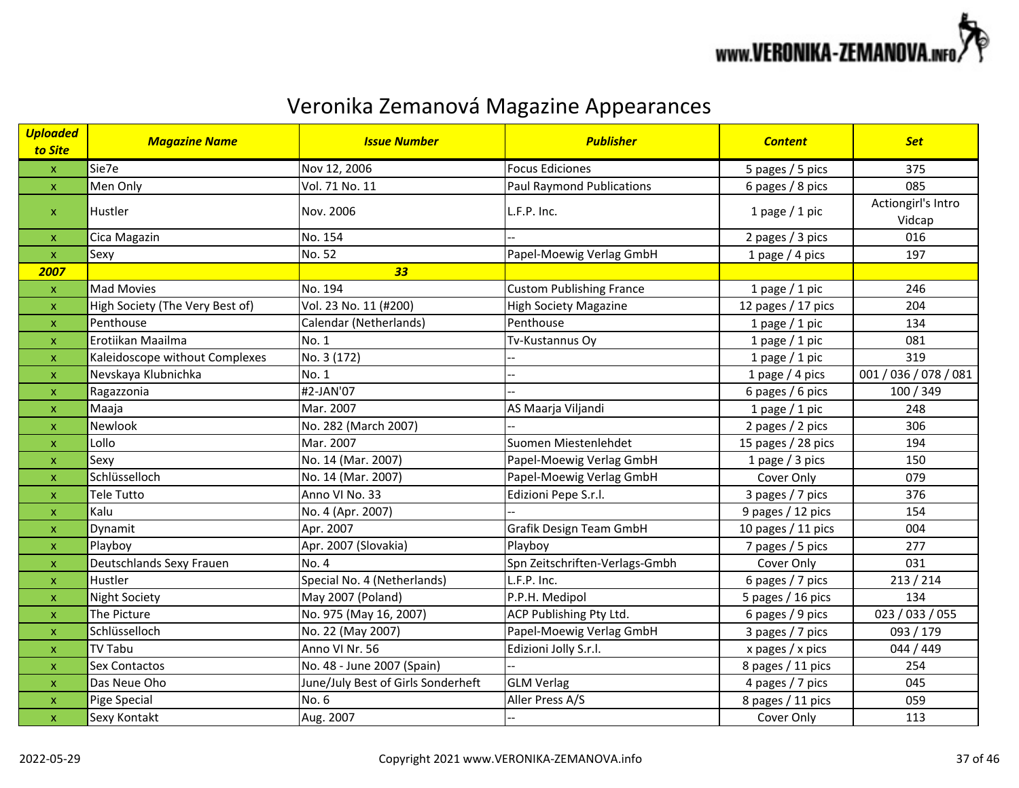

| <b>Uploaded</b><br>to Site | <b>Magazine Name</b>            | <b>Issue Number</b>                | <b>Publisher</b>                 | <b>Content</b>     | <b>Set</b>                   |
|----------------------------|---------------------------------|------------------------------------|----------------------------------|--------------------|------------------------------|
| $\mathsf X$                | Sie7e                           | Nov 12, 2006                       | <b>Focus Ediciones</b>           | 5 pages / 5 pics   | 375                          |
| $\boldsymbol{\mathsf{X}}$  | Men Only                        | Vol. 71 No. 11                     | <b>Paul Raymond Publications</b> | 6 pages / 8 pics   | 085                          |
| $\mathsf{x}$               | <b>Hustler</b>                  | Nov. 2006                          | L.F.P. Inc.                      | 1 page $/$ 1 pic   | Actiongirl's Intro<br>Vidcap |
| $\pmb{\mathsf{X}}$         | Cica Magazin                    | No. 154                            |                                  | 2 pages / 3 pics   | 016                          |
| $\mathsf{x}$               | Sexy                            | No. 52                             | Papel-Moewig Verlag GmbH         | 1 page $/$ 4 pics  | 197                          |
| 2007                       |                                 | 33                                 |                                  |                    |                              |
| $\mathsf{x}$               | <b>Mad Movies</b>               | No. 194                            | <b>Custom Publishing France</b>  | 1 page $/$ 1 pic   | 246                          |
| $\pmb{\times}$             | High Society (The Very Best of) | Vol. 23 No. 11 (#200)              | <b>High Society Magazine</b>     | 12 pages / 17 pics | 204                          |
| X                          | Penthouse                       | Calendar (Netherlands)             | Penthouse                        | 1 page $/$ 1 pic   | 134                          |
| $\boldsymbol{\mathsf{x}}$  | Erotiikan Maailma               | No. 1                              | Tv-Kustannus Oy                  | 1 page $/$ 1 pic   | 081                          |
| $\mathsf{x}$               | Kaleidoscope without Complexes  | No. 3 (172)                        |                                  | 1 page $/$ 1 pic   | 319                          |
| $\boldsymbol{\mathsf{x}}$  | Nevskaya Klubnichka             | No. 1                              |                                  | 1 page $/$ 4 pics  | 001 / 036 / 078 / 081        |
| $\boldsymbol{\mathsf{x}}$  | Ragazzonia                      | #2-JAN'07                          |                                  | 6 pages / 6 pics   | 100 / 349                    |
| $\boldsymbol{\mathsf{x}}$  | Maaja                           | Mar. 2007                          | AS Maarja Viljandi               | 1 page $/$ 1 pic   | 248                          |
| $\boldsymbol{\mathsf{x}}$  | Newlook                         | No. 282 (March 2007)               |                                  | 2 pages / 2 pics   | 306                          |
| $\pmb{\times}$             | Lollo                           | Mar. 2007                          | Suomen Miestenlehdet             | 15 pages / 28 pics | 194                          |
| $\boldsymbol{\mathsf{x}}$  | Sexy                            | No. 14 (Mar. 2007)                 | Papel-Moewig Verlag GmbH         | 1 page $/$ 3 pics  | 150                          |
| $\boldsymbol{\mathsf{x}}$  | Schlüsselloch                   | No. 14 (Mar. 2007)                 | Papel-Moewig Verlag GmbH         | Cover Only         | 079                          |
| $\mathsf{x}$               | Tele Tutto                      | Anno VI No. 33                     | Edizioni Pepe S.r.l.             | 3 pages / 7 pics   | 376                          |
| $\boldsymbol{\mathsf{x}}$  | Kalu                            | No. 4 (Apr. 2007)                  |                                  | 9 pages / 12 pics  | 154                          |
| $\boldsymbol{\mathsf{x}}$  | Dynamit                         | Apr. 2007                          | Grafik Design Team GmbH          | 10 pages / 11 pics | 004                          |
| $\boldsymbol{\mathsf{x}}$  | Playboy                         | Apr. 2007 (Slovakia)               | Playboy                          | 7 pages / 5 pics   | 277                          |
| $\boldsymbol{\mathsf{x}}$  | Deutschlands Sexy Frauen        | <b>No. 4</b>                       | Spn Zeitschriften-Verlags-Gmbh   | Cover Only         | 031                          |
| $\pmb{\times}$             | Hustler                         | Special No. 4 (Netherlands)        | L.F.P. Inc.                      | 6 pages / 7 pics   | 213 / 214                    |
| $\boldsymbol{\mathsf{x}}$  | <b>Night Society</b>            | May 2007 (Poland)                  | P.P.H. Medipol                   | 5 pages / 16 pics  | 134                          |
| $\boldsymbol{\mathsf{x}}$  | The Picture                     | No. 975 (May 16, 2007)             | ACP Publishing Pty Ltd.          | 6 pages / 9 pics   | 023 / 033 / 055              |
| $\mathsf{x}$               | Schlüsselloch                   | No. 22 (May 2007)                  | Papel-Moewig Verlag GmbH         | 3 pages / 7 pics   | 093 / 179                    |
| $\pmb{\mathsf{X}}$         | <b>TV Tabu</b>                  | Anno VI Nr. 56                     | Edizioni Jolly S.r.l.            | x pages $/x$ pics  | 044 / 449                    |
| $\mathsf{x}$               | <b>Sex Contactos</b>            | No. 48 - June 2007 (Spain)         |                                  | 8 pages / 11 pics  | 254                          |
| $\boldsymbol{\mathsf{x}}$  | Das Neue Oho                    | June/July Best of Girls Sonderheft | <b>GLM Verlag</b>                | 4 pages / 7 pics   | 045                          |
| $\mathsf{x}$               | Pige Special                    | No. 6                              | Aller Press A/S                  | 8 pages / 11 pics  | 059                          |
| $\pmb{\mathsf{X}}$         | Sexy Kontakt                    | Aug. 2007                          |                                  | Cover Only         | 113                          |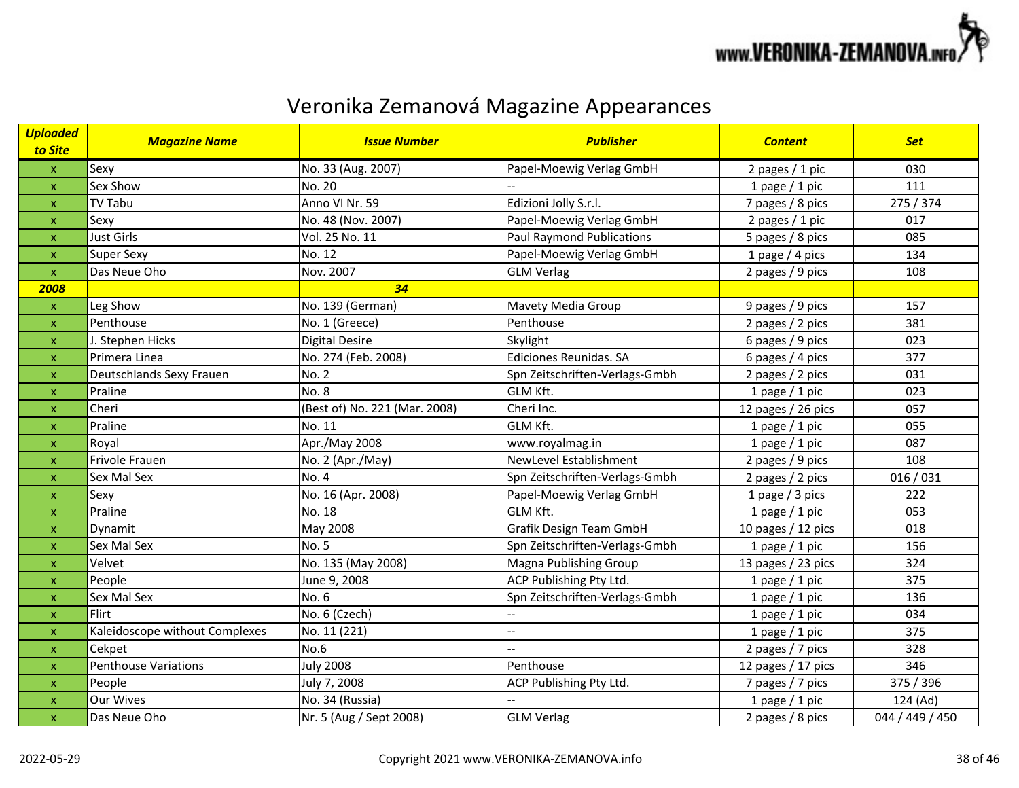

| <b>Uploaded</b><br>to Site | <b>Magazine Name</b>           | <b>Issue Number</b>           | <b>Publisher</b>                 | <b>Content</b>     | <b>Set</b>      |
|----------------------------|--------------------------------|-------------------------------|----------------------------------|--------------------|-----------------|
| $\boldsymbol{\mathsf{x}}$  | Sexy                           | No. 33 (Aug. 2007)            | Papel-Moewig Verlag GmbH         | 2 pages / 1 pic    | 030             |
| x                          | Sex Show                       | No. 20                        |                                  | 1 page $/$ 1 pic   | 111             |
| x                          | <b>TV Tabu</b>                 | Anno VI Nr. 59                | Edizioni Jolly S.r.l.            | 7 pages / 8 pics   | 275 / 374       |
| $\mathsf{x}$               | Sexy                           | No. 48 (Nov. 2007)            | Papel-Moewig Verlag GmbH         | 2 pages / 1 pic    | 017             |
| x                          | <b>Just Girls</b>              | Vol. 25 No. 11                | <b>Paul Raymond Publications</b> | 5 pages / 8 pics   | 085             |
| $\mathsf{x}$               | <b>Super Sexy</b>              | No. 12                        | Papel-Moewig Verlag GmbH         | 1 page $/$ 4 pics  | 134             |
| x                          | Das Neue Oho                   | Nov. 2007                     | <b>GLM Verlag</b>                | 2 pages / 9 pics   | 108             |
| 2008                       |                                | 34                            |                                  |                    |                 |
| $\boldsymbol{\mathsf{x}}$  | Leg Show                       | No. 139 (German)              | Mavety Media Group               | 9 pages / 9 pics   | 157             |
| $\mathsf{x}$               | Penthouse                      | No. 1 (Greece)                | Penthouse                        | 2 pages / 2 pics   | 381             |
| x                          | J. Stephen Hicks               | <b>Digital Desire</b>         | Skylight                         | 6 pages / 9 pics   | 023             |
| $\mathsf{x}$               | Primera Linea                  | No. 274 (Feb. 2008)           | Ediciones Reunidas. SA           | 6 pages $/$ 4 pics | 377             |
| X                          | Deutschlands Sexy Frauen       | <b>No. 2</b>                  | Spn Zeitschriften-Verlags-Gmbh   | 2 pages / 2 pics   | 031             |
| $\mathsf{x}$               | Praline                        | <b>No. 8</b>                  | GLM Kft.                         | 1 page $/$ 1 pic   | 023             |
| X                          | Cheri                          | (Best of) No. 221 (Mar. 2008) | Cheri Inc.                       | 12 pages / 26 pics | 057             |
| X                          | Praline                        | No. 11                        | GLM Kft.                         | 1 page $/$ 1 pic   | 055             |
| x                          | Royal                          | Apr./May 2008                 | www.royalmag.in                  | 1 page $/$ 1 pic   | 087             |
| $\mathsf{x}$               | Frivole Frauen                 | No. 2 (Apr./May)              | <b>NewLevel Establishment</b>    | 2 pages / 9 pics   | 108             |
| x                          | Sex Mal Sex                    | No. 4                         | Spn Zeitschriften-Verlags-Gmbh   | 2 pages / 2 pics   | 016/031         |
| X                          | Sexy                           | No. 16 (Apr. 2008)            | Papel-Moewig Verlag GmbH         | 1 page $/$ 3 pics  | 222             |
| X                          | Praline                        | No. 18                        | GLM Kft.                         | 1 page $/$ 1 pic   | 053             |
| $\mathsf{x}$               | Dynamit                        | May 2008                      | Grafik Design Team GmbH          | 10 pages / 12 pics | 018             |
| $\mathsf{x}$               | Sex Mal Sex                    | <b>No. 5</b>                  | Spn Zeitschriften-Verlags-Gmbh   | 1 page $/$ 1 pic   | 156             |
| X                          | Velvet                         | No. 135 (May 2008)            | Magna Publishing Group           | 13 pages / 23 pics | 324             |
| $\mathsf{x}$               | People                         | June 9, 2008                  | ACP Publishing Pty Ltd.          | 1 page $/$ 1 pic   | 375             |
| X                          | Sex Mal Sex                    | No. 6                         | Spn Zeitschriften-Verlags-Gmbh   | 1 page $/$ 1 pic   | 136             |
| $\mathsf{x}$               | <b>Flirt</b>                   | No. 6 (Czech)                 |                                  | 1 page $/$ 1 pic   | 034             |
| $\mathsf{x}$               | Kaleidoscope without Complexes | No. 11 (221)                  |                                  | 1 page $/$ 1 pic   | 375             |
| $\mathsf{x}$               | Cekpet                         | No.6                          |                                  | 2 pages / 7 pics   | 328             |
| $\mathsf{x}$               | <b>Penthouse Variations</b>    | <b>July 2008</b>              | Penthouse                        | 12 pages / 17 pics | 346             |
| X                          | People                         | July 7, 2008                  | ACP Publishing Pty Ltd.          | 7 pages / 7 pics   | 375 / 396       |
| x                          | <b>Our Wives</b>               | No. 34 (Russia)               |                                  | 1 page $/$ 1 pic   | 124 (Ad)        |
| $\overline{\mathsf{x}}$    | Das Neue Oho                   | Nr. 5 (Aug / Sept 2008)       | <b>GLM Verlag</b>                | 2 pages / 8 pics   | 044 / 449 / 450 |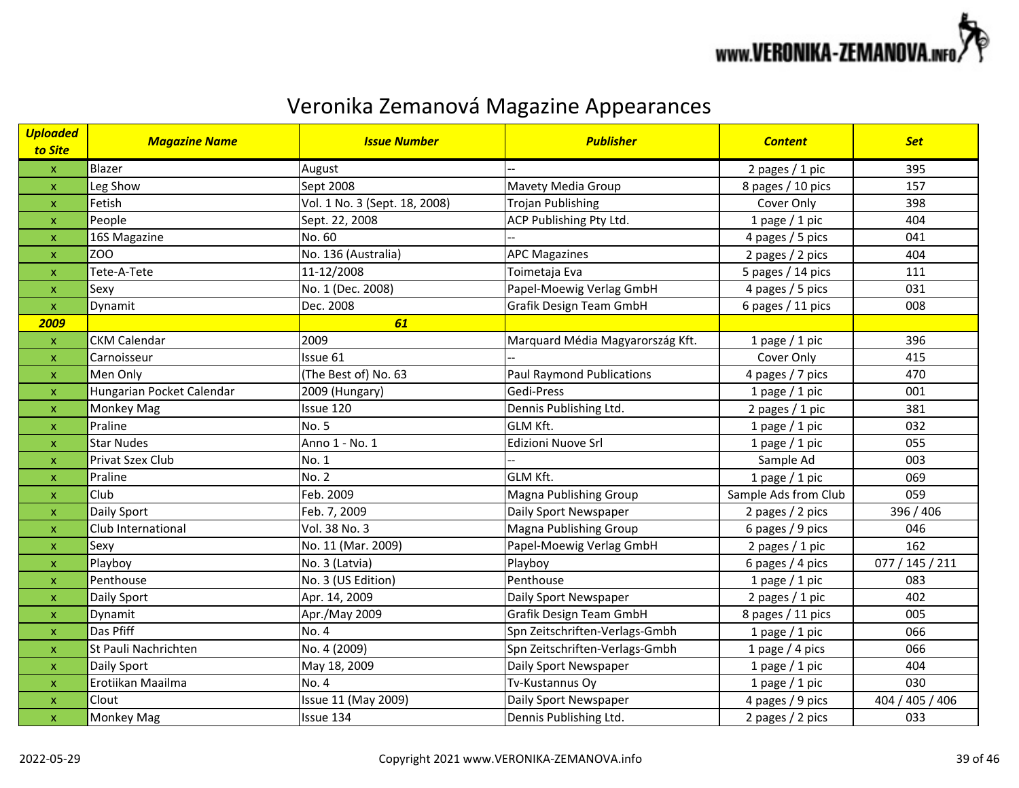

| <b>Uploaded</b><br>to Site | <b>Magazine Name</b>      | <b>Issue Number</b>           | <b>Publisher</b>                 | <b>Content</b>       | <b>Set</b>      |
|----------------------------|---------------------------|-------------------------------|----------------------------------|----------------------|-----------------|
| $\boldsymbol{\mathsf{x}}$  | Blazer                    | August                        |                                  | 2 pages / 1 pic      | 395             |
| x                          | Leg Show                  | Sept 2008                     | Mavety Media Group               | 8 pages / 10 pics    | 157             |
| x                          | Fetish                    | Vol. 1 No. 3 (Sept. 18, 2008) | <b>Trojan Publishing</b>         | Cover Only           | 398             |
| x                          | People                    | Sept. 22, 2008                | ACP Publishing Pty Ltd.          | 1 page $/$ 1 pic     | 404             |
| x                          | 16S Magazine              | No. 60                        |                                  | 4 pages / 5 pics     | 041             |
| $\boldsymbol{\mathsf{x}}$  | <b>ZOO</b>                | No. 136 (Australia)           | <b>APC Magazines</b>             | 2 pages / 2 pics     | 404             |
| $\mathsf{x}$               | Tete-A-Tete               | 11-12/2008                    | Toimetaja Eva                    | 5 pages / 14 pics    | 111             |
| x                          | Sexy                      | No. 1 (Dec. 2008)             | Papel-Moewig Verlag GmbH         | 4 pages / 5 pics     | 031             |
| $\pmb{\mathsf{x}}$         | Dynamit                   | Dec. 2008                     | Grafik Design Team GmbH          | 6 pages / 11 pics    | 008             |
| 2009                       |                           | 61                            |                                  |                      |                 |
| $\pmb{\mathsf{x}}$         | <b>CKM Calendar</b>       | 2009                          | Marquard Média Magyarország Kft. | 1 page $/$ 1 pic     | 396             |
| x                          | Carnoisseur               | Issue 61                      |                                  | Cover Only           | 415             |
| x                          | Men Only                  | (The Best of) No. 63          | <b>Paul Raymond Publications</b> | 4 pages / 7 pics     | 470             |
| $\boldsymbol{\mathsf{x}}$  | Hungarian Pocket Calendar | 2009 (Hungary)                | Gedi-Press                       | 1 page $/$ 1 pic     | 001             |
| $\mathsf{x}$               | <b>Monkey Mag</b>         | Issue 120                     | Dennis Publishing Ltd.           | 2 pages $/ 1$ pic    | 381             |
| x                          | Praline                   | <b>No. 5</b>                  | GLM Kft.                         | 1 page $/$ 1 pic     | 032             |
| X                          | <b>Star Nudes</b>         | Anno 1 - No. 1                | Edizioni Nuove Srl               | 1 page $/$ 1 pic     | 055             |
| x                          | <b>Privat Szex Club</b>   | No. 1                         |                                  | Sample Ad            | 003             |
| x                          | Praline                   | No. 2                         | GLM Kft.                         | 1 page $/$ 1 pic     | 069             |
| $\mathsf{x}$               | Club                      | Feb. 2009                     | Magna Publishing Group           | Sample Ads from Club | 059             |
| $\mathsf{x}$               | Daily Sport               | Feb. 7, 2009                  | Daily Sport Newspaper            | 2 pages / 2 pics     | 396 / 406       |
| $\mathsf{x}$               | Club International        | Vol. 38 No. 3                 | Magna Publishing Group           | 6 pages / 9 pics     | 046             |
| x                          | Sexy                      | No. 11 (Mar. 2009)            | Papel-Moewig Verlag GmbH         | 2 pages $/ 1$ pic    | 162             |
| X                          | Playboy                   | No. 3 (Latvia)                | Playboy                          | 6 pages / 4 pics     | 077 / 145 / 211 |
| $\mathsf{x}$               | Penthouse                 | No. 3 (US Edition)            | Penthouse                        | 1 page $/$ 1 pic     | 083             |
| x                          | Daily Sport               | Apr. 14, 2009                 | Daily Sport Newspaper            | 2 pages $/1$ pic     | 402             |
| x                          | Dynamit                   | Apr./May 2009                 | Grafik Design Team GmbH          | 8 pages / 11 pics    | 005             |
| x                          | Das Pfiff                 | No. 4                         | Spn Zeitschriften-Verlags-Gmbh   | 1 page $/$ 1 pic     | 066             |
| $\mathsf{x}$               | St Pauli Nachrichten      | No. 4 (2009)                  | Spn Zeitschriften-Verlags-Gmbh   | 1 page / 4 pics      | 066             |
| X                          | Daily Sport               | May 18, 2009                  | Daily Sport Newspaper            | 1 page $/$ 1 pic     | 404             |
| $\mathsf{x}$               | Erotiikan Maailma         | No. 4                         | Tv-Kustannus Oy                  | 1 page $/$ 1 pic     | 030             |
| X                          | Clout                     | Issue 11 (May 2009)           | Daily Sport Newspaper            | 4 pages / 9 pics     | 404 / 405 / 406 |
| $\mathsf{x}$               | <b>Monkey Mag</b>         | Issue 134                     | Dennis Publishing Ltd.           | 2 pages / 2 pics     | 033             |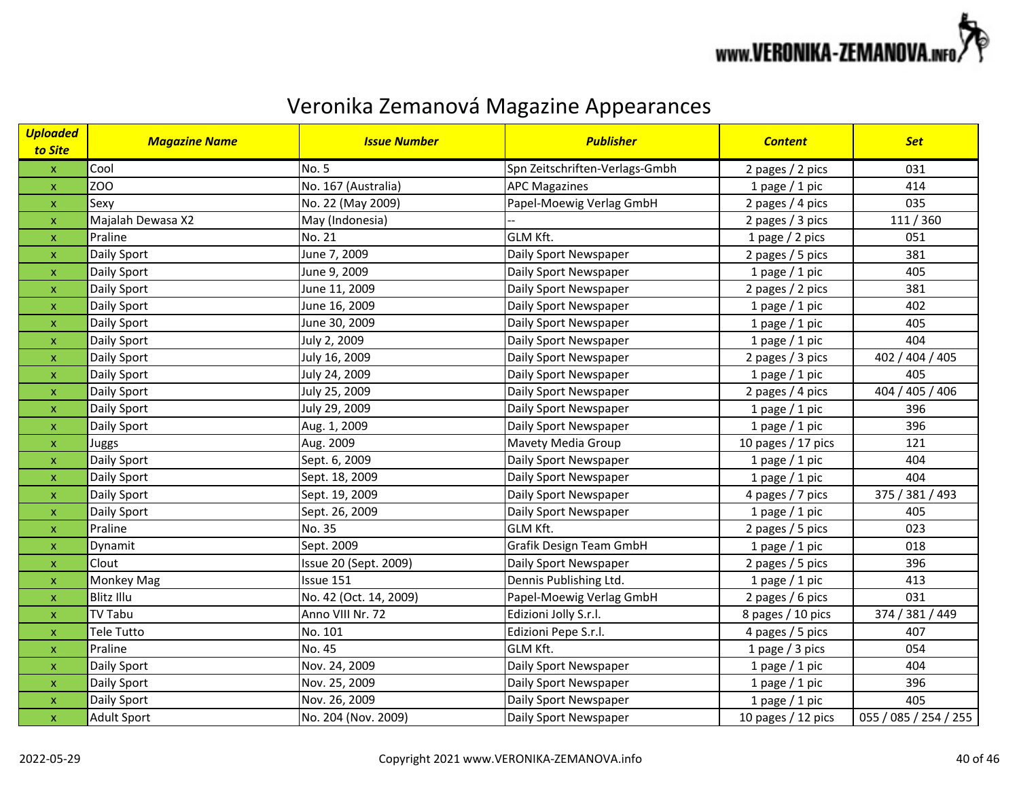

| <b>Uploaded</b><br>to Site | <b>Magazine Name</b> | <b>Issue Number</b>    | <b>Publisher</b>               | <b>Content</b>       | <b>Set</b>            |
|----------------------------|----------------------|------------------------|--------------------------------|----------------------|-----------------------|
| $\boldsymbol{\mathsf{X}}$  | Cool                 | No. 5                  | Spn Zeitschriften-Verlags-Gmbh | 2 pages / 2 pics     | 031                   |
| $\mathsf X$                | ZOO                  | No. 167 (Australia)    | <b>APC Magazines</b>           | 1 page $/$ 1 pic     | 414                   |
| $\mathsf X$                | Sexy                 | No. 22 (May 2009)      | Papel-Moewig Verlag GmbH       | 2 pages / 4 pics     | 035                   |
| $\mathsf X$                | Majalah Dewasa X2    | May (Indonesia)        |                                | 2 pages / 3 pics     | 111/360               |
| $\mathbf{x}$               | Praline              | No. 21                 | <b>GLM Kft.</b>                | 1 page $/$ 2 pics    | 051                   |
| $\mathsf X$                | Daily Sport          | June 7, 2009           | Daily Sport Newspaper          | 2 pages / 5 pics     | 381                   |
| $\pmb{\mathsf{x}}$         | Daily Sport          | June 9, 2009           | Daily Sport Newspaper          | 1 page $/$ 1 pic     | 405                   |
| $\mathbf{x}$               | Daily Sport          | June 11, 2009          | Daily Sport Newspaper          | 2 pages / 2 pics     | 381                   |
| $\pmb{\mathsf{x}}$         | Daily Sport          | June 16, 2009          | Daily Sport Newspaper          | 1 page $/$ 1 pic     | 402                   |
| $\mathbf{x}$               | Daily Sport          | June 30, 2009          | Daily Sport Newspaper          | 1 page $/$ 1 pic     | 405                   |
| $\mathsf X$                | Daily Sport          | July 2, 2009           | Daily Sport Newspaper          | 1 page $/$ 1 pic     | 404                   |
| $\mathbf{x}$               | Daily Sport          | July 16, 2009          | Daily Sport Newspaper          | 2 pages / 3 pics     | 402 / 404 / 405       |
| $\pmb{\mathsf{x}}$         | Daily Sport          | July 24, 2009          | Daily Sport Newspaper          | 1 page $/$ 1 pic     | 405                   |
| $\pmb{\mathsf{X}}$         | Daily Sport          | July 25, 2009          | Daily Sport Newspaper          | 2 pages / 4 pics     | 404 / 405 / 406       |
| $\pmb{\mathsf{X}}$         | Daily Sport          | July 29, 2009          | Daily Sport Newspaper          | 1 page $/$ 1 pic     | 396                   |
| $\pmb{\mathsf{x}}$         | Daily Sport          | Aug. 1, 2009           | Daily Sport Newspaper          | 1 page $/$ 1 pic     | 396                   |
| X                          | <b>Juggs</b>         | Aug. 2009              | Mavety Media Group             | 10 pages $/$ 17 pics | 121                   |
| $\mathsf X$                | Daily Sport          | Sept. 6, 2009          | Daily Sport Newspaper          | 1 page $/$ 1 pic     | 404                   |
| $\mathbf{x}$               | Daily Sport          | Sept. 18, 2009         | Daily Sport Newspaper          | 1 page $/$ 1 pic     | 404                   |
| $\mathsf X$                | Daily Sport          | Sept. 19, 2009         | Daily Sport Newspaper          | 4 pages / 7 pics     | 375 / 381 / 493       |
| $\pmb{\mathsf{X}}$         | Daily Sport          | Sept. 26, 2009         | Daily Sport Newspaper          | 1 page $/$ 1 pic     | 405                   |
| $\pmb{\mathsf{X}}$         | Praline              | No. 35                 | <b>GLM Kft.</b>                | 2 pages / 5 pics     | 023                   |
| $\mathsf X$                | Dynamit              | Sept. 2009             | Grafik Design Team GmbH        | 1 page $/$ 1 pic     | 018                   |
| $\pmb{\mathsf{x}}$         | Clout                | Issue 20 (Sept. 2009)  | Daily Sport Newspaper          | 2 pages / 5 pics     | 396                   |
| $\mathbf x$                | <b>Monkey Mag</b>    | Issue 151              | Dennis Publishing Ltd.         | 1 page $/$ 1 pic     | 413                   |
| $\mathsf X$                | <b>Blitz Illu</b>    | No. 42 (Oct. 14, 2009) | Papel-Moewig Verlag GmbH       | 2 pages / 6 pics     | 031                   |
| $\mathbf{x}$               | <b>TV Tabu</b>       | Anno VIII Nr. 72       | Edizioni Jolly S.r.l.          | 8 pages / 10 pics    | 374 / 381 / 449       |
| $\mathbf{x}$               | Tele Tutto           | No. 101                | Edizioni Pepe S.r.l.           | 4 pages / 5 pics     | 407                   |
| $\mathsf{x}$               | Praline              | No. 45                 | <b>GLM Kft.</b>                | 1 page $/$ 3 pics    | 054                   |
| $\pmb{\mathsf{X}}$         | Daily Sport          | Nov. 24, 2009          | Daily Sport Newspaper          | 1 page $/$ 1 pic     | 404                   |
| $\mathbf{x}$               | Daily Sport          | Nov. 25, 2009          | Daily Sport Newspaper          | 1 page $/$ 1 pic     | 396                   |
| $\pmb{\mathsf{x}}$         | Daily Sport          | Nov. 26, 2009          | Daily Sport Newspaper          | 1 page $/$ 1 pic     | 405                   |
| $\mathsf X$                | <b>Adult Sport</b>   | No. 204 (Nov. 2009)    | Daily Sport Newspaper          | 10 pages / 12 pics   | 055 / 085 / 254 / 255 |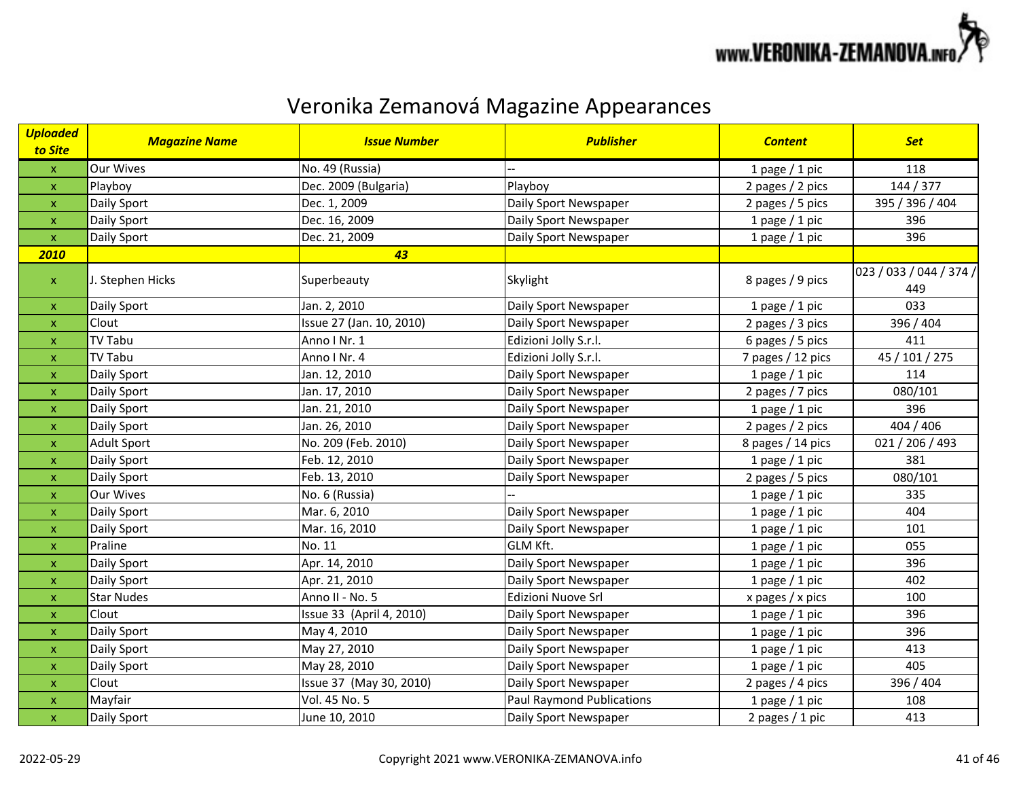

| <b>Uploaded</b><br>to Site | <b>Magazine Name</b> | <b>Issue Number</b>      | <b>Publisher</b>                 | <b>Content</b>    | <b>Set</b>                     |
|----------------------------|----------------------|--------------------------|----------------------------------|-------------------|--------------------------------|
| $\mathsf X$                | <b>Our Wives</b>     | No. 49 (Russia)          |                                  | 1 page $/$ 1 pic  | 118                            |
| $\bar{\mathbf{X}}$         | Playboy              | Dec. 2009 (Bulgaria)     | Playboy                          | 2 pages / 2 pics  | 144 / 377                      |
| $\boldsymbol{\mathsf{X}}$  | Daily Sport          | Dec. 1, 2009             | Daily Sport Newspaper            | 2 pages / 5 pics  | 395 / 396 / 404                |
| $\mathsf{X}$               | Daily Sport          | Dec. 16, 2009            | Daily Sport Newspaper            | 1 page $/$ 1 pic  | 396                            |
| $\mathsf{x}$               | Daily Sport          | Dec. 21, 2009            | Daily Sport Newspaper            | 1 page $/$ 1 pic  | 396                            |
| 2010                       |                      | 43                       |                                  |                   |                                |
| $\mathsf X$                | J. Stephen Hicks     | Superbeauty              | Skylight                         | 8 pages / 9 pics  | 023 / 033 / 044 / 374 /<br>449 |
| X                          | Daily Sport          | Jan. 2, 2010             | Daily Sport Newspaper            | 1 page $/$ 1 pic  | 033                            |
| $\mathsf{X}$               | Clout                | Issue 27 (Jan. 10, 2010) | Daily Sport Newspaper            | 2 pages / 3 pics  | 396 / 404                      |
| $\mathsf X$                | <b>TV Tabu</b>       | Anno I Nr. 1             | Edizioni Jolly S.r.l.            | 6 pages / 5 pics  | 411                            |
| $\boldsymbol{\mathsf{X}}$  | <b>TV Tabu</b>       | Anno I Nr. 4             | Edizioni Jolly S.r.l.            | 7 pages / 12 pics | 45 / 101 / 275                 |
| $\pmb{\times}$             | Daily Sport          | Jan. 12, 2010            | Daily Sport Newspaper            | 1 page $/$ 1 pic  | 114                            |
| $\pmb{\mathsf{X}}$         | Daily Sport          | Jan. 17, 2010            | Daily Sport Newspaper            | 2 pages / 7 pics  | 080/101                        |
| $\boldsymbol{\mathsf{X}}$  | Daily Sport          | Jan. 21, 2010            | Daily Sport Newspaper            | 1 page $/$ 1 pic  | 396                            |
| $\boldsymbol{\mathsf{X}}$  | Daily Sport          | Jan. 26, 2010            | Daily Sport Newspaper            | 2 pages / 2 pics  | 404 / 406                      |
| $\boldsymbol{\mathsf{X}}$  | Adult Sport          | No. 209 (Feb. 2010)      | Daily Sport Newspaper            | 8 pages / 14 pics | 021 / 206 / 493                |
| $\pmb{\mathsf{X}}$         | Daily Sport          | Feb. 12, 2010            | Daily Sport Newspaper            | 1 page $/$ 1 pic  | 381                            |
| $\boldsymbol{\mathsf{X}}$  | Daily Sport          | Feb. 13, 2010            | Daily Sport Newspaper            | 2 pages / 5 pics  | 080/101                        |
| $\mathsf X$                | <b>Our Wives</b>     | No. 6 (Russia)           |                                  | 1 page $/$ 1 pic  | 335                            |
| $\pmb{\mathsf{x}}$         | Daily Sport          | Mar. 6, 2010             | Daily Sport Newspaper            | 1 page $/$ 1 pic  | 404                            |
| $\boldsymbol{\mathsf{X}}$  | Daily Sport          | Mar. 16, 2010            | Daily Sport Newspaper            | 1 page $/$ 1 pic  | 101                            |
| $\boldsymbol{\mathsf{x}}$  | Praline              | No. 11                   | GLM Kft.                         | 1 page $/$ 1 pic  | 055                            |
| $\boldsymbol{\mathsf{X}}$  | Daily Sport          | Apr. 14, 2010            | Daily Sport Newspaper            | 1 page $/$ 1 pic  | 396                            |
| $\boldsymbol{\mathsf{X}}$  | Daily Sport          | Apr. 21, 2010            | Daily Sport Newspaper            | 1 page $/$ 1 pic  | 402                            |
| $\boldsymbol{\mathsf{X}}$  | <b>Star Nudes</b>    | Anno II - No. 5          | Edizioni Nuove Srl               | x pages / x pics  | 100                            |
| $\pmb{\mathsf{X}}$         | Clout                | Issue 33 (April 4, 2010) | Daily Sport Newspaper            | 1 page $/$ 1 pic  | 396                            |
| $\pmb{\times}$             | Daily Sport          | May 4, 2010              | Daily Sport Newspaper            | 1 page $/$ 1 pic  | 396                            |
| $\pmb{\times}$             | Daily Sport          | May 27, 2010             | Daily Sport Newspaper            | 1 page $/$ 1 pic  | 413                            |
| $\boldsymbol{\mathsf{X}}$  | Daily Sport          | May 28, 2010             | Daily Sport Newspaper            | 1 page $/$ 1 pic  | 405                            |
| $\boldsymbol{\mathsf{x}}$  | Clout                | Issue 37 (May 30, 2010)  | Daily Sport Newspaper            | 2 pages / 4 pics  | 396 / 404                      |
| $\mathsf X$                | Mayfair              | Vol. 45 No. 5            | <b>Paul Raymond Publications</b> | 1 page $/$ 1 pic  | 108                            |
| $\boldsymbol{\mathsf{X}}$  | Daily Sport          | June 10, 2010            | Daily Sport Newspaper            | 2 pages / 1 pic   | 413                            |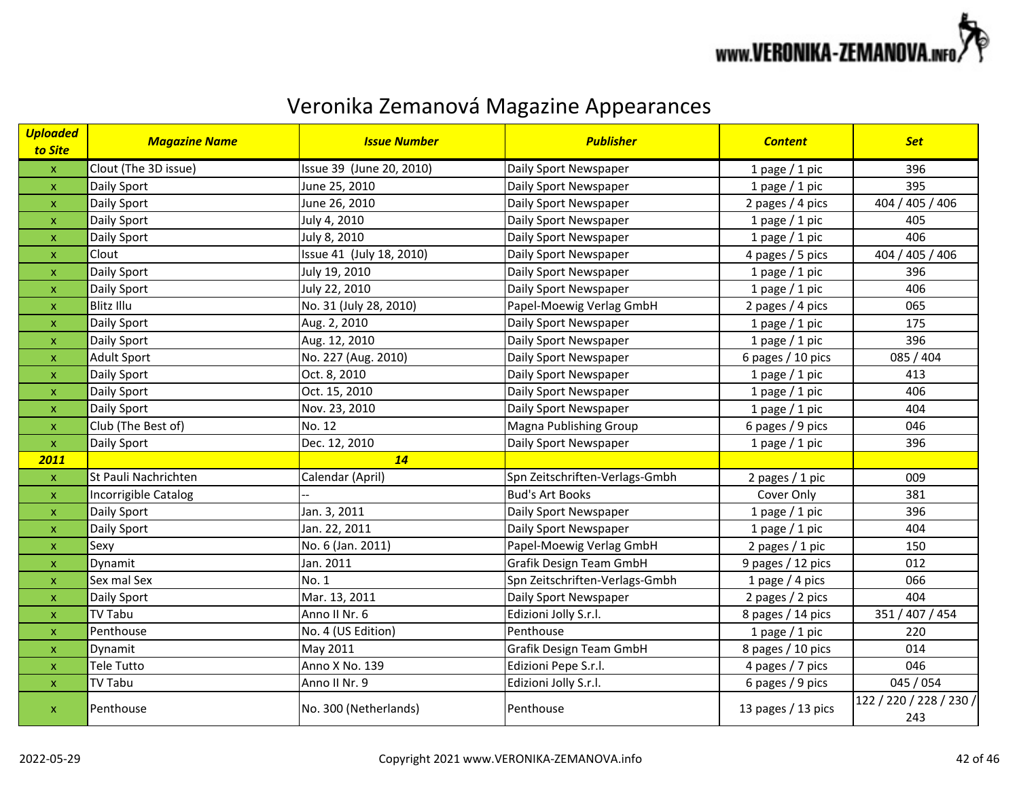

| <b>Uploaded</b><br>to Site | <b>Magazine Name</b> | <b>Issue Number</b>      | <b>Publisher</b>               | <b>Content</b>     | <b>Set</b>                     |
|----------------------------|----------------------|--------------------------|--------------------------------|--------------------|--------------------------------|
| $\mathsf X$                | Clout (The 3D issue) | Issue 39 (June 20, 2010) | Daily Sport Newspaper          | 1 page $/$ 1 pic   | 396                            |
| $\mathsf X$                | Daily Sport          | June 25, 2010            | Daily Sport Newspaper          | 1 page $/$ 1 pic   | 395                            |
| $\mathsf{x}$               | Daily Sport          | June 26, 2010            | Daily Sport Newspaper          | 2 pages / 4 pics   | 404 / 405 / 406                |
| $\mathsf X$                | Daily Sport          | July 4, 2010             | Daily Sport Newspaper          | 1 page $/$ 1 pic   | 405                            |
| $\mathsf{x}$               | Daily Sport          | July 8, 2010             | Daily Sport Newspaper          | 1 page $/$ 1 pic   | 406                            |
| $\pmb{\mathsf{x}}$         | Clout                | Issue 41 (July 18, 2010) | Daily Sport Newspaper          | 4 pages / 5 pics   | 404 / 405 / 406                |
| $\mathsf{x}$               | Daily Sport          | July 19, 2010            | Daily Sport Newspaper          | 1 page $/$ 1 pic   | 396                            |
| $\pmb{\mathsf{x}}$         | Daily Sport          | July 22, 2010            | Daily Sport Newspaper          | 1 page $/$ 1 pic   | 406                            |
| $\mathsf{x}$               | <b>Blitz Illu</b>    | No. 31 (July 28, 2010)   | Papel-Moewig Verlag GmbH       | 2 pages $/$ 4 pics | 065                            |
| $\mathsf X$                | Daily Sport          | Aug. 2, 2010             | Daily Sport Newspaper          | 1 page $/$ 1 pic   | 175                            |
| $\mathsf{x}$               | Daily Sport          | Aug. 12, 2010            | Daily Sport Newspaper          | 1 page $/$ 1 pic   | 396                            |
| $\pmb{\mathsf{X}}$         | <b>Adult Sport</b>   | No. 227 (Aug. 2010)      | Daily Sport Newspaper          | 6 pages / 10 pics  | 085 / 404                      |
| $\mathsf{x}$               | Daily Sport          | Oct. 8, 2010             | Daily Sport Newspaper          | 1 page $/$ 1 pic   | 413                            |
| $\mathsf{x}$               | Daily Sport          | Oct. 15, 2010            | Daily Sport Newspaper          | 1 page $/$ 1 pic   | 406                            |
| $\mathsf X$                | Daily Sport          | Nov. 23, 2010            | Daily Sport Newspaper          | 1 page $/$ 1 pic   | 404                            |
| $\mathsf{x}$               | Club (The Best of)   | No. 12                   | Magna Publishing Group         | 6 pages / 9 pics   | 046                            |
| $\mathbf{x}$               | Daily Sport          | Dec. 12, 2010            | Daily Sport Newspaper          | 1 page $/$ 1 pic   | 396                            |
| 2011                       |                      | 14                       |                                |                    |                                |
| $\boldsymbol{\mathsf{X}}$  | St Pauli Nachrichten | Calendar (April)         | Spn Zeitschriften-Verlags-Gmbh | 2 pages / 1 pic    | 009                            |
| $\mathsf X$                | Incorrigible Catalog |                          | <b>Bud's Art Books</b>         | Cover Only         | 381                            |
| $\pmb{\mathsf{x}}$         | Daily Sport          | Jan. 3, 2011             | Daily Sport Newspaper          | 1 page $/$ 1 pic   | 396                            |
| $\mathsf X$                | Daily Sport          | Jan. 22, 2011            | Daily Sport Newspaper          | 1 page $/$ 1 pic   | 404                            |
| X                          | Sexy                 | No. 6 (Jan. 2011)        | Papel-Moewig Verlag GmbH       | 2 pages $/ 1$ pic  | 150                            |
| $\mathsf X$                | Dynamit              | Jan. 2011                | Grafik Design Team GmbH        | 9 pages / 12 pics  | 012                            |
| $\mathsf X$                | Sex mal Sex          | No. 1                    | Spn Zeitschriften-Verlags-Gmbh | 1 page $/$ 4 pics  | 066                            |
| $\mathbf{x}$               | Daily Sport          | Mar. 13, 2011            | Daily Sport Newspaper          | 2 pages / 2 pics   | 404                            |
| $\mathsf{x}$               | <b>TV Tabu</b>       | Anno II Nr. 6            | Edizioni Jolly S.r.l.          | 8 pages / 14 pics  | 351 / 407 / 454                |
| $\mathsf X$                | Penthouse            | No. 4 (US Edition)       | Penthouse                      | 1 page $/$ 1 pic   | 220                            |
| $\mathsf{x}$               | Dynamit              | May 2011                 | <b>Grafik Design Team GmbH</b> | 8 pages / 10 pics  | 014                            |
| $\mathsf X$                | Tele Tutto           | Anno X No. 139           | Edizioni Pepe S.r.l.           | 4 pages / 7 pics   | 046                            |
| $\mathsf X$                | <b>TV Tabu</b>       | Anno II Nr. 9            | Edizioni Jolly S.r.l.          | 6 pages / 9 pics   | 045 / 054                      |
| $\mathbf{x}$               | Penthouse            | No. 300 (Netherlands)    | Penthouse                      | 13 pages / 13 pics | 122 / 220 / 228 / 230 /<br>243 |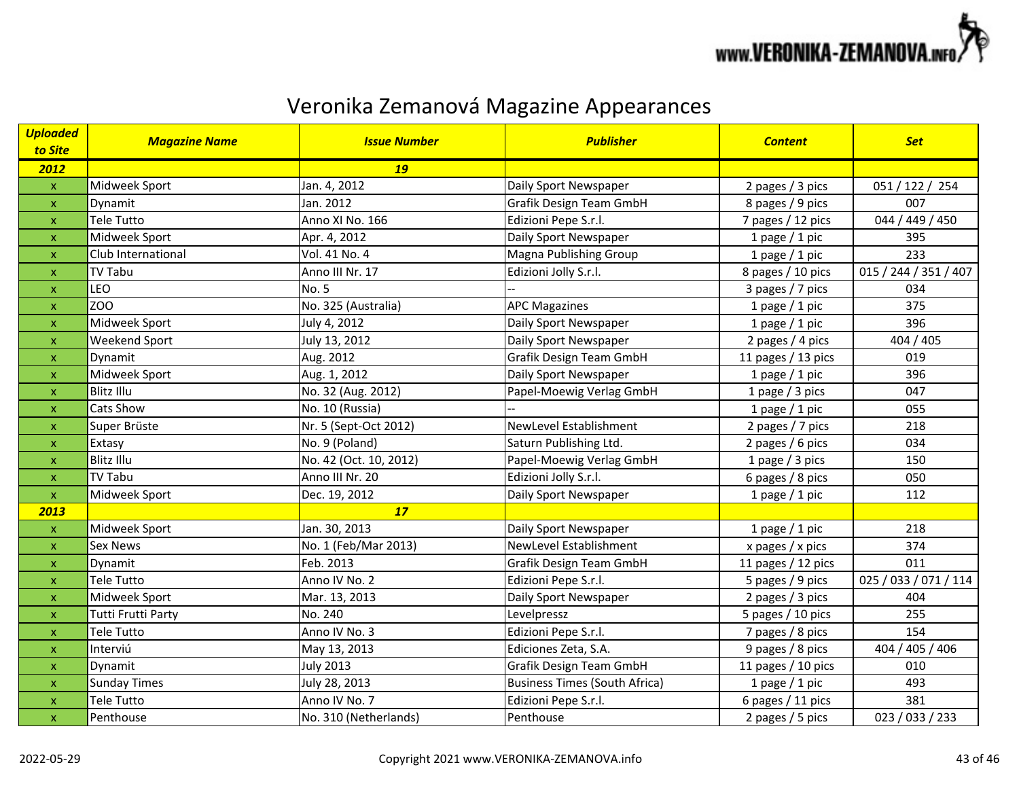

| <b>Uploaded</b><br>to Site | <b>Magazine Name</b> | <b>Issue Number</b>    | <b>Publisher</b>                     | <b>Content</b>       | <b>Set</b>            |
|----------------------------|----------------------|------------------------|--------------------------------------|----------------------|-----------------------|
| 2012                       |                      | <b>19</b>              |                                      |                      |                       |
| $\mathsf{x}$               | Midweek Sport        | Jan. 4, 2012           | Daily Sport Newspaper                | 2 pages / 3 pics     | 051 / 122 / 254       |
| $\pmb{\mathsf{X}}$         | Dynamit              | Jan. 2012              | Grafik Design Team GmbH              | 8 pages / 9 pics     | 007                   |
| $\pmb{\mathsf{X}}$         | <b>Tele Tutto</b>    | Anno XI No. 166        | Edizioni Pepe S.r.l.                 | 7 pages / 12 pics    | 044 / 449 / 450       |
| $\pmb{\mathsf{X}}$         | Midweek Sport        | Apr. 4, 2012           | Daily Sport Newspaper                | 1 page $/$ 1 pic     | 395                   |
| $\mathsf{x}$               | Club International   | Vol. 41 No. 4          | Magna Publishing Group               | 1 page $/$ 1 pic     | 233                   |
| $\pmb{\mathsf{X}}$         | <b>TV Tabu</b>       | Anno III Nr. 17        | Edizioni Jolly S.r.l.                | 8 pages / 10 pics    | 015 / 244 / 351 / 407 |
| $\pmb{\mathsf{x}}$         | LEO                  | No. 5                  |                                      | 3 pages / 7 pics     | 034                   |
| $\boldsymbol{\mathsf{x}}$  | ZO <sub>O</sub>      | No. 325 (Australia)    | <b>APC Magazines</b>                 | 1 page $/$ 1 pic     | 375                   |
| $\pmb{\mathsf{X}}$         | Midweek Sport        | July 4, 2012           | Daily Sport Newspaper                | 1 page $/$ 1 pic     | 396                   |
| $\pmb{\mathsf{X}}$         | Weekend Sport        | July 13, 2012          | Daily Sport Newspaper                | 2 pages / 4 pics     | 404 / 405             |
| $\mathsf{x}$               | Dynamit              | Aug. 2012              | <b>Grafik Design Team GmbH</b>       | 11 pages / 13 pics   | 019                   |
| $\mathsf{x}$               | Midweek Sport        | Aug. 1, 2012           | Daily Sport Newspaper                | 1 page $/$ 1 pic     | 396                   |
| $\mathsf{x}$               | <b>Blitz Illu</b>    | No. 32 (Aug. 2012)     | Papel-Moewig Verlag GmbH             | 1 page $/$ 3 pics    | 047                   |
| $\pmb{\mathsf{X}}$         | Cats Show            | No. 10 (Russia)        |                                      | 1 page $/$ 1 pic     | 055                   |
| $\boldsymbol{\mathsf{x}}$  | Super Brüste         | Nr. 5 (Sept-Oct 2012)  | NewLevel Establishment               | 2 pages / 7 pics     | 218                   |
| $\mathsf{x}$               | Extasy               | No. 9 (Poland)         | Saturn Publishing Ltd.               | 2 pages / 6 pics     | 034                   |
| $\pmb{\mathsf{X}}$         | <b>Blitz Illu</b>    | No. 42 (Oct. 10, 2012) | Papel-Moewig Verlag GmbH             | 1 page $/$ 3 pics    | 150                   |
| $\mathsf X$                | <b>TV Tabu</b>       | Anno III Nr. 20        | Edizioni Jolly S.r.l.                | 6 pages / 8 pics     | 050                   |
| $\mathbf{x}$               | Midweek Sport        | Dec. 19, 2012          | Daily Sport Newspaper                | 1 page $/$ 1 pic     | 112                   |
| 2013                       |                      | 17                     |                                      |                      |                       |
| $\pmb{\mathsf{X}}$         | Midweek Sport        | Jan. 30, 2013          | Daily Sport Newspaper                | 1 page $/$ 1 pic     | 218                   |
| $\pmb{\mathsf{X}}$         | Sex News             | No. 1 (Feb/Mar 2013)   | NewLevel Establishment               | x pages $/x$ pics    | 374                   |
| $\boldsymbol{\mathsf{x}}$  | Dynamit              | Feb. 2013              | Grafik Design Team GmbH              | 11 pages $/$ 12 pics | 011                   |
| $\pmb{\mathsf{X}}$         | <b>Tele Tutto</b>    | Anno IV No. 2          | Edizioni Pepe S.r.l.                 | 5 pages / 9 pics     | 025 / 033 / 071 / 114 |
| $\pmb{\mathsf{X}}$         | Midweek Sport        | Mar. 13, 2013          | Daily Sport Newspaper                | 2 pages / 3 pics     | 404                   |
| $\mathsf{x}$               | Tutti Frutti Party   | No. 240                | Levelpressz                          | 5 pages / 10 pics    | 255                   |
| $\mathsf{x}$               | <b>Tele Tutto</b>    | Anno IV No. 3          | Edizioni Pepe S.r.l.                 | 7 pages / 8 pics     | 154                   |
| $\boldsymbol{\mathsf{x}}$  | Interviú             | May 13, 2013           | Ediciones Zeta, S.A.                 | 9 pages / 8 pics     | 404 / 405 / 406       |
| $\boldsymbol{\mathsf{x}}$  | Dynamit              | <b>July 2013</b>       | Grafik Design Team GmbH              | 11 pages / 10 pics   | 010                   |
| $\mathsf{x}$               | <b>Sunday Times</b>  | July 28, 2013          | <b>Business Times (South Africa)</b> | 1 page $/$ 1 pic     | 493                   |
| $\pmb{\mathsf{X}}$         | <b>Tele Tutto</b>    | Anno IV No. 7          | Edizioni Pepe S.r.l.                 | 6 pages / 11 pics    | 381                   |
| $\pmb{\mathsf{x}}$         | Penthouse            | No. 310 (Netherlands)  | Penthouse                            | 2 pages / 5 pics     | 023 / 033 / 233       |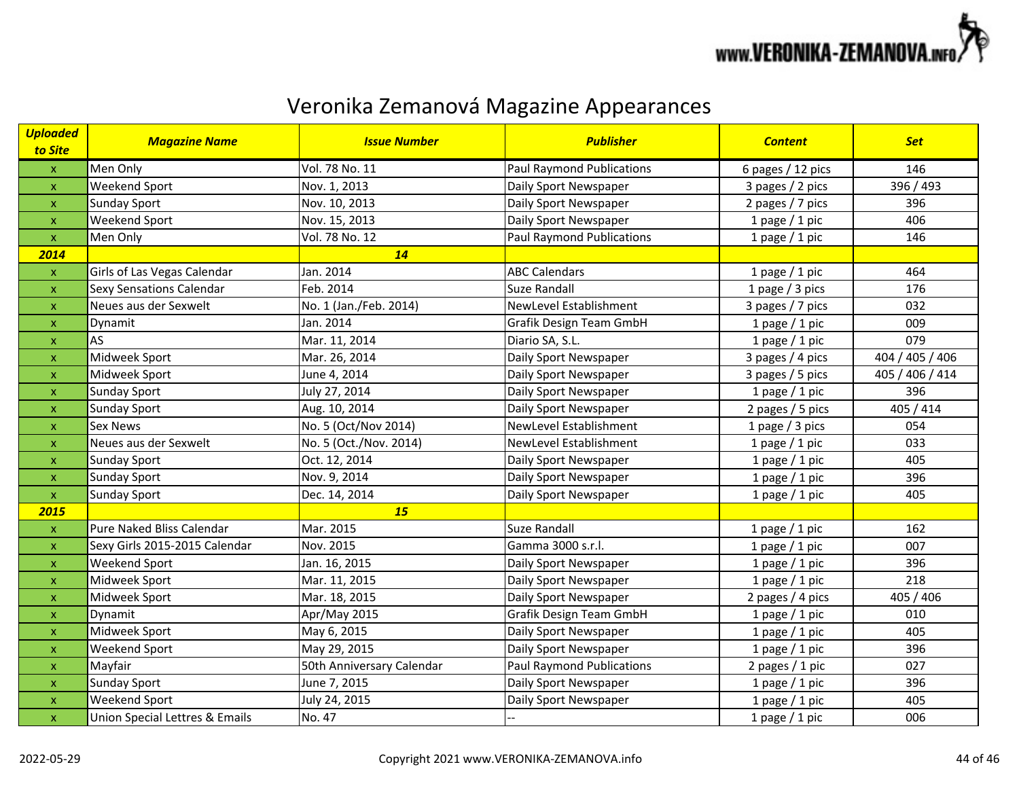

| <b>Uploaded</b><br>to Site | <b>Magazine Name</b>           | <b>Issue Number</b>       | <b>Publisher</b>                 | <b>Content</b>    | <b>Set</b>      |
|----------------------------|--------------------------------|---------------------------|----------------------------------|-------------------|-----------------|
| $\mathbf x$                | Men Only                       | Vol. 78 No. 11            | <b>Paul Raymond Publications</b> | 6 pages / 12 pics | 146             |
| $\pmb{\mathsf{x}}$         | Weekend Sport                  | Nov. 1, 2013              | Daily Sport Newspaper            | 3 pages / 2 pics  | 396 / 493       |
| $\pmb{\mathsf{x}}$         | <b>Sunday Sport</b>            | Nov. 10, 2013             | Daily Sport Newspaper            | 2 pages / 7 pics  | 396             |
| $\mathsf{x}$               | Weekend Sport                  | Nov. 15, 2013             | Daily Sport Newspaper            | 1 page $/$ 1 pic  | 406             |
| $\mathsf{x}$               | Men Only                       | Vol. 78 No. 12            | <b>Paul Raymond Publications</b> | 1 page $/$ 1 pic  | 146             |
| 2014                       |                                | 14                        |                                  |                   |                 |
| $\mathsf X$                | Girls of Las Vegas Calendar    | Jan. 2014                 | <b>ABC Calendars</b>             | 1 page $/$ 1 pic  | 464             |
| $\pmb{\mathsf{X}}$         | Sexy Sensations Calendar       | Feb. 2014                 | Suze Randall                     | 1 page $/$ 3 pics | 176             |
| $\pmb{\mathsf{x}}$         | Neues aus der Sexwelt          | No. 1 (Jan./Feb. 2014)    | NewLevel Establishment           | 3 pages / 7 pics  | 032             |
| $\pmb{\mathsf{X}}$         | Dynamit                        | Jan. 2014                 | Grafik Design Team GmbH          | 1 page $/$ 1 pic  | 009             |
| $\pmb{\mathsf{X}}$         | AS                             | Mar. 11, 2014             | Diario SA, S.L.                  | 1 page $/$ 1 pic  | 079             |
| $\mathsf{x}$               | Midweek Sport                  | Mar. 26, 2014             | Daily Sport Newspaper            | 3 pages / 4 pics  | 404 / 405 / 406 |
| $\pmb{\mathsf{x}}$         | Midweek Sport                  | June 4, 2014              | Daily Sport Newspaper            | 3 pages / 5 pics  | 405 / 406 / 414 |
| $\mathsf{x}$               | <b>Sunday Sport</b>            | July 27, 2014             | Daily Sport Newspaper            | 1 page $/$ 1 pic  | 396             |
| $\pmb{\mathsf{X}}$         | <b>Sunday Sport</b>            | Aug. 10, 2014             | Daily Sport Newspaper            | 2 pages / 5 pics  | 405 / 414       |
| $\boldsymbol{\mathsf{x}}$  | Sex News                       | No. 5 (Oct/Nov 2014)      | NewLevel Establishment           | 1 page / 3 pics   | 054             |
| $\pmb{\mathsf{X}}$         | Neues aus der Sexwelt          | No. 5 (Oct./Nov. 2014)    | NewLevel Establishment           | 1 page $/$ 1 pic  | 033             |
| $\boldsymbol{\mathsf{x}}$  | <b>Sunday Sport</b>            | Oct. 12, 2014             | Daily Sport Newspaper            | 1 page $/$ 1 pic  | 405             |
| $\mathsf X$                | <b>Sunday Sport</b>            | Nov. 9, 2014              | Daily Sport Newspaper            | 1 page $/$ 1 pic  | 396             |
| $\mathsf{x}$               | <b>Sunday Sport</b>            | Dec. 14, 2014             | Daily Sport Newspaper            | 1 page $/$ 1 pic  | 405             |
| 2015                       |                                | 15                        |                                  |                   |                 |
| $\pmb{\mathsf{x}}$         | Pure Naked Bliss Calendar      | Mar. 2015                 | <b>Suze Randall</b>              | 1 page $/$ 1 pic  | 162             |
| $\mathsf{x}$               | Sexy Girls 2015-2015 Calendar  | Nov. 2015                 | Gamma 3000 s.r.l.                | 1 page $/$ 1 pic  | 007             |
| $\pmb{\mathsf{x}}$         | Weekend Sport                  | Jan. 16, 2015             | Daily Sport Newspaper            | 1 page $/$ 1 pic  | 396             |
| $\mathsf{x}$               | Midweek Sport                  | Mar. 11, 2015             | Daily Sport Newspaper            | 1 page $/$ 1 pic  | 218             |
| $\pmb{\mathsf{X}}$         | Midweek Sport                  | Mar. 18, 2015             | Daily Sport Newspaper            | 2 pages / 4 pics  | 405 / 406       |
| $\mathsf{x}$               | Dynamit                        | Apr/May 2015              | Grafik Design Team GmbH          | 1 page $/$ 1 pic  | 010             |
| $\pmb{\mathsf{X}}$         | Midweek Sport                  | May 6, 2015               | Daily Sport Newspaper            | 1 page $/$ 1 pic  | 405             |
| $\boldsymbol{\mathsf{X}}$  | Weekend Sport                  | May 29, 2015              | Daily Sport Newspaper            | 1 page $/$ 1 pic  | 396             |
| $\pmb{\mathsf{X}}$         | Mayfair                        | 50th Anniversary Calendar | <b>Paul Raymond Publications</b> | 2 pages / 1 pic   | 027             |
| $\mathsf{x}$               | <b>Sunday Sport</b>            | June 7, 2015              | Daily Sport Newspaper            | 1 page $/$ 1 pic  | 396             |
| $\pmb{\mathsf{x}}$         | Weekend Sport                  | July 24, 2015             | Daily Sport Newspaper            | 1 page $/$ 1 pic  | 405             |
| $\pmb{\mathsf{x}}$         | Union Special Lettres & Emails | No. 47                    |                                  | 1 page $/$ 1 pic  | 006             |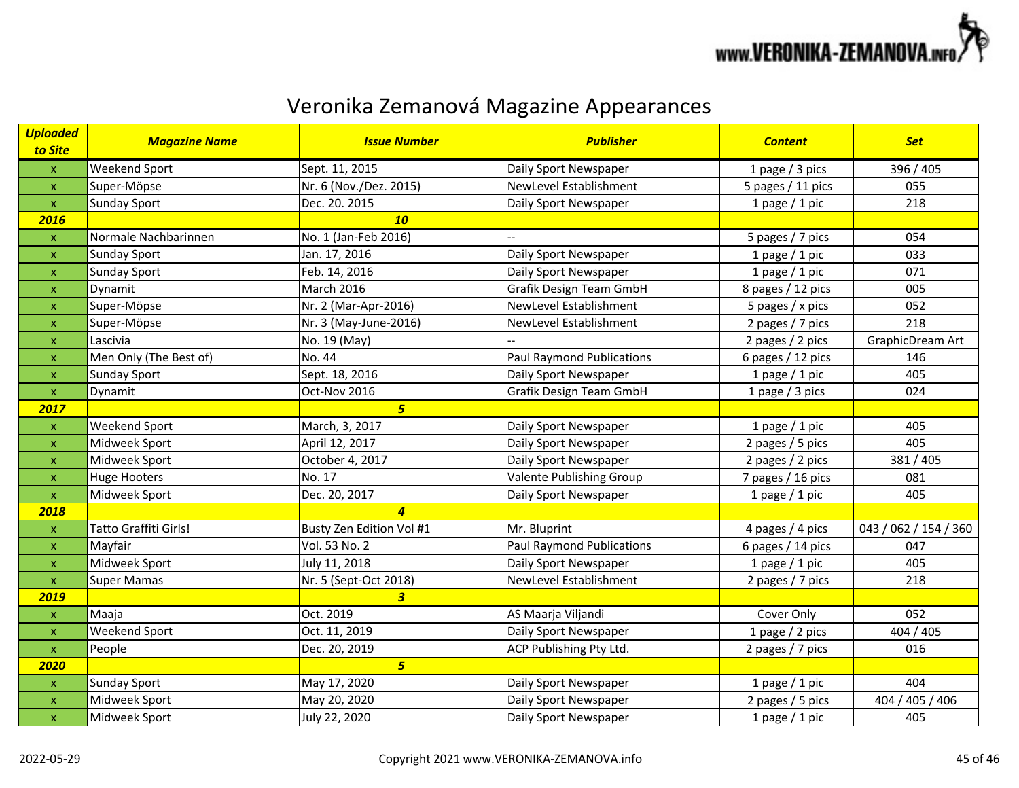

| <b>Uploaded</b><br>to Site | <b>Magazine Name</b>   | <b>Issue Number</b>      | <b>Publisher</b>                 | <b>Content</b>    | <b>Set</b>            |
|----------------------------|------------------------|--------------------------|----------------------------------|-------------------|-----------------------|
| $\mathsf X$                | Weekend Sport          | Sept. 11, 2015           | Daily Sport Newspaper            | 1 page / 3 pics   | 396 / 405             |
| $\pmb{\mathsf{x}}$         | Super-Möpse            | Nr. 6 (Nov./Dez. 2015)   | NewLevel Establishment           | 5 pages / 11 pics | 055                   |
| $\mathsf X$                | <b>Sunday Sport</b>    | Dec. 20. 2015            | Daily Sport Newspaper            | 1 page $/$ 1 pic  | 218                   |
| 2016                       |                        | 10                       |                                  |                   |                       |
| $\mathsf X$                | Normale Nachbarinnen   | No. 1 (Jan-Feb 2016)     |                                  | 5 pages / 7 pics  | 054                   |
| $\pmb{\mathsf{X}}$         | <b>Sunday Sport</b>    | Jan. 17, 2016            | Daily Sport Newspaper            | 1 page $/$ 1 pic  | 033                   |
| $\pmb{\mathsf{x}}$         | <b>Sunday Sport</b>    | Feb. 14, 2016            | Daily Sport Newspaper            | 1 page $/$ 1 pic  | 071                   |
| $\pmb{\mathsf{X}}$         | Dynamit                | March 2016               | <b>Grafik Design Team GmbH</b>   | 8 pages / 12 pics | 005                   |
| $\pmb{\mathsf{X}}$         | Super-Möpse            | Nr. 2 (Mar-Apr-2016)     | NewLevel Establishment           | 5 pages / x pics  | 052                   |
| $\pmb{\mathsf{X}}$         | Super-Möpse            | Nr. 3 (May-June-2016)    | NewLevel Establishment           | 2 pages / 7 pics  | 218                   |
| $\pmb{\mathsf{X}}$         | Lascivia               | No. 19 (May)             |                                  | 2 pages / 2 pics  | GraphicDream Art      |
| $\pmb{\mathsf{X}}$         | Men Only (The Best of) | No. 44                   | <b>Paul Raymond Publications</b> | 6 pages / 12 pics | 146                   |
| $\pmb{\mathsf{X}}$         | <b>Sunday Sport</b>    | Sept. 18, 2016           | Daily Sport Newspaper            | 1 page $/$ 1 pic  | 405                   |
| $\mathsf{x}$               | Dynamit                | Oct-Nov 2016             | Grafik Design Team GmbH          | 1 page / 3 pics   | 024                   |
| 2017                       |                        | 5 <sup>1</sup>           |                                  |                   |                       |
| $\mathsf X$                | Weekend Sport          | March, 3, 2017           | Daily Sport Newspaper            | 1 page $/$ 1 pic  | 405                   |
| $\pmb{\mathsf{X}}$         | Midweek Sport          | April 12, 2017           | Daily Sport Newspaper            | 2 pages / 5 pics  | 405                   |
| $\pmb{\mathsf{x}}$         | Midweek Sport          | October 4, 2017          | Daily Sport Newspaper            | 2 pages / 2 pics  | 381 / 405             |
| $\mathsf X$                | <b>Huge Hooters</b>    | No. 17                   | Valente Publishing Group         | 7 pages / 16 pics | 081                   |
| $\mathsf{X}$               | Midweek Sport          | Dec. 20, 2017            | Daily Sport Newspaper            | 1 page $/$ 1 pic  | 405                   |
| 2018                       |                        | $\overline{4}$           |                                  |                   |                       |
| $\pmb{\mathsf{X}}$         | Tatto Graffiti Girls!  | Busty Zen Edition Vol #1 | Mr. Bluprint                     | 4 pages / 4 pics  | 043 / 062 / 154 / 360 |
| $\pmb{\mathsf{x}}$         | Mayfair                | Vol. 53 No. 2            | <b>Paul Raymond Publications</b> | 6 pages / 14 pics | 047                   |
| $\boldsymbol{\mathsf{x}}$  | Midweek Sport          | July 11, 2018            | Daily Sport Newspaper            | 1 page $/$ 1 pic  | 405                   |
| $\mathsf X$                | <b>Super Mamas</b>     | Nr. 5 (Sept-Oct 2018)    | NewLevel Establishment           | 2 pages / 7 pics  | 218                   |
| 2019                       |                        | 3 <sup>7</sup>           |                                  |                   |                       |
| $\mathsf{x}$               | Maaja                  | Oct. 2019                | AS Maarja Viljandi               | Cover Only        | 052                   |
| $\pmb{\mathsf{x}}$         | Weekend Sport          | Oct. 11, 2019            | Daily Sport Newspaper            | 1 page / 2 pics   | 404 / 405             |
| $\mathsf{x}$               | People                 | Dec. 20, 2019            | ACP Publishing Pty Ltd.          | 2 pages / 7 pics  | 016                   |
| 2020                       |                        | 5 <sup>1</sup>           |                                  |                   |                       |
| $\pmb{\mathsf{x}}$         | <b>Sunday Sport</b>    | May 17, 2020             | Daily Sport Newspaper            | 1 page $/$ 1 pic  | 404                   |
| $\pmb{\mathsf{x}}$         | Midweek Sport          | May 20, 2020             | Daily Sport Newspaper            | 2 pages / 5 pics  | 404 / 405 / 406       |
| $\mathsf X$                | Midweek Sport          | July 22, 2020            | Daily Sport Newspaper            | 1 page $/$ 1 pic  | 405                   |